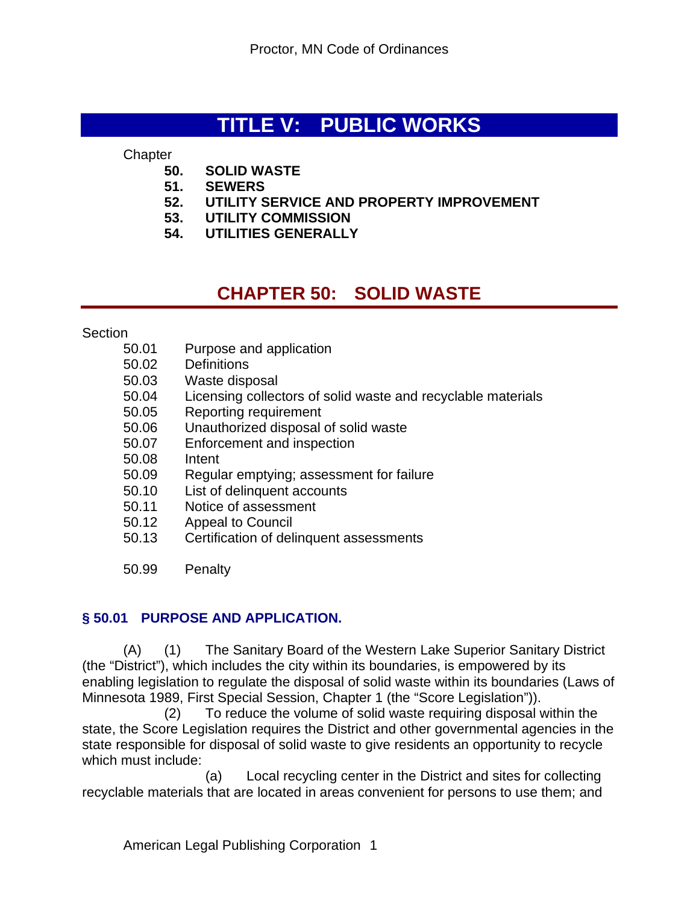# **TITLE V: PUBLIC WORKS**

**Chapter** 

- **50. SOLID WASTE**
- **51. SEWERS**
- **52. UTILITY SERVICE AND PROPERTY IMPROVEMENT**
- **53. UTILITY COMMISSION**
- **54. UTILITIES GENERALLY**

# **CHAPTER 50: SOLID WASTE**

#### Section

- 50.01 Purpose and application
- 50.02 Definitions
- 50.03 Waste disposal
- 50.04 Licensing collectors of solid waste and recyclable materials
- 50.05 Reporting requirement
- 50.06 Unauthorized disposal of solid waste
- 50.07 Enforcement and inspection
- 50.08 Intent
- 50.09 Regular emptying; assessment for failure
- 50.10 List of delinquent accounts
- 50.11 Notice of assessment
- 50.12 Appeal to Council
- 50.13 Certification of delinquent assessments
- 50.99 Penalty

#### **§ 50.01 PURPOSE AND APPLICATION.**

(A) (1) The Sanitary Board of the Western Lake Superior Sanitary District (the "District"), which includes the city within its boundaries, is empowered by its enabling legislation to regulate the disposal of solid waste within its boundaries (Laws of Minnesota 1989, First Special Session, Chapter 1 (the "Score Legislation")).

 (2) To reduce the volume of solid waste requiring disposal within the state, the Score Legislation requires the District and other governmental agencies in the state responsible for disposal of solid waste to give residents an opportunity to recycle which must include:

 (a) Local recycling center in the District and sites for collecting recyclable materials that are located in areas convenient for persons to use them; and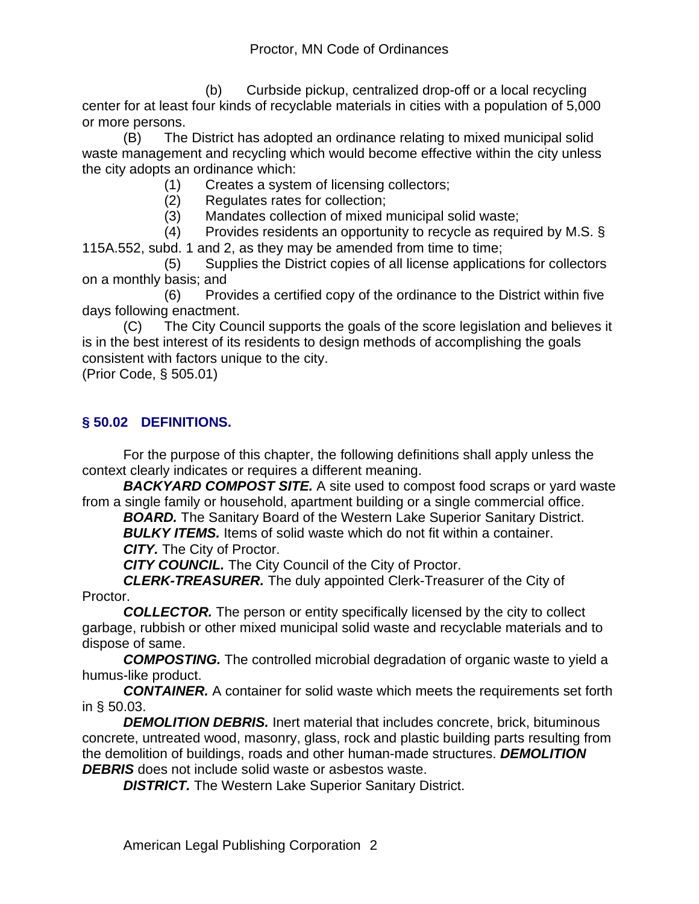(b) Curbside pickup, centralized drop-off or a local recycling center for at least four kinds of recyclable materials in cities with a population of 5,000 or more persons.

(B) The District has adopted an ordinance relating to mixed municipal solid waste management and recycling which would become effective within the city unless the city adopts an ordinance which:

(1) Creates a system of licensing collectors;

(2) Regulates rates for collection;

(3) Mandates collection of mixed municipal solid waste;

 (4) Provides residents an opportunity to recycle as required by M.S. § 115A.552, subd. 1 and 2, as they may be amended from time to time;

 (5) Supplies the District copies of all license applications for collectors on a monthly basis; and

 (6) Provides a certified copy of the ordinance to the District within five days following enactment.

(C) The City Council supports the goals of the score legislation and believes it is in the best interest of its residents to design methods of accomplishing the goals consistent with factors unique to the city.

(Prior Code, § 505.01)

# **§ 50.02 DEFINITIONS.**

For the purpose of this chapter, the following definitions shall apply unless the context clearly indicates or requires a different meaning.

*BACKYARD COMPOST SITE.* A site used to compost food scraps or yard waste from a single family or household, apartment building or a single commercial office.

**BOARD.** The Sanitary Board of the Western Lake Superior Sanitary District. *BULKY ITEMS.* Items of solid waste which do not fit within a container. *CITY.* The City of Proctor.

*CITY COUNCIL.* The City Council of the City of Proctor.

*CLERK-TREASURER.* The duly appointed Clerk-Treasurer of the City of Proctor.

*COLLECTOR.* The person or entity specifically licensed by the city to collect garbage, rubbish or other mixed municipal solid waste and recyclable materials and to dispose of same.

*COMPOSTING.* The controlled microbial degradation of organic waste to yield a humus-like product.

*CONTAINER.* A container for solid waste which meets the requirements set forth in § 50.03.

*DEMOLITION DEBRIS.* Inert material that includes concrete, brick, bituminous concrete, untreated wood, masonry, glass, rock and plastic building parts resulting from the demolition of buildings, roads and other human-made structures. *DEMOLITION*  **DEBRIS** does not include solid waste or asbestos waste.

**DISTRICT.** The Western Lake Superior Sanitary District.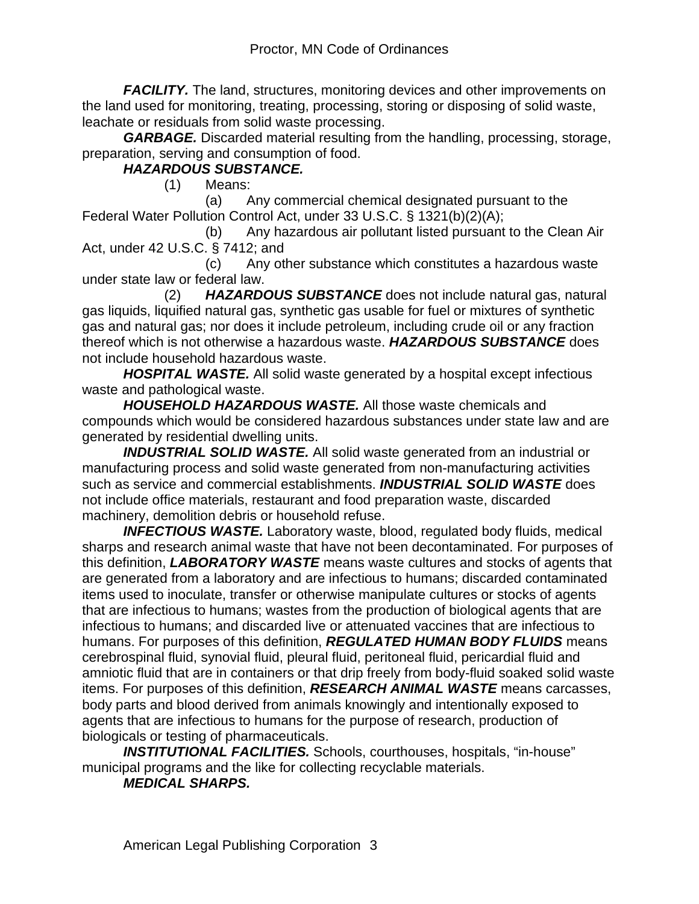*FACILITY.* The land, structures, monitoring devices and other improvements on the land used for monitoring, treating, processing, storing or disposing of solid waste, leachate or residuals from solid waste processing.

*GARBAGE.* Discarded material resulting from the handling, processing, storage, preparation, serving and consumption of food.

## *HAZARDOUS SUBSTANCE.*

(1) Means:

 (a) Any commercial chemical designated pursuant to the Federal Water Pollution Control Act, under 33 U.S.C. § 1321(b)(2)(A);

 (b) Any hazardous air pollutant listed pursuant to the Clean Air Act, under 42 U.S.C. § 7412; and

 (c) Any other substance which constitutes a hazardous waste under state law or federal law.

 (2) *HAZARDOUS SUBSTANCE* does not include natural gas, natural gas liquids, liquified natural gas, synthetic gas usable for fuel or mixtures of synthetic gas and natural gas; nor does it include petroleum, including crude oil or any fraction thereof which is not otherwise a hazardous waste. *HAZARDOUS SUBSTANCE* does not include household hazardous waste.

*HOSPITAL WASTE.* All solid waste generated by a hospital except infectious waste and pathological waste.

*HOUSEHOLD HAZARDOUS WASTE.* All those waste chemicals and compounds which would be considered hazardous substances under state law and are generated by residential dwelling units.

*INDUSTRIAL SOLID WASTE.* All solid waste generated from an industrial or manufacturing process and solid waste generated from non-manufacturing activities such as service and commercial establishments. *INDUSTRIAL SOLID WASTE* does not include office materials, restaurant and food preparation waste, discarded machinery, demolition debris or household refuse.

*INFECTIOUS WASTE.* Laboratory waste, blood, regulated body fluids, medical sharps and research animal waste that have not been decontaminated. For purposes of this definition, *LABORATORY WASTE* means waste cultures and stocks of agents that are generated from a laboratory and are infectious to humans; discarded contaminated items used to inoculate, transfer or otherwise manipulate cultures or stocks of agents that are infectious to humans; wastes from the production of biological agents that are infectious to humans; and discarded live or attenuated vaccines that are infectious to humans. For purposes of this definition, *REGULATED HUMAN BODY FLUIDS* means cerebrospinal fluid, synovial fluid, pleural fluid, peritoneal fluid, pericardial fluid and amniotic fluid that are in containers or that drip freely from body-fluid soaked solid waste items. For purposes of this definition, *RESEARCH ANIMAL WASTE* means carcasses, body parts and blood derived from animals knowingly and intentionally exposed to agents that are infectious to humans for the purpose of research, production of biologicals or testing of pharmaceuticals.

*INSTITUTIONAL FACILITIES.* Schools, courthouses, hospitals, "in-house" municipal programs and the like for collecting recyclable materials.

*MEDICAL SHARPS.*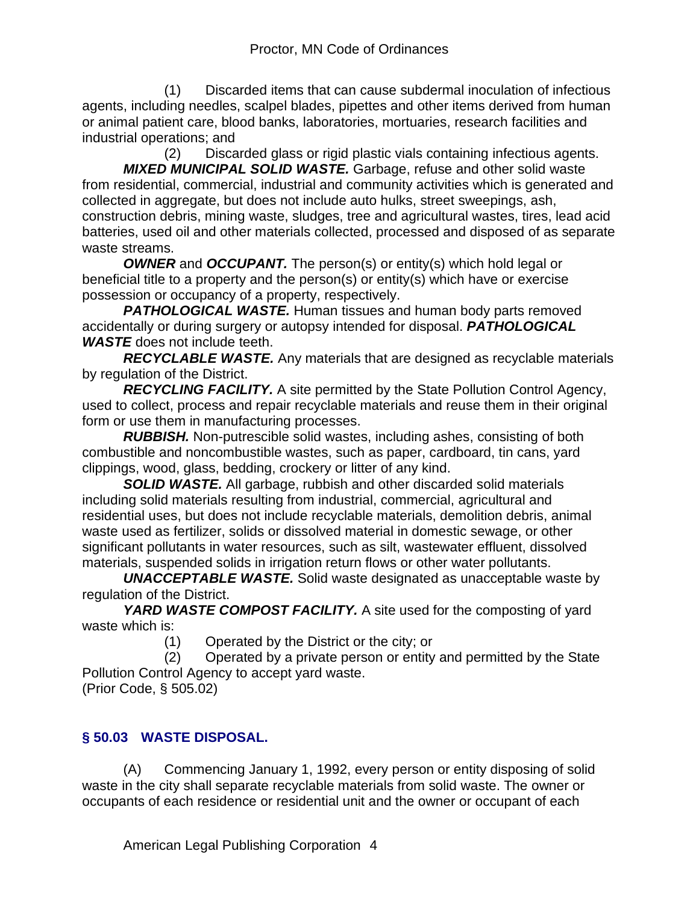(1) Discarded items that can cause subdermal inoculation of infectious agents, including needles, scalpel blades, pipettes and other items derived from human or animal patient care, blood banks, laboratories, mortuaries, research facilities and industrial operations; and

 (2) Discarded glass or rigid plastic vials containing infectious agents. *MIXED MUNICIPAL SOLID WASTE.* Garbage, refuse and other solid waste from residential, commercial, industrial and community activities which is generated and collected in aggregate, but does not include auto hulks, street sweepings, ash, construction debris, mining waste, sludges, tree and agricultural wastes, tires, lead acid batteries, used oil and other materials collected, processed and disposed of as separate waste streams.

*OWNER* and *OCCUPANT.* The person(s) or entity(s) which hold legal or beneficial title to a property and the person(s) or entity(s) which have or exercise possession or occupancy of a property, respectively.

**PATHOLOGICAL WASTE.** Human tissues and human body parts removed accidentally or during surgery or autopsy intended for disposal. *PATHOLOGICAL WASTE* does not include teeth.

*RECYCLABLE WASTE.* Any materials that are designed as recyclable materials by regulation of the District.

*RECYCLING FACILITY.* A site permitted by the State Pollution Control Agency, used to collect, process and repair recyclable materials and reuse them in their original form or use them in manufacturing processes.

*RUBBISH.* Non-putrescible solid wastes, including ashes, consisting of both combustible and noncombustible wastes, such as paper, cardboard, tin cans, yard clippings, wood, glass, bedding, crockery or litter of any kind.

*SOLID WASTE.* All garbage, rubbish and other discarded solid materials including solid materials resulting from industrial, commercial, agricultural and residential uses, but does not include recyclable materials, demolition debris, animal waste used as fertilizer, solids or dissolved material in domestic sewage, or other significant pollutants in water resources, such as silt, wastewater effluent, dissolved materials, suspended solids in irrigation return flows or other water pollutants.

*UNACCEPTABLE WASTE.* Solid waste designated as unacceptable waste by regulation of the District.

YARD WASTE COMPOST FACILITY. A site used for the composting of yard waste which is:

(1) Operated by the District or the city; or

 (2) Operated by a private person or entity and permitted by the State Pollution Control Agency to accept yard waste.

(Prior Code, § 505.02)

## **§ 50.03 WASTE DISPOSAL.**

(A) Commencing January 1, 1992, every person or entity disposing of solid waste in the city shall separate recyclable materials from solid waste. The owner or occupants of each residence or residential unit and the owner or occupant of each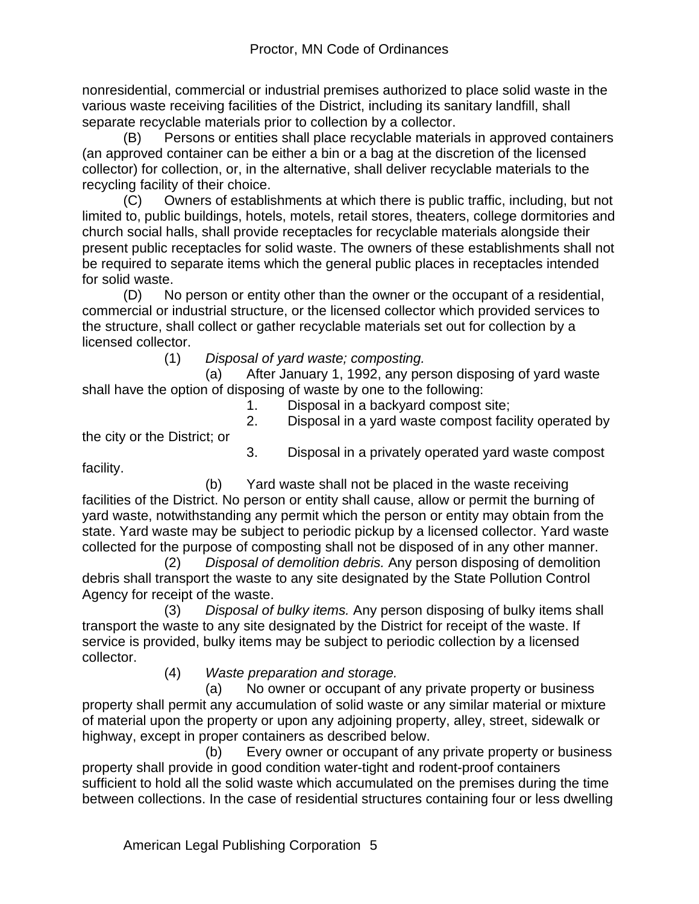nonresidential, commercial or industrial premises authorized to place solid waste in the various waste receiving facilities of the District, including its sanitary landfill, shall separate recyclable materials prior to collection by a collector.

(B) Persons or entities shall place recyclable materials in approved containers (an approved container can be either a bin or a bag at the discretion of the licensed collector) for collection, or, in the alternative, shall deliver recyclable materials to the recycling facility of their choice.

(C) Owners of establishments at which there is public traffic, including, but not limited to, public buildings, hotels, motels, retail stores, theaters, college dormitories and church social halls, shall provide receptacles for recyclable materials alongside their present public receptacles for solid waste. The owners of these establishments shall not be required to separate items which the general public places in receptacles intended for solid waste.

(D) No person or entity other than the owner or the occupant of a residential, commercial or industrial structure, or the licensed collector which provided services to the structure, shall collect or gather recyclable materials set out for collection by a licensed collector.

(1) *Disposal of yard waste; composting.*

 (a) After January 1, 1992, any person disposing of yard waste shall have the option of disposing of waste by one to the following:

- 1. Disposal in a backyard compost site;
- 2. Disposal in a yard waste compost facility operated by

the city or the District; or

3. Disposal in a privately operated yard waste compost

facility.

 (b) Yard waste shall not be placed in the waste receiving facilities of the District. No person or entity shall cause, allow or permit the burning of yard waste, notwithstanding any permit which the person or entity may obtain from the state. Yard waste may be subject to periodic pickup by a licensed collector. Yard waste collected for the purpose of composting shall not be disposed of in any other manner.

 (2) *Disposal of demolition debris.* Any person disposing of demolition debris shall transport the waste to any site designated by the State Pollution Control Agency for receipt of the waste.

 (3) *Disposal of bulky items.* Any person disposing of bulky items shall transport the waste to any site designated by the District for receipt of the waste. If service is provided, bulky items may be subject to periodic collection by a licensed collector.

(4) *Waste preparation and storage.*

 (a) No owner or occupant of any private property or business property shall permit any accumulation of solid waste or any similar material or mixture of material upon the property or upon any adjoining property, alley, street, sidewalk or highway, except in proper containers as described below.

 (b) Every owner or occupant of any private property or business property shall provide in good condition water-tight and rodent-proof containers sufficient to hold all the solid waste which accumulated on the premises during the time between collections. In the case of residential structures containing four or less dwelling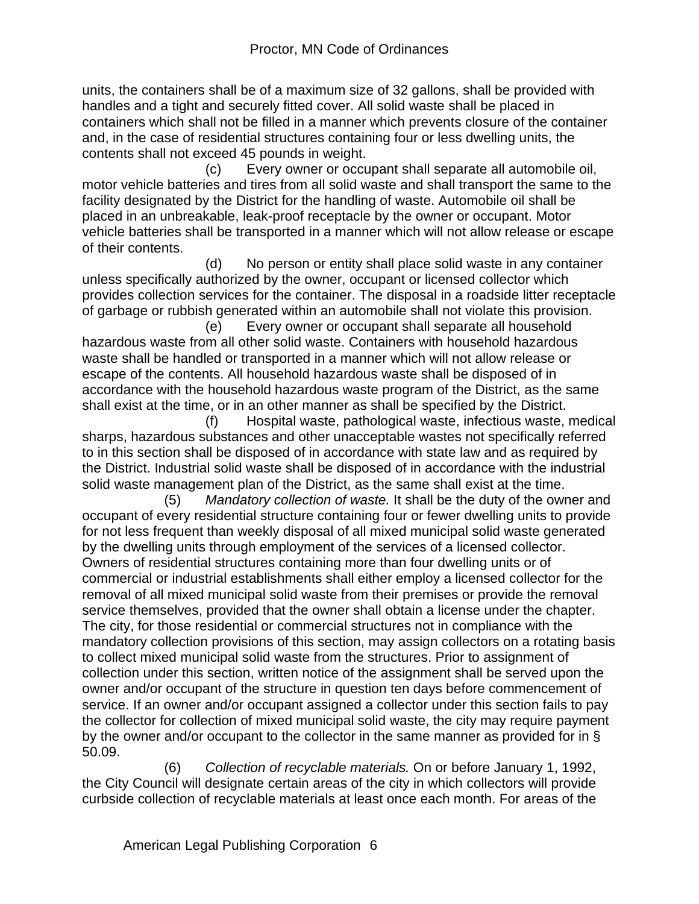units, the containers shall be of a maximum size of 32 gallons, shall be provided with handles and a tight and securely fitted cover. All solid waste shall be placed in containers which shall not be filled in a manner which prevents closure of the container and, in the case of residential structures containing four or less dwelling units, the contents shall not exceed 45 pounds in weight.

 (c) Every owner or occupant shall separate all automobile oil, motor vehicle batteries and tires from all solid waste and shall transport the same to the facility designated by the District for the handling of waste. Automobile oil shall be placed in an unbreakable, leak-proof receptacle by the owner or occupant. Motor vehicle batteries shall be transported in a manner which will not allow release or escape of their contents.

 (d) No person or entity shall place solid waste in any container unless specifically authorized by the owner, occupant or licensed collector which provides collection services for the container. The disposal in a roadside litter receptacle of garbage or rubbish generated within an automobile shall not violate this provision.

 (e) Every owner or occupant shall separate all household hazardous waste from all other solid waste. Containers with household hazardous waste shall be handled or transported in a manner which will not allow release or escape of the contents. All household hazardous waste shall be disposed of in accordance with the household hazardous waste program of the District, as the same shall exist at the time, or in an other manner as shall be specified by the District.

 (f) Hospital waste, pathological waste, infectious waste, medical sharps, hazardous substances and other unacceptable wastes not specifically referred to in this section shall be disposed of in accordance with state law and as required by the District. Industrial solid waste shall be disposed of in accordance with the industrial solid waste management plan of the District, as the same shall exist at the time.

 (5) *Mandatory collection of waste.* It shall be the duty of the owner and occupant of every residential structure containing four or fewer dwelling units to provide for not less frequent than weekly disposal of all mixed municipal solid waste generated by the dwelling units through employment of the services of a licensed collector. Owners of residential structures containing more than four dwelling units or of commercial or industrial establishments shall either employ a licensed collector for the removal of all mixed municipal solid waste from their premises or provide the removal service themselves, provided that the owner shall obtain a license under the chapter. The city, for those residential or commercial structures not in compliance with the mandatory collection provisions of this section, may assign collectors on a rotating basis to collect mixed municipal solid waste from the structures. Prior to assignment of collection under this section, written notice of the assignment shall be served upon the owner and/or occupant of the structure in question ten days before commencement of service. If an owner and/or occupant assigned a collector under this section fails to pay the collector for collection of mixed municipal solid waste, the city may require payment by the owner and/or occupant to the collector in the same manner as provided for in § 50.09.

 (6) *Collection of recyclable materials.* On or before January 1, 1992, the City Council will designate certain areas of the city in which collectors will provide curbside collection of recyclable materials at least once each month. For areas of the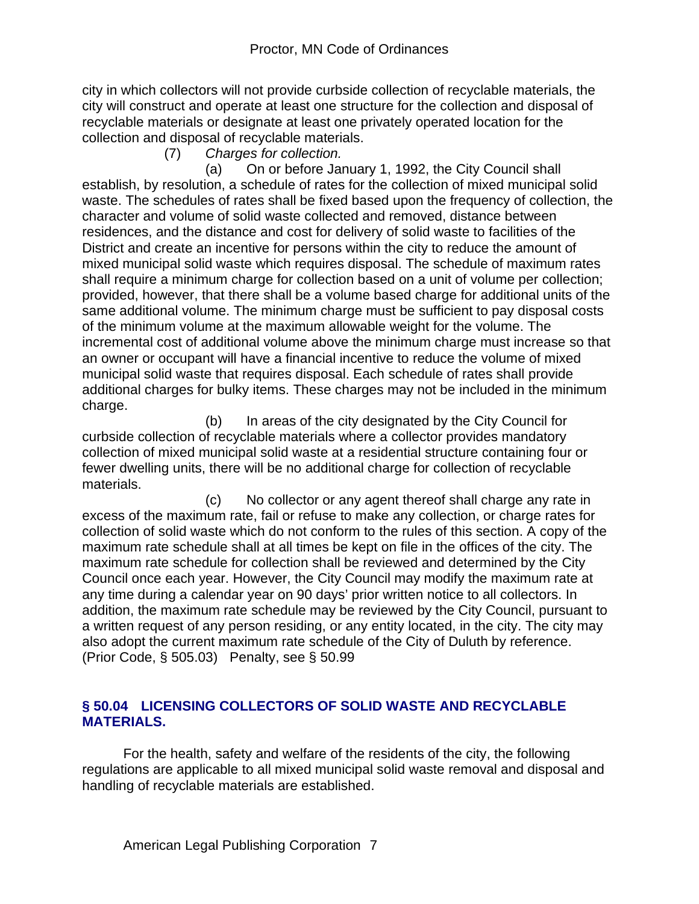city in which collectors will not provide curbside collection of recyclable materials, the city will construct and operate at least one structure for the collection and disposal of recyclable materials or designate at least one privately operated location for the collection and disposal of recyclable materials.

#### (7) *Charges for collection.*

 (a) On or before January 1, 1992, the City Council shall establish, by resolution, a schedule of rates for the collection of mixed municipal solid waste. The schedules of rates shall be fixed based upon the frequency of collection, the character and volume of solid waste collected and removed, distance between residences, and the distance and cost for delivery of solid waste to facilities of the District and create an incentive for persons within the city to reduce the amount of mixed municipal solid waste which requires disposal. The schedule of maximum rates shall require a minimum charge for collection based on a unit of volume per collection; provided, however, that there shall be a volume based charge for additional units of the same additional volume. The minimum charge must be sufficient to pay disposal costs of the minimum volume at the maximum allowable weight for the volume. The incremental cost of additional volume above the minimum charge must increase so that an owner or occupant will have a financial incentive to reduce the volume of mixed municipal solid waste that requires disposal. Each schedule of rates shall provide additional charges for bulky items. These charges may not be included in the minimum charge.

 (b) In areas of the city designated by the City Council for curbside collection of recyclable materials where a collector provides mandatory collection of mixed municipal solid waste at a residential structure containing four or fewer dwelling units, there will be no additional charge for collection of recyclable materials.

 (c) No collector or any agent thereof shall charge any rate in excess of the maximum rate, fail or refuse to make any collection, or charge rates for collection of solid waste which do not conform to the rules of this section. A copy of the maximum rate schedule shall at all times be kept on file in the offices of the city. The maximum rate schedule for collection shall be reviewed and determined by the City Council once each year. However, the City Council may modify the maximum rate at any time during a calendar year on 90 days' prior written notice to all collectors. In addition, the maximum rate schedule may be reviewed by the City Council, pursuant to a written request of any person residing, or any entity located, in the city. The city may also adopt the current maximum rate schedule of the City of Duluth by reference. (Prior Code, § 505.03) Penalty, see § 50.99

#### **§ 50.04 LICENSING COLLECTORS OF SOLID WASTE AND RECYCLABLE MATERIALS.**

For the health, safety and welfare of the residents of the city, the following regulations are applicable to all mixed municipal solid waste removal and disposal and handling of recyclable materials are established.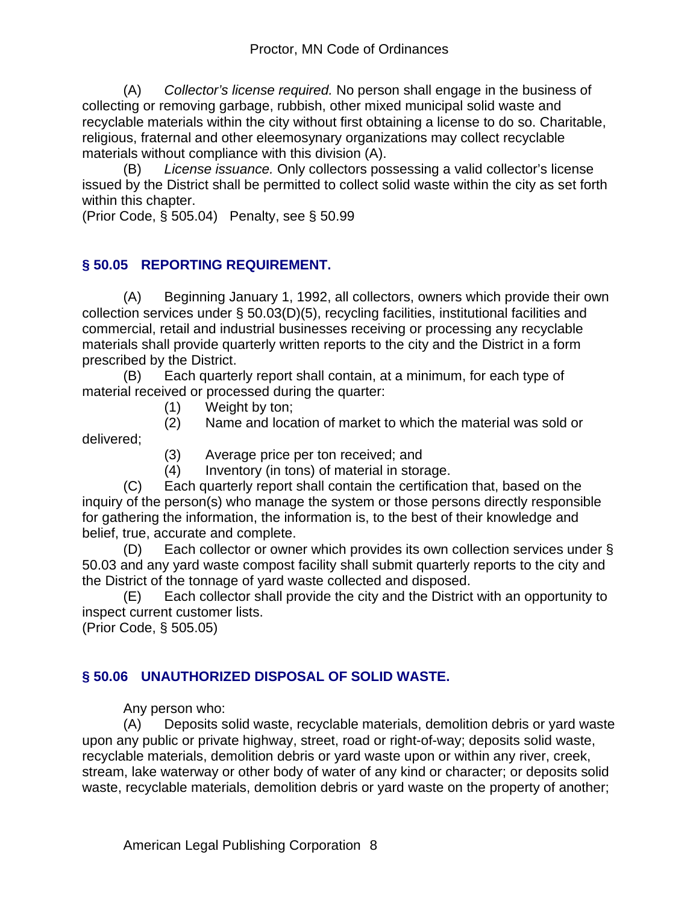(A) *Collector's license required.* No person shall engage in the business of collecting or removing garbage, rubbish, other mixed municipal solid waste and recyclable materials within the city without first obtaining a license to do so. Charitable, religious, fraternal and other eleemosynary organizations may collect recyclable materials without compliance with this division (A).

(B) *License issuance.* Only collectors possessing a valid collector's license issued by the District shall be permitted to collect solid waste within the city as set forth within this chapter.

(Prior Code, § 505.04) Penalty, see § 50.99

#### **§ 50.05 REPORTING REQUIREMENT.**

(A) Beginning January 1, 1992, all collectors, owners which provide their own collection services under § 50.03(D)(5), recycling facilities, institutional facilities and commercial, retail and industrial businesses receiving or processing any recyclable materials shall provide quarterly written reports to the city and the District in a form prescribed by the District.

(B) Each quarterly report shall contain, at a minimum, for each type of material received or processed during the quarter:

(1) Weight by ton;

 (2) Name and location of market to which the material was sold or delivered;

- (3) Average price per ton received; and
- (4) Inventory (in tons) of material in storage.

(C) Each quarterly report shall contain the certification that, based on the inquiry of the person(s) who manage the system or those persons directly responsible for gathering the information, the information is, to the best of their knowledge and belief, true, accurate and complete.

(D) Each collector or owner which provides its own collection services under § 50.03 and any yard waste compost facility shall submit quarterly reports to the city and the District of the tonnage of yard waste collected and disposed.

(E) Each collector shall provide the city and the District with an opportunity to inspect current customer lists.

(Prior Code, § 505.05)

#### **§ 50.06 UNAUTHORIZED DISPOSAL OF SOLID WASTE.**

Any person who:

(A) Deposits solid waste, recyclable materials, demolition debris or yard waste upon any public or private highway, street, road or right-of-way; deposits solid waste, recyclable materials, demolition debris or yard waste upon or within any river, creek, stream, lake waterway or other body of water of any kind or character; or deposits solid waste, recyclable materials, demolition debris or yard waste on the property of another;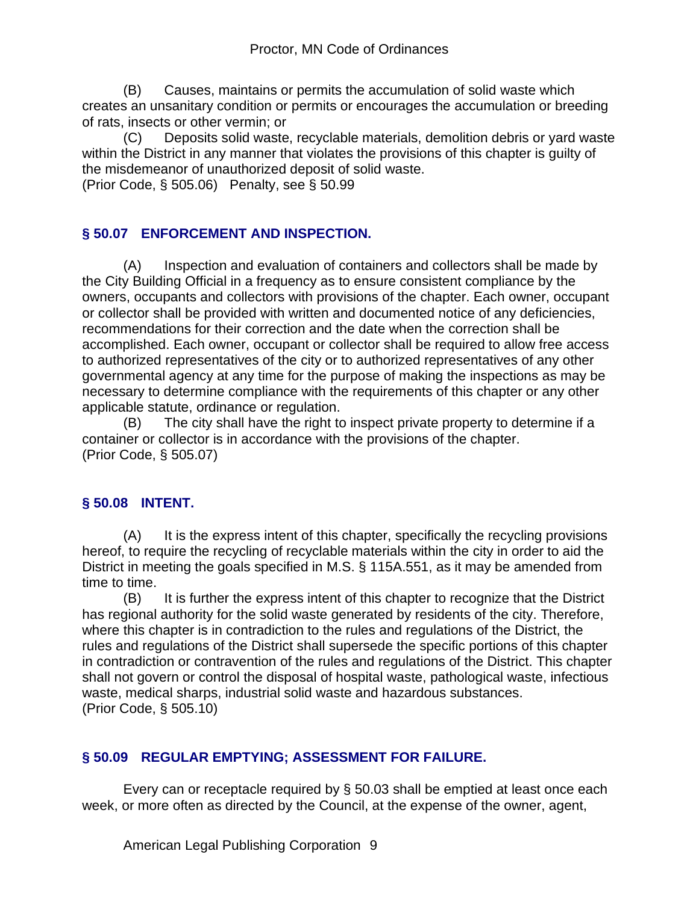(B) Causes, maintains or permits the accumulation of solid waste which creates an unsanitary condition or permits or encourages the accumulation or breeding of rats, insects or other vermin; or

(C) Deposits solid waste, recyclable materials, demolition debris or yard waste within the District in any manner that violates the provisions of this chapter is guilty of the misdemeanor of unauthorized deposit of solid waste. (Prior Code, § 505.06) Penalty, see § 50.99

## **§ 50.07 ENFORCEMENT AND INSPECTION.**

(A) Inspection and evaluation of containers and collectors shall be made by the City Building Official in a frequency as to ensure consistent compliance by the owners, occupants and collectors with provisions of the chapter. Each owner, occupant or collector shall be provided with written and documented notice of any deficiencies, recommendations for their correction and the date when the correction shall be accomplished. Each owner, occupant or collector shall be required to allow free access to authorized representatives of the city or to authorized representatives of any other governmental agency at any time for the purpose of making the inspections as may be necessary to determine compliance with the requirements of this chapter or any other applicable statute, ordinance or regulation.

(B) The city shall have the right to inspect private property to determine if a container or collector is in accordance with the provisions of the chapter. (Prior Code, § 505.07)

## **§ 50.08 INTENT.**

(A) It is the express intent of this chapter, specifically the recycling provisions hereof, to require the recycling of recyclable materials within the city in order to aid the District in meeting the goals specified in M.S. § 115A.551, as it may be amended from time to time.

(B) It is further the express intent of this chapter to recognize that the District has regional authority for the solid waste generated by residents of the city. Therefore, where this chapter is in contradiction to the rules and regulations of the District, the rules and regulations of the District shall supersede the specific portions of this chapter in contradiction or contravention of the rules and regulations of the District. This chapter shall not govern or control the disposal of hospital waste, pathological waste, infectious waste, medical sharps, industrial solid waste and hazardous substances. (Prior Code, § 505.10)

## **§ 50.09 REGULAR EMPTYING; ASSESSMENT FOR FAILURE.**

Every can or receptacle required by § 50.03 shall be emptied at least once each week, or more often as directed by the Council, at the expense of the owner, agent,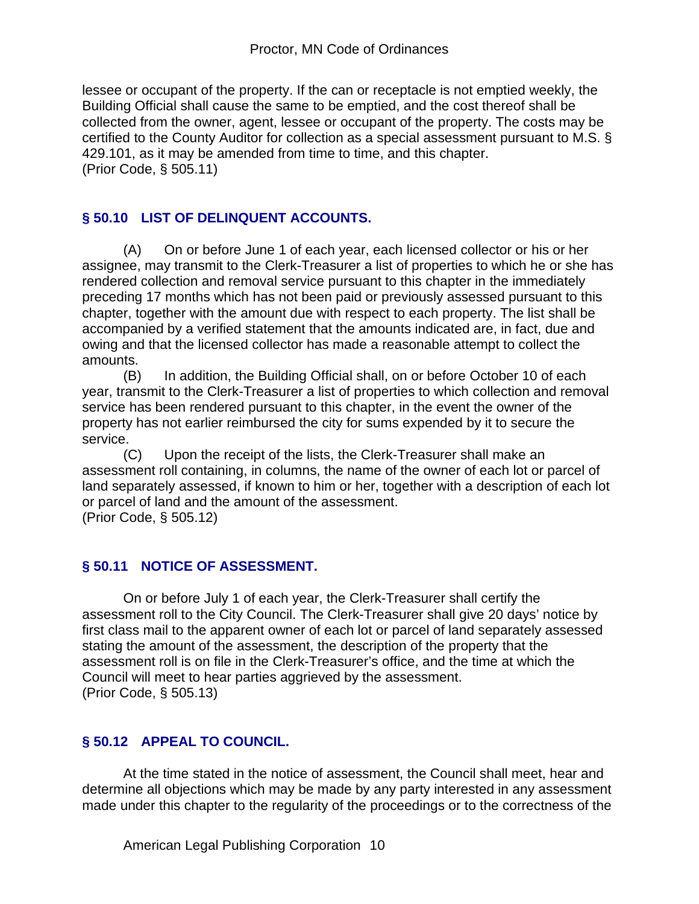lessee or occupant of the property. If the can or receptacle is not emptied weekly, the Building Official shall cause the same to be emptied, and the cost thereof shall be collected from the owner, agent, lessee or occupant of the property. The costs may be certified to the County Auditor for collection as a special assessment pursuant to M.S. § 429.101, as it may be amended from time to time, and this chapter. (Prior Code, § 505.11)

#### **§ 50.10 LIST OF DELINQUENT ACCOUNTS.**

(A) On or before June 1 of each year, each licensed collector or his or her assignee, may transmit to the Clerk-Treasurer a list of properties to which he or she has rendered collection and removal service pursuant to this chapter in the immediately preceding 17 months which has not been paid or previously assessed pursuant to this chapter, together with the amount due with respect to each property. The list shall be accompanied by a verified statement that the amounts indicated are, in fact, due and owing and that the licensed collector has made a reasonable attempt to collect the amounts.

(B) In addition, the Building Official shall, on or before October 10 of each year, transmit to the Clerk-Treasurer a list of properties to which collection and removal service has been rendered pursuant to this chapter, in the event the owner of the property has not earlier reimbursed the city for sums expended by it to secure the service.

(C) Upon the receipt of the lists, the Clerk-Treasurer shall make an assessment roll containing, in columns, the name of the owner of each lot or parcel of land separately assessed, if known to him or her, together with a description of each lot or parcel of land and the amount of the assessment.

(Prior Code, § 505.12)

#### **§ 50.11 NOTICE OF ASSESSMENT.**

On or before July 1 of each year, the Clerk-Treasurer shall certify the assessment roll to the City Council. The Clerk-Treasurer shall give 20 days' notice by first class mail to the apparent owner of each lot or parcel of land separately assessed stating the amount of the assessment, the description of the property that the assessment roll is on file in the Clerk-Treasurer's office, and the time at which the Council will meet to hear parties aggrieved by the assessment. (Prior Code, § 505.13)

#### **§ 50.12 APPEAL TO COUNCIL.**

At the time stated in the notice of assessment, the Council shall meet, hear and determine all objections which may be made by any party interested in any assessment made under this chapter to the regularity of the proceedings or to the correctness of the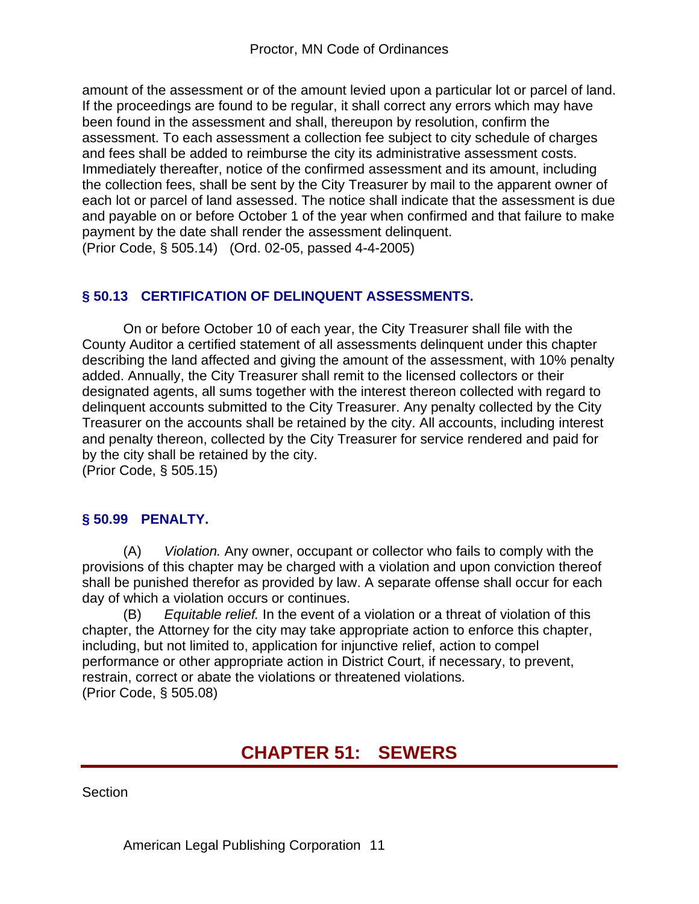amount of the assessment or of the amount levied upon a particular lot or parcel of land. If the proceedings are found to be regular, it shall correct any errors which may have been found in the assessment and shall, thereupon by resolution, confirm the assessment. To each assessment a collection fee subject to city schedule of charges and fees shall be added to reimburse the city its administrative assessment costs. Immediately thereafter, notice of the confirmed assessment and its amount, including the collection fees, shall be sent by the City Treasurer by mail to the apparent owner of each lot or parcel of land assessed. The notice shall indicate that the assessment is due and payable on or before October 1 of the year when confirmed and that failure to make payment by the date shall render the assessment delinquent. (Prior Code, § 505.14) (Ord. 02-05, passed 4-4-2005)

## **§ 50.13 CERTIFICATION OF DELINQUENT ASSESSMENTS.**

On or before October 10 of each year, the City Treasurer shall file with the County Auditor a certified statement of all assessments delinquent under this chapter describing the land affected and giving the amount of the assessment, with 10% penalty added. Annually, the City Treasurer shall remit to the licensed collectors or their designated agents, all sums together with the interest thereon collected with regard to delinquent accounts submitted to the City Treasurer. Any penalty collected by the City Treasurer on the accounts shall be retained by the city. All accounts, including interest and penalty thereon, collected by the City Treasurer for service rendered and paid for by the city shall be retained by the city. (Prior Code, § 505.15)

#### **§ 50.99 PENALTY.**

(A) *Violation.* Any owner, occupant or collector who fails to comply with the provisions of this chapter may be charged with a violation and upon conviction thereof shall be punished therefor as provided by law. A separate offense shall occur for each day of which a violation occurs or continues.

(B) *Equitable relief.* In the event of a violation or a threat of violation of this chapter, the Attorney for the city may take appropriate action to enforce this chapter, including, but not limited to, application for injunctive relief, action to compel performance or other appropriate action in District Court, if necessary, to prevent, restrain, correct or abate the violations or threatened violations. (Prior Code, § 505.08)

# **CHAPTER 51: SEWERS**

Section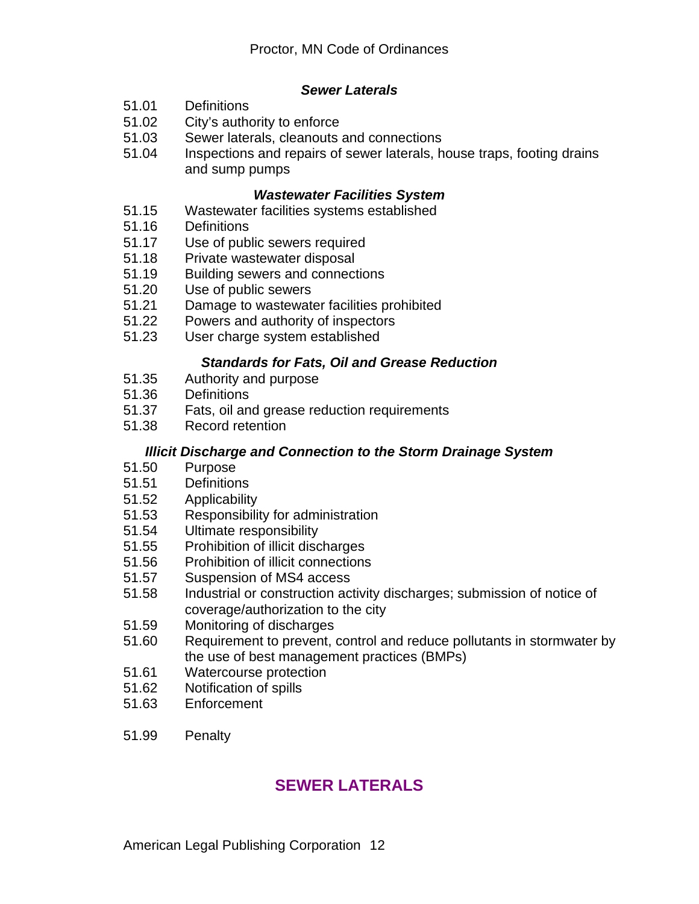#### *Sewer Laterals*

- 51.01 Definitions
- 51.02 City's authority to enforce
- 51.03 Sewer laterals, cleanouts and connections
- 51.04 Inspections and repairs of sewer laterals, house traps, footing drains and sump pumps

#### *Wastewater Facilities System*

- 51.15 Wastewater facilities systems established
- 51.16 Definitions
- 51.17 Use of public sewers required
- 51.18 Private wastewater disposal
- 51.19 Building sewers and connections<br>51.20 Use of public sewers
- Use of public sewers
- 51.21 Damage to wastewater facilities prohibited
- 51.22 Powers and authority of inspectors
- 51.23 User charge system established

#### *Standards for Fats, Oil and Grease Reduction*

- 51.35 Authority and purpose
- 51.36 Definitions
- 51.37 Fats, oil and grease reduction requirements
- 51.38 Record retention

#### *Illicit Discharge and Connection to the Storm Drainage System*

- 51.50 Purpose
- 51.51 Definitions
- 51.52 Applicability
- 51.53 Responsibility for administration
- 51.54 Ultimate responsibility
- 51.55 Prohibition of illicit discharges
- 51.56 Prohibition of illicit connections
- 51.57 Suspension of MS4 access
- 51.58 Industrial or construction activity discharges; submission of notice of coverage/authorization to the city
- 51.59 Monitoring of discharges
- 51.60 Requirement to prevent, control and reduce pollutants in stormwater by the use of best management practices (BMPs)
- 51.61 Watercourse protection
- 51.62 Notification of spills
- 51.63 Enforcement
- 51.99 Penalty

# **SEWER LATERALS**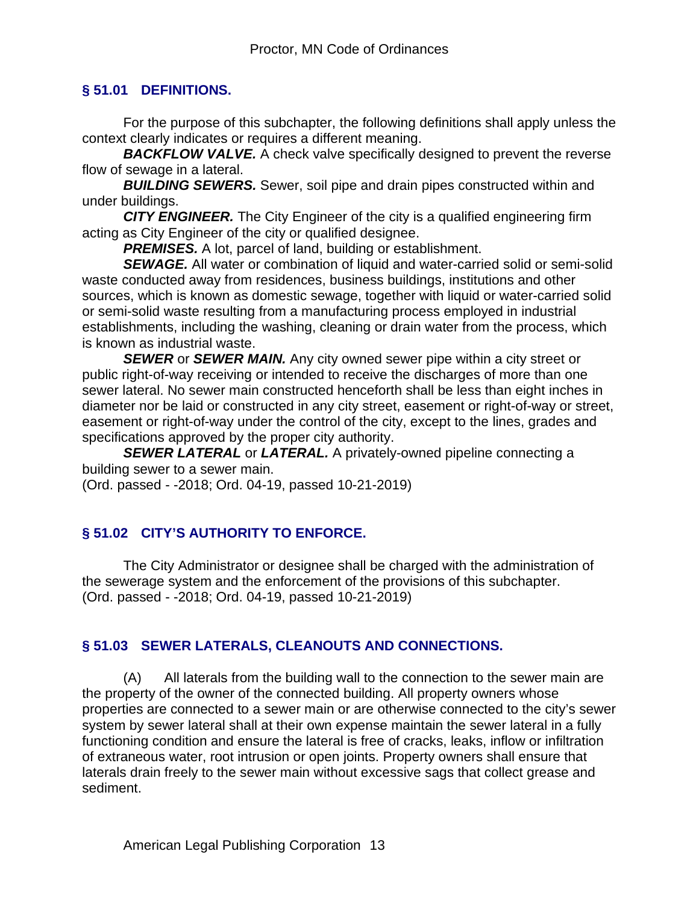## **§ 51.01 DEFINITIONS.**

For the purpose of this subchapter, the following definitions shall apply unless the context clearly indicates or requires a different meaning.

**BACKFLOW VALVE.** A check valve specifically designed to prevent the reverse flow of sewage in a lateral.

*BUILDING SEWERS.* Sewer, soil pipe and drain pipes constructed within and under buildings.

*CITY ENGINEER.* The City Engineer of the city is a qualified engineering firm acting as City Engineer of the city or qualified designee.

**PREMISES.** A lot, parcel of land, building or establishment.

*SEWAGE.* All water or combination of liquid and water-carried solid or semi-solid waste conducted away from residences, business buildings, institutions and other sources, which is known as domestic sewage, together with liquid or water-carried solid or semi-solid waste resulting from a manufacturing process employed in industrial establishments, including the washing, cleaning or drain water from the process, which is known as industrial waste.

*SEWER* or *SEWER MAIN.* Any city owned sewer pipe within a city street or public right-of-way receiving or intended to receive the discharges of more than one sewer lateral. No sewer main constructed henceforth shall be less than eight inches in diameter nor be laid or constructed in any city street, easement or right-of-way or street, easement or right-of-way under the control of the city, except to the lines, grades and specifications approved by the proper city authority.

*SEWER LATERAL* or *LATERAL.* A privately-owned pipeline connecting a building sewer to a sewer main.

(Ord. passed - -2018; Ord. 04-19, passed 10-21-2019)

## **§ 51.02 CITY'S AUTHORITY TO ENFORCE.**

The City Administrator or designee shall be charged with the administration of the sewerage system and the enforcement of the provisions of this subchapter. (Ord. passed - -2018; Ord. 04-19, passed 10-21-2019)

## **§ 51.03 SEWER LATERALS, CLEANOUTS AND CONNECTIONS.**

(A) All laterals from the building wall to the connection to the sewer main are the property of the owner of the connected building. All property owners whose properties are connected to a sewer main or are otherwise connected to the city's sewer system by sewer lateral shall at their own expense maintain the sewer lateral in a fully functioning condition and ensure the lateral is free of cracks, leaks, inflow or infiltration of extraneous water, root intrusion or open joints. Property owners shall ensure that laterals drain freely to the sewer main without excessive sags that collect grease and sediment.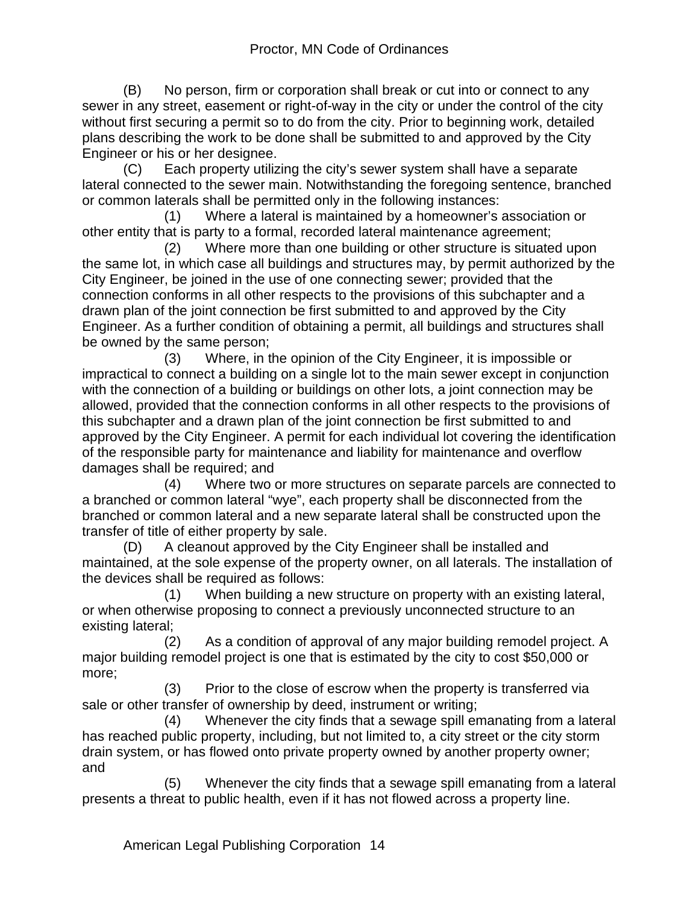(B) No person, firm or corporation shall break or cut into or connect to any sewer in any street, easement or right-of-way in the city or under the control of the city without first securing a permit so to do from the city. Prior to beginning work, detailed plans describing the work to be done shall be submitted to and approved by the City Engineer or his or her designee.

(C) Each property utilizing the city's sewer system shall have a separate lateral connected to the sewer main. Notwithstanding the foregoing sentence, branched or common laterals shall be permitted only in the following instances:

 (1) Where a lateral is maintained by a homeowner's association or other entity that is party to a formal, recorded lateral maintenance agreement;

 (2) Where more than one building or other structure is situated upon the same lot, in which case all buildings and structures may, by permit authorized by the City Engineer, be joined in the use of one connecting sewer; provided that the connection conforms in all other respects to the provisions of this subchapter and a drawn plan of the joint connection be first submitted to and approved by the City Engineer. As a further condition of obtaining a permit, all buildings and structures shall be owned by the same person;

 (3) Where, in the opinion of the City Engineer, it is impossible or impractical to connect a building on a single lot to the main sewer except in conjunction with the connection of a building or buildings on other lots, a joint connection may be allowed, provided that the connection conforms in all other respects to the provisions of this subchapter and a drawn plan of the joint connection be first submitted to and approved by the City Engineer. A permit for each individual lot covering the identification of the responsible party for maintenance and liability for maintenance and overflow damages shall be required; and

 (4) Where two or more structures on separate parcels are connected to a branched or common lateral "wye", each property shall be disconnected from the branched or common lateral and a new separate lateral shall be constructed upon the transfer of title of either property by sale.

(D) A cleanout approved by the City Engineer shall be installed and maintained, at the sole expense of the property owner, on all laterals. The installation of the devices shall be required as follows:

 (1) When building a new structure on property with an existing lateral, or when otherwise proposing to connect a previously unconnected structure to an existing lateral;

 (2) As a condition of approval of any major building remodel project. A major building remodel project is one that is estimated by the city to cost \$50,000 or more;

 (3) Prior to the close of escrow when the property is transferred via sale or other transfer of ownership by deed, instrument or writing;

 (4) Whenever the city finds that a sewage spill emanating from a lateral has reached public property, including, but not limited to, a city street or the city storm drain system, or has flowed onto private property owned by another property owner; and

 (5) Whenever the city finds that a sewage spill emanating from a lateral presents a threat to public health, even if it has not flowed across a property line.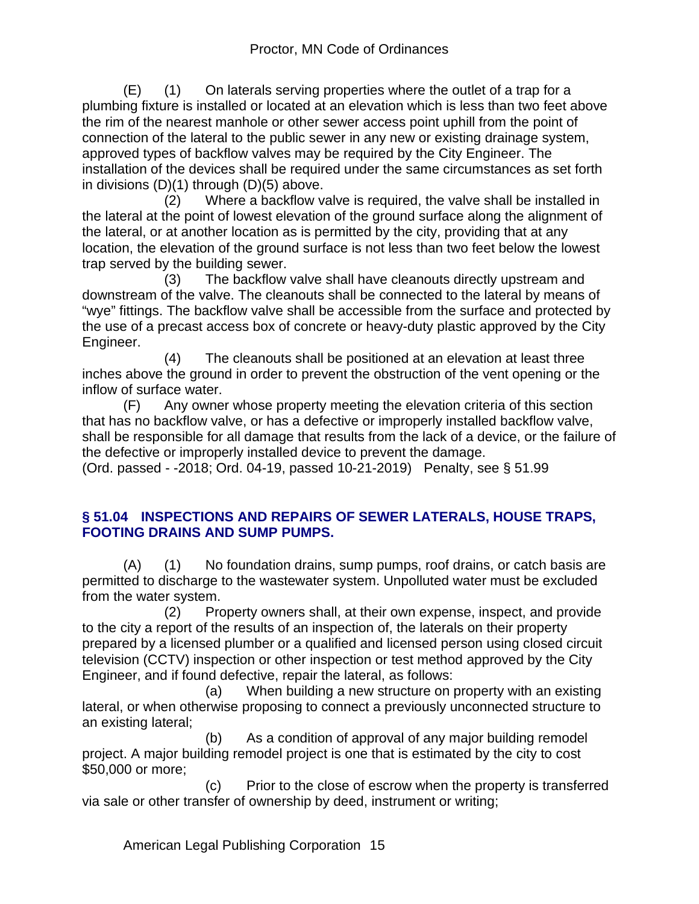(E) (1) On laterals serving properties where the outlet of a trap for a plumbing fixture is installed or located at an elevation which is less than two feet above the rim of the nearest manhole or other sewer access point uphill from the point of connection of the lateral to the public sewer in any new or existing drainage system, approved types of backflow valves may be required by the City Engineer. The installation of the devices shall be required under the same circumstances as set forth in divisions (D)(1) through (D)(5) above.

 (2) Where a backflow valve is required, the valve shall be installed in the lateral at the point of lowest elevation of the ground surface along the alignment of the lateral, or at another location as is permitted by the city, providing that at any location, the elevation of the ground surface is not less than two feet below the lowest trap served by the building sewer.

 (3) The backflow valve shall have cleanouts directly upstream and downstream of the valve. The cleanouts shall be connected to the lateral by means of "wye" fittings. The backflow valve shall be accessible from the surface and protected by the use of a precast access box of concrete or heavy-duty plastic approved by the City Engineer.

 (4) The cleanouts shall be positioned at an elevation at least three inches above the ground in order to prevent the obstruction of the vent opening or the inflow of surface water.

(F) Any owner whose property meeting the elevation criteria of this section that has no backflow valve, or has a defective or improperly installed backflow valve, shall be responsible for all damage that results from the lack of a device, or the failure of the defective or improperly installed device to prevent the damage.

(Ord. passed - -2018; Ord. 04-19, passed 10-21-2019) Penalty, see § 51.99

#### **§ 51.04 INSPECTIONS AND REPAIRS OF SEWER LATERALS, HOUSE TRAPS, FOOTING DRAINS AND SUMP PUMPS.**

(A) (1) No foundation drains, sump pumps, roof drains, or catch basis are permitted to discharge to the wastewater system. Unpolluted water must be excluded from the water system.

 (2) Property owners shall, at their own expense, inspect, and provide to the city a report of the results of an inspection of, the laterals on their property prepared by a licensed plumber or a qualified and licensed person using closed circuit television (CCTV) inspection or other inspection or test method approved by the City Engineer, and if found defective, repair the lateral, as follows:

 (a) When building a new structure on property with an existing lateral, or when otherwise proposing to connect a previously unconnected structure to an existing lateral;

 (b) As a condition of approval of any major building remodel project. A major building remodel project is one that is estimated by the city to cost \$50,000 or more;

 (c) Prior to the close of escrow when the property is transferred via sale or other transfer of ownership by deed, instrument or writing;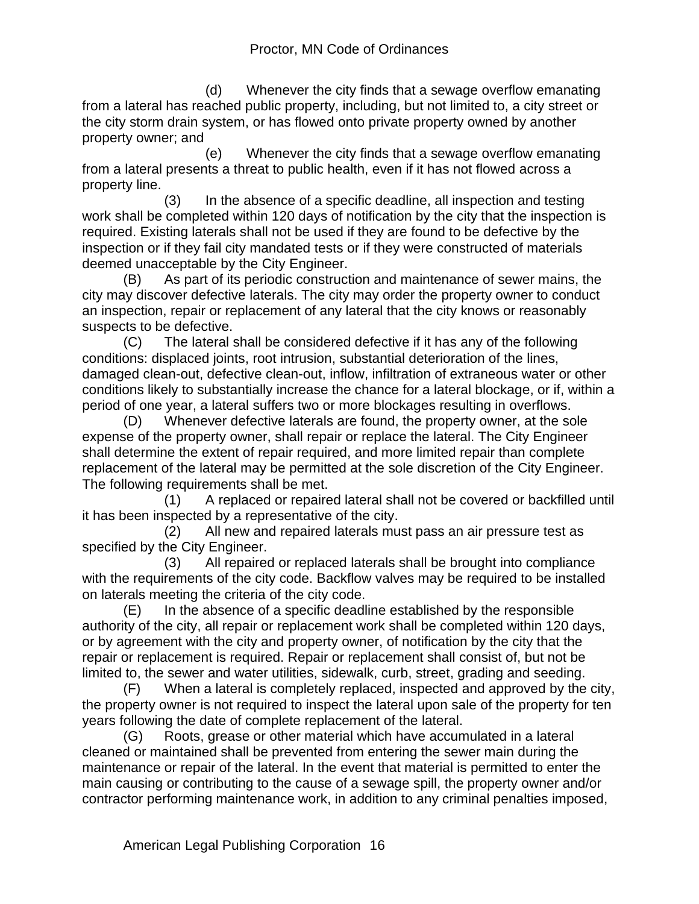(d) Whenever the city finds that a sewage overflow emanating from a lateral has reached public property, including, but not limited to, a city street or the city storm drain system, or has flowed onto private property owned by another property owner; and

 (e) Whenever the city finds that a sewage overflow emanating from a lateral presents a threat to public health, even if it has not flowed across a property line.

 (3) In the absence of a specific deadline, all inspection and testing work shall be completed within 120 days of notification by the city that the inspection is required. Existing laterals shall not be used if they are found to be defective by the inspection or if they fail city mandated tests or if they were constructed of materials deemed unacceptable by the City Engineer.

 (B) As part of its periodic construction and maintenance of sewer mains, the city may discover defective laterals. The city may order the property owner to conduct an inspection, repair or replacement of any lateral that the city knows or reasonably suspects to be defective.

(C) The lateral shall be considered defective if it has any of the following conditions: displaced joints, root intrusion, substantial deterioration of the lines, damaged clean-out, defective clean-out, inflow, infiltration of extraneous water or other conditions likely to substantially increase the chance for a lateral blockage, or if, within a period of one year, a lateral suffers two or more blockages resulting in overflows.

(D) Whenever defective laterals are found, the property owner, at the sole expense of the property owner, shall repair or replace the lateral. The City Engineer shall determine the extent of repair required, and more limited repair than complete replacement of the lateral may be permitted at the sole discretion of the City Engineer. The following requirements shall be met.

 (1) A replaced or repaired lateral shall not be covered or backfilled until it has been inspected by a representative of the city.

 (2) All new and repaired laterals must pass an air pressure test as specified by the City Engineer.

 (3) All repaired or replaced laterals shall be brought into compliance with the requirements of the city code. Backflow valves may be required to be installed on laterals meeting the criteria of the city code.

(E) In the absence of a specific deadline established by the responsible authority of the city, all repair or replacement work shall be completed within 120 days, or by agreement with the city and property owner, of notification by the city that the repair or replacement is required. Repair or replacement shall consist of, but not be limited to, the sewer and water utilities, sidewalk, curb, street, grading and seeding.

(F) When a lateral is completely replaced, inspected and approved by the city, the property owner is not required to inspect the lateral upon sale of the property for ten years following the date of complete replacement of the lateral.

(G) Roots, grease or other material which have accumulated in a lateral cleaned or maintained shall be prevented from entering the sewer main during the maintenance or repair of the lateral. In the event that material is permitted to enter the main causing or contributing to the cause of a sewage spill, the property owner and/or contractor performing maintenance work, in addition to any criminal penalties imposed,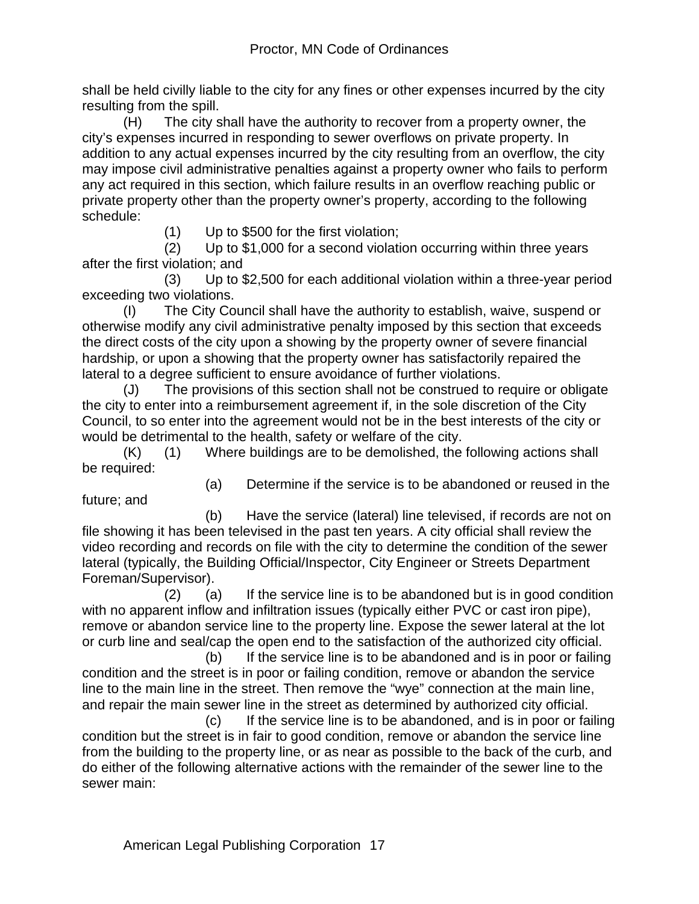shall be held civilly liable to the city for any fines or other expenses incurred by the city resulting from the spill.

(H) The city shall have the authority to recover from a property owner, the city's expenses incurred in responding to sewer overflows on private property. In addition to any actual expenses incurred by the city resulting from an overflow, the city may impose civil administrative penalties against a property owner who fails to perform any act required in this section, which failure results in an overflow reaching public or private property other than the property owner's property, according to the following schedule:

(1) Up to \$500 for the first violation;

 (2) Up to \$1,000 for a second violation occurring within three years after the first violation; and

 (3) Up to \$2,500 for each additional violation within a three-year period exceeding two violations.

(I) The City Council shall have the authority to establish, waive, suspend or otherwise modify any civil administrative penalty imposed by this section that exceeds the direct costs of the city upon a showing by the property owner of severe financial hardship, or upon a showing that the property owner has satisfactorily repaired the lateral to a degree sufficient to ensure avoidance of further violations.

(J) The provisions of this section shall not be construed to require or obligate the city to enter into a reimbursement agreement if, in the sole discretion of the City Council, to so enter into the agreement would not be in the best interests of the city or would be detrimental to the health, safety or welfare of the city.

(K) (1) Where buildings are to be demolished, the following actions shall be required:

future; and

(a) Determine if the service is to be abandoned or reused in the

 (b) Have the service (lateral) line televised, if records are not on file showing it has been televised in the past ten years. A city official shall review the video recording and records on file with the city to determine the condition of the sewer lateral (typically, the Building Official/Inspector, City Engineer or Streets Department Foreman/Supervisor).

 (2) (a) If the service line is to be abandoned but is in good condition with no apparent inflow and infiltration issues (typically either PVC or cast iron pipe), remove or abandon service line to the property line. Expose the sewer lateral at the lot or curb line and seal/cap the open end to the satisfaction of the authorized city official.

 (b) If the service line is to be abandoned and is in poor or failing condition and the street is in poor or failing condition, remove or abandon the service line to the main line in the street. Then remove the "wye" connection at the main line, and repair the main sewer line in the street as determined by authorized city official.

 (c) If the service line is to be abandoned, and is in poor or failing condition but the street is in fair to good condition, remove or abandon the service line from the building to the property line, or as near as possible to the back of the curb, and do either of the following alternative actions with the remainder of the sewer line to the sewer main: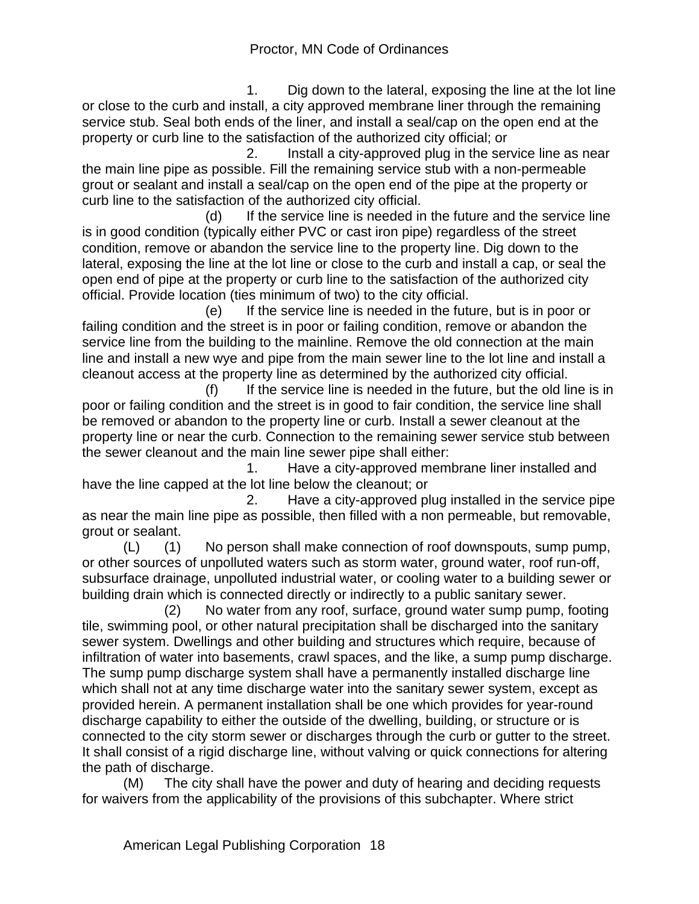1. Dig down to the lateral, exposing the line at the lot line or close to the curb and install, a city approved membrane liner through the remaining service stub. Seal both ends of the liner, and install a seal/cap on the open end at the property or curb line to the satisfaction of the authorized city official; or

 2. Install a city-approved plug in the service line as near the main line pipe as possible. Fill the remaining service stub with a non-permeable grout or sealant and install a seal/cap on the open end of the pipe at the property or curb line to the satisfaction of the authorized city official.

 (d) If the service line is needed in the future and the service line is in good condition (typically either PVC or cast iron pipe) regardless of the street condition, remove or abandon the service line to the property line. Dig down to the lateral, exposing the line at the lot line or close to the curb and install a cap, or seal the open end of pipe at the property or curb line to the satisfaction of the authorized city official. Provide location (ties minimum of two) to the city official.

 (e) If the service line is needed in the future, but is in poor or failing condition and the street is in poor or failing condition, remove or abandon the service line from the building to the mainline. Remove the old connection at the main line and install a new wye and pipe from the main sewer line to the lot line and install a cleanout access at the property line as determined by the authorized city official.

 (f) If the service line is needed in the future, but the old line is in poor or failing condition and the street is in good to fair condition, the service line shall be removed or abandon to the property line or curb. Install a sewer cleanout at the property line or near the curb. Connection to the remaining sewer service stub between the sewer cleanout and the main line sewer pipe shall either:

 1. Have a city-approved membrane liner installed and have the line capped at the lot line below the cleanout; or

 2. Have a city-approved plug installed in the service pipe as near the main line pipe as possible, then filled with a non permeable, but removable, grout or sealant.

(L) (1) No person shall make connection of roof downspouts, sump pump, or other sources of unpolluted waters such as storm water, ground water, roof run-off, subsurface drainage, unpolluted industrial water, or cooling water to a building sewer or building drain which is connected directly or indirectly to a public sanitary sewer.

 (2) No water from any roof, surface, ground water sump pump, footing tile, swimming pool, or other natural precipitation shall be discharged into the sanitary sewer system. Dwellings and other building and structures which require, because of infiltration of water into basements, crawl spaces, and the like, a sump pump discharge. The sump pump discharge system shall have a permanently installed discharge line which shall not at any time discharge water into the sanitary sewer system, except as provided herein. A permanent installation shall be one which provides for year-round discharge capability to either the outside of the dwelling, building, or structure or is connected to the city storm sewer or discharges through the curb or gutter to the street. It shall consist of a rigid discharge line, without valving or quick connections for altering the path of discharge.

(M) The city shall have the power and duty of hearing and deciding requests for waivers from the applicability of the provisions of this subchapter. Where strict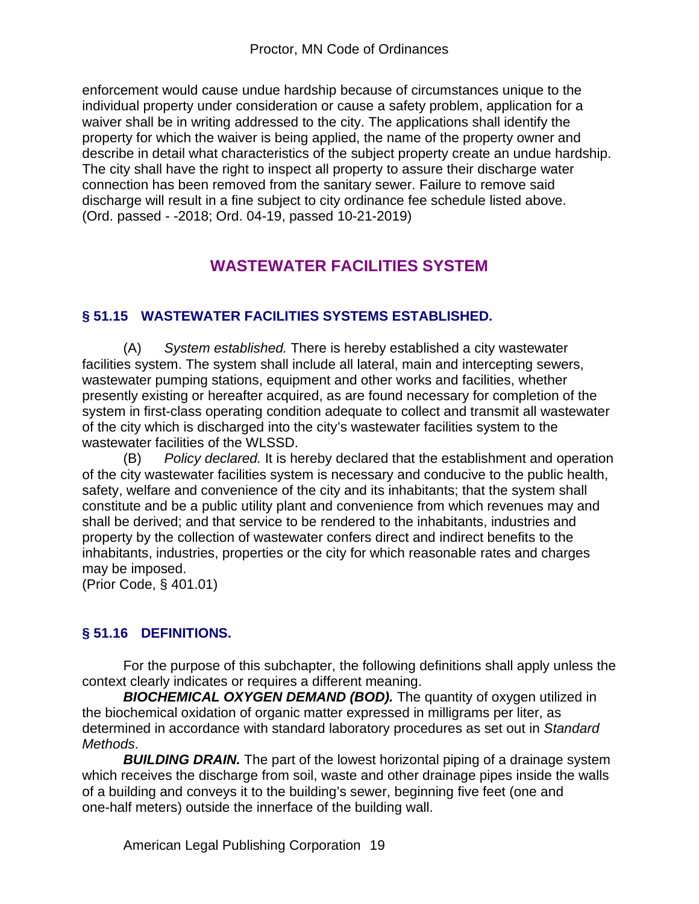enforcement would cause undue hardship because of circumstances unique to the individual property under consideration or cause a safety problem, application for a waiver shall be in writing addressed to the city. The applications shall identify the property for which the waiver is being applied, the name of the property owner and describe in detail what characteristics of the subject property create an undue hardship. The city shall have the right to inspect all property to assure their discharge water connection has been removed from the sanitary sewer. Failure to remove said discharge will result in a fine subject to city ordinance fee schedule listed above. (Ord. passed - -2018; Ord. 04-19, passed 10-21-2019)

# **WASTEWATER FACILITIES SYSTEM**

#### **§ 51.15 WASTEWATER FACILITIES SYSTEMS ESTABLISHED.**

(A) *System established.* There is hereby established a city wastewater facilities system. The system shall include all lateral, main and intercepting sewers, wastewater pumping stations, equipment and other works and facilities, whether presently existing or hereafter acquired, as are found necessary for completion of the system in first-class operating condition adequate to collect and transmit all wastewater of the city which is discharged into the city's wastewater facilities system to the wastewater facilities of the WLSSD.

(B) *Policy declared.* It is hereby declared that the establishment and operation of the city wastewater facilities system is necessary and conducive to the public health, safety, welfare and convenience of the city and its inhabitants; that the system shall constitute and be a public utility plant and convenience from which revenues may and shall be derived; and that service to be rendered to the inhabitants, industries and property by the collection of wastewater confers direct and indirect benefits to the inhabitants, industries, properties or the city for which reasonable rates and charges may be imposed.

(Prior Code, § 401.01)

## **§ 51.16 DEFINITIONS.**

For the purpose of this subchapter, the following definitions shall apply unless the context clearly indicates or requires a different meaning.

**BIOCHEMICAL OXYGEN DEMAND (BOD).** The quantity of oxygen utilized in the biochemical oxidation of organic matter expressed in milligrams per liter, as determined in accordance with standard laboratory procedures as set out in *Standard Methods*.

**BUILDING DRAIN.** The part of the lowest horizontal piping of a drainage system which receives the discharge from soil, waste and other drainage pipes inside the walls of a building and conveys it to the building's sewer, beginning five feet (one and one-half meters) outside the innerface of the building wall.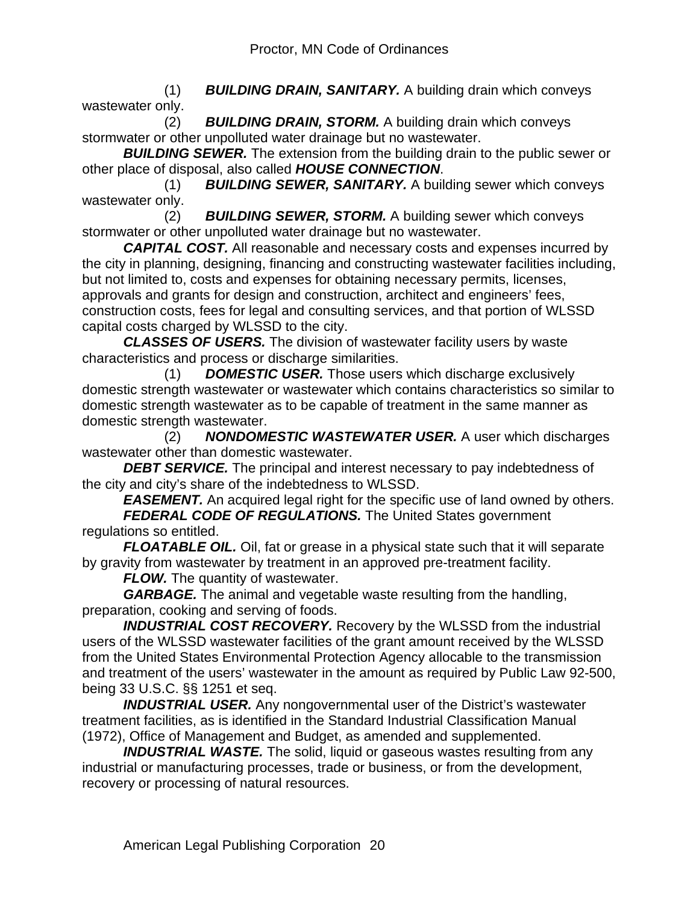(1) *BUILDING DRAIN, SANITARY.* A building drain which conveys wastewater only.

 (2) *BUILDING DRAIN, STORM.* A building drain which conveys stormwater or other unpolluted water drainage but no wastewater.

*BUILDING SEWER.* The extension from the building drain to the public sewer or other place of disposal, also called *HOUSE CONNECTION*.

 (1) *BUILDING SEWER, SANITARY.* A building sewer which conveys wastewater only.

 (2) *BUILDING SEWER, STORM.* A building sewer which conveys stormwater or other unpolluted water drainage but no wastewater.

*CAPITAL COST.* All reasonable and necessary costs and expenses incurred by the city in planning, designing, financing and constructing wastewater facilities including, but not limited to, costs and expenses for obtaining necessary permits, licenses, approvals and grants for design and construction, architect and engineers' fees, construction costs, fees for legal and consulting services, and that portion of WLSSD capital costs charged by WLSSD to the city.

*CLASSES OF USERS.* The division of wastewater facility users by waste characteristics and process or discharge similarities.

 (1) *DOMESTIC USER.* Those users which discharge exclusively domestic strength wastewater or wastewater which contains characteristics so similar to domestic strength wastewater as to be capable of treatment in the same manner as domestic strength wastewater.

 (2) *NONDOMESTIC WASTEWATER USER.* A user which discharges wastewater other than domestic wastewater.

*DEBT SERVICE.* The principal and interest necessary to pay indebtedness of the city and city's share of the indebtedness to WLSSD.

*EASEMENT.* An acquired legal right for the specific use of land owned by others.

**FEDERAL CODE OF REGULATIONS.** The United States government regulations so entitled.

*FLOATABLE OIL.* Oil, fat or grease in a physical state such that it will separate by gravity from wastewater by treatment in an approved pre-treatment facility.

*FLOW.* The quantity of wastewater.

*GARBAGE.* The animal and vegetable waste resulting from the handling, preparation, cooking and serving of foods.

*INDUSTRIAL COST RECOVERY.* Recovery by the WLSSD from the industrial users of the WLSSD wastewater facilities of the grant amount received by the WLSSD from the United States Environmental Protection Agency allocable to the transmission and treatment of the users' wastewater in the amount as required by Public Law 92-500, being 33 U.S.C. §§ 1251 et seq.

*INDUSTRIAL USER.* Any nongovernmental user of the District's wastewater treatment facilities, as is identified in the Standard Industrial Classification Manual (1972), Office of Management and Budget, as amended and supplemented.

*INDUSTRIAL WASTE.* The solid, liquid or gaseous wastes resulting from any industrial or manufacturing processes, trade or business, or from the development, recovery or processing of natural resources.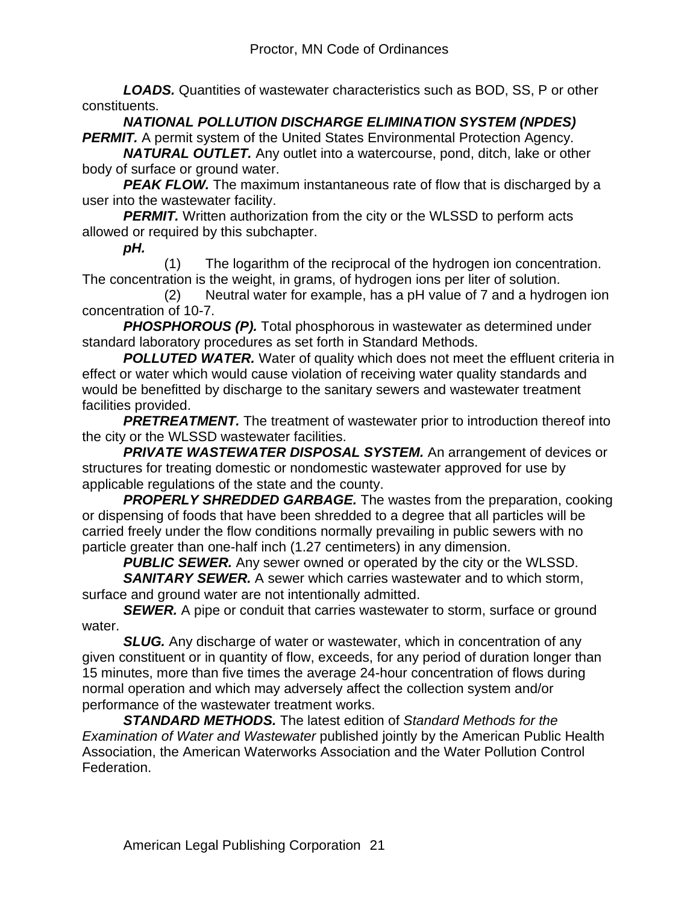*LOADS.* Quantities of wastewater characteristics such as BOD, SS, P or other constituents.

# *NATIONAL POLLUTION DISCHARGE ELIMINATION SYSTEM (NPDES)*

**PERMIT.** A permit system of the United States Environmental Protection Agency.

*NATURAL OUTLET.* Any outlet into a watercourse, pond, ditch, lake or other body of surface or ground water.

**PEAK FLOW.** The maximum instantaneous rate of flow that is discharged by a user into the wastewater facility.

**PERMIT.** Written authorization from the city or the WLSSD to perform acts allowed or required by this subchapter.

*pH.*

 (1) The logarithm of the reciprocal of the hydrogen ion concentration. The concentration is the weight, in grams, of hydrogen ions per liter of solution.

 (2) Neutral water for example, has a pH value of 7 and a hydrogen ion concentration of 10-7.

*PHOSPHOROUS (P).* Total phosphorous in wastewater as determined under standard laboratory procedures as set forth in Standard Methods.

**POLLUTED WATER.** Water of quality which does not meet the effluent criteria in effect or water which would cause violation of receiving water quality standards and would be benefitted by discharge to the sanitary sewers and wastewater treatment facilities provided.

**PRETREATMENT.** The treatment of wastewater prior to introduction thereof into the city or the WLSSD wastewater facilities.

*PRIVATE WASTEWATER DISPOSAL SYSTEM.* An arrangement of devices or structures for treating domestic or nondomestic wastewater approved for use by applicable regulations of the state and the county.

*PROPERLY SHREDDED GARBAGE.* The wastes from the preparation, cooking or dispensing of foods that have been shredded to a degree that all particles will be carried freely under the flow conditions normally prevailing in public sewers with no particle greater than one-half inch (1.27 centimeters) in any dimension.

**PUBLIC SEWER.** Any sewer owned or operated by the city or the WLSSD.

*SANITARY SEWER.* A sewer which carries wastewater and to which storm, surface and ground water are not intentionally admitted.

**SEWER.** A pipe or conduit that carries wastewater to storm, surface or ground water.

*SLUG.* Any discharge of water or wastewater, which in concentration of any given constituent or in quantity of flow, exceeds, for any period of duration longer than 15 minutes, more than five times the average 24-hour concentration of flows during normal operation and which may adversely affect the collection system and/or performance of the wastewater treatment works.

*STANDARD METHODS.* The latest edition of *Standard Methods for the Examination of Water and Wastewater* published jointly by the American Public Health Association, the American Waterworks Association and the Water Pollution Control Federation.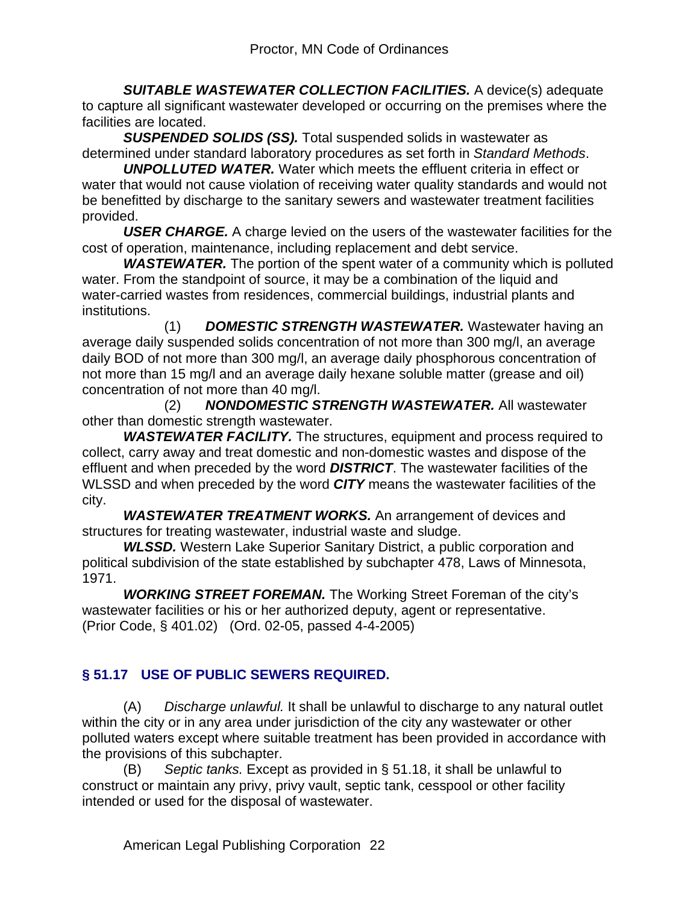*SUITABLE WASTEWATER COLLECTION FACILITIES.* A device(s) adequate to capture all significant wastewater developed or occurring on the premises where the facilities are located.

*SUSPENDED SOLIDS (SS).* Total suspended solids in wastewater as determined under standard laboratory procedures as set forth in *Standard Methods*.

*UNPOLLUTED WATER.* Water which meets the effluent criteria in effect or water that would not cause violation of receiving water quality standards and would not be benefitted by discharge to the sanitary sewers and wastewater treatment facilities provided.

*USER CHARGE.* A charge levied on the users of the wastewater facilities for the cost of operation, maintenance, including replacement and debt service.

*WASTEWATER.* The portion of the spent water of a community which is polluted water. From the standpoint of source, it may be a combination of the liquid and water-carried wastes from residences, commercial buildings, industrial plants and institutions.

 (1) *DOMESTIC STRENGTH WASTEWATER.* Wastewater having an average daily suspended solids concentration of not more than 300 mg/l, an average daily BOD of not more than 300 mg/l, an average daily phosphorous concentration of not more than 15 mg/l and an average daily hexane soluble matter (grease and oil) concentration of not more than 40 mg/l.

 (2) *NONDOMESTIC STRENGTH WASTEWATER.* All wastewater other than domestic strength wastewater.

*WASTEWATER FACILITY.* The structures, equipment and process required to collect, carry away and treat domestic and non-domestic wastes and dispose of the effluent and when preceded by the word *DISTRICT*. The wastewater facilities of the WLSSD and when preceded by the word *CITY* means the wastewater facilities of the city.

*WASTEWATER TREATMENT WORKS.* An arrangement of devices and structures for treating wastewater, industrial waste and sludge.

*WLSSD.* Western Lake Superior Sanitary District, a public corporation and political subdivision of the state established by subchapter 478, Laws of Minnesota, 1971.

*WORKING STREET FOREMAN.* The Working Street Foreman of the city's wastewater facilities or his or her authorized deputy, agent or representative. (Prior Code, § 401.02) (Ord. 02-05, passed 4-4-2005)

## **§ 51.17 USE OF PUBLIC SEWERS REQUIRED.**

(A) *Discharge unlawful.* It shall be unlawful to discharge to any natural outlet within the city or in any area under jurisdiction of the city any wastewater or other polluted waters except where suitable treatment has been provided in accordance with the provisions of this subchapter.

(B) *Septic tanks.* Except as provided in § 51.18, it shall be unlawful to construct or maintain any privy, privy vault, septic tank, cesspool or other facility intended or used for the disposal of wastewater.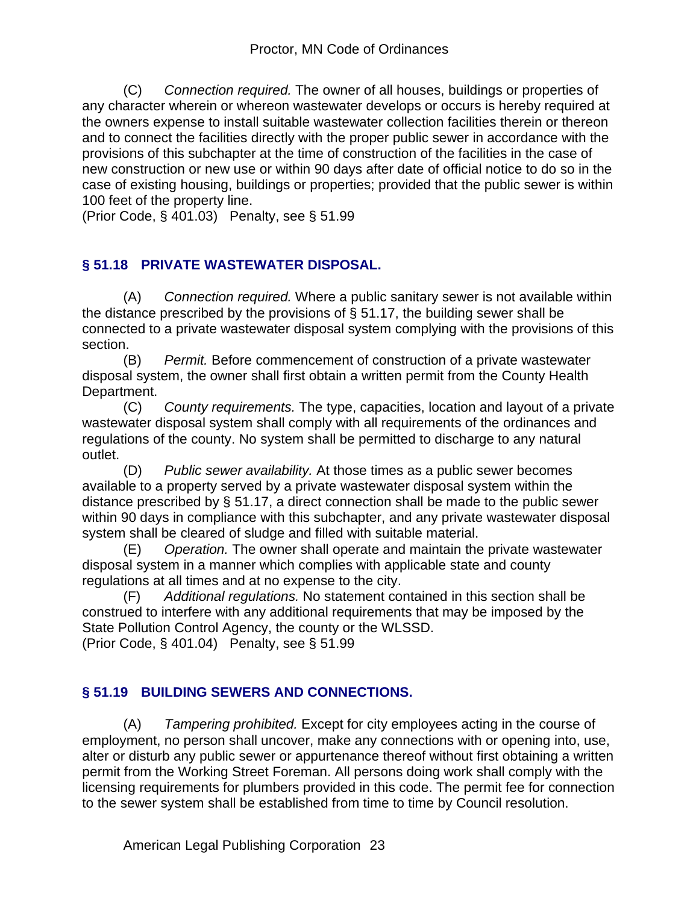(C) *Connection required.* The owner of all houses, buildings or properties of any character wherein or whereon wastewater develops or occurs is hereby required at the owners expense to install suitable wastewater collection facilities therein or thereon and to connect the facilities directly with the proper public sewer in accordance with the provisions of this subchapter at the time of construction of the facilities in the case of new construction or new use or within 90 days after date of official notice to do so in the case of existing housing, buildings or properties; provided that the public sewer is within 100 feet of the property line.

(Prior Code, § 401.03) Penalty, see § 51.99

#### **§ 51.18 PRIVATE WASTEWATER DISPOSAL.**

(A) *Connection required.* Where a public sanitary sewer is not available within the distance prescribed by the provisions of  $\S$  51.17, the building sewer shall be connected to a private wastewater disposal system complying with the provisions of this section.

(B) *Permit.* Before commencement of construction of a private wastewater disposal system, the owner shall first obtain a written permit from the County Health Department.

(C) *County requirements.* The type, capacities, location and layout of a private wastewater disposal system shall comply with all requirements of the ordinances and regulations of the county. No system shall be permitted to discharge to any natural outlet.

(D) *Public sewer availability.* At those times as a public sewer becomes available to a property served by a private wastewater disposal system within the distance prescribed by § 51.17, a direct connection shall be made to the public sewer within 90 days in compliance with this subchapter, and any private wastewater disposal system shall be cleared of sludge and filled with suitable material.

(E) *Operation.* The owner shall operate and maintain the private wastewater disposal system in a manner which complies with applicable state and county regulations at all times and at no expense to the city.

(F) *Additional regulations.* No statement contained in this section shall be construed to interfere with any additional requirements that may be imposed by the State Pollution Control Agency, the county or the WLSSD. (Prior Code, § 401.04) Penalty, see § 51.99

## **§ 51.19 BUILDING SEWERS AND CONNECTIONS.**

(A) *Tampering prohibited.* Except for city employees acting in the course of employment, no person shall uncover, make any connections with or opening into, use, alter or disturb any public sewer or appurtenance thereof without first obtaining a written permit from the Working Street Foreman. All persons doing work shall comply with the licensing requirements for plumbers provided in this code. The permit fee for connection to the sewer system shall be established from time to time by Council resolution.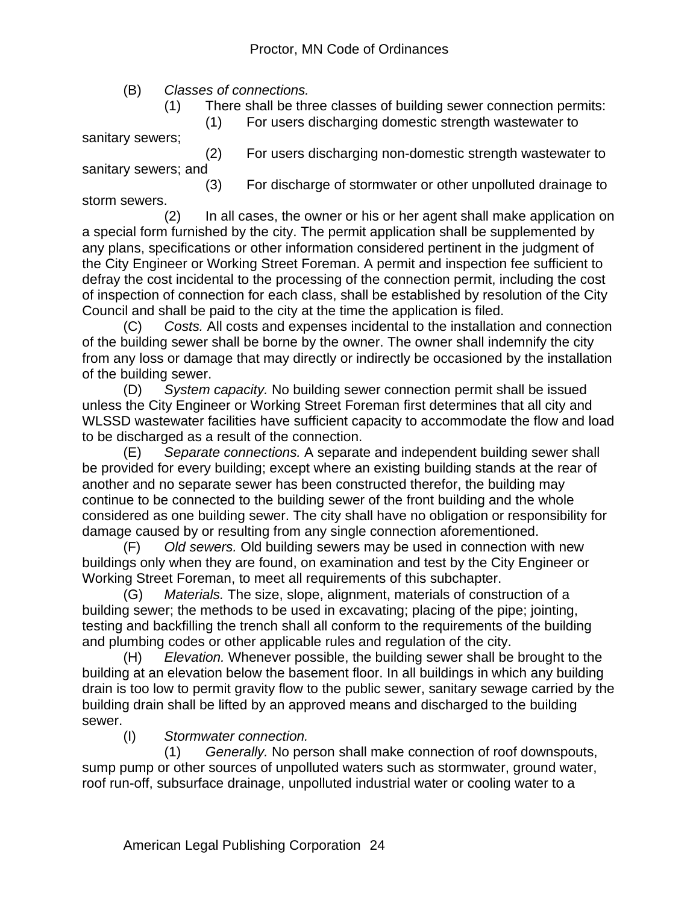(B) *Classes of connections.*

(1) There shall be three classes of building sewer connection permits:

(1) For users discharging domestic strength wastewater to

sanitary sewers;

 (2) For users discharging non-domestic strength wastewater to sanitary sewers; and

 (3) For discharge of stormwater or other unpolluted drainage to storm sewers.

 (2) In all cases, the owner or his or her agent shall make application on a special form furnished by the city. The permit application shall be supplemented by any plans, specifications or other information considered pertinent in the judgment of the City Engineer or Working Street Foreman. A permit and inspection fee sufficient to defray the cost incidental to the processing of the connection permit, including the cost of inspection of connection for each class, shall be established by resolution of the City Council and shall be paid to the city at the time the application is filed.

(C) *Costs.* All costs and expenses incidental to the installation and connection of the building sewer shall be borne by the owner. The owner shall indemnify the city from any loss or damage that may directly or indirectly be occasioned by the installation of the building sewer.

(D) *System capacity.* No building sewer connection permit shall be issued unless the City Engineer or Working Street Foreman first determines that all city and WLSSD wastewater facilities have sufficient capacity to accommodate the flow and load to be discharged as a result of the connection.

(E) *Separate connections.* A separate and independent building sewer shall be provided for every building; except where an existing building stands at the rear of another and no separate sewer has been constructed therefor, the building may continue to be connected to the building sewer of the front building and the whole considered as one building sewer. The city shall have no obligation or responsibility for damage caused by or resulting from any single connection aforementioned.

(F) *Old sewers.* Old building sewers may be used in connection with new buildings only when they are found, on examination and test by the City Engineer or Working Street Foreman, to meet all requirements of this subchapter.

(G) *Materials.* The size, slope, alignment, materials of construction of a building sewer; the methods to be used in excavating; placing of the pipe; jointing, testing and backfilling the trench shall all conform to the requirements of the building and plumbing codes or other applicable rules and regulation of the city.

(H) *Elevation.* Whenever possible, the building sewer shall be brought to the building at an elevation below the basement floor. In all buildings in which any building drain is too low to permit gravity flow to the public sewer, sanitary sewage carried by the building drain shall be lifted by an approved means and discharged to the building sewer.

#### (I) *Stormwater connection.*

 (1) *Generally.* No person shall make connection of roof downspouts, sump pump or other sources of unpolluted waters such as stormwater, ground water, roof run-off, subsurface drainage, unpolluted industrial water or cooling water to a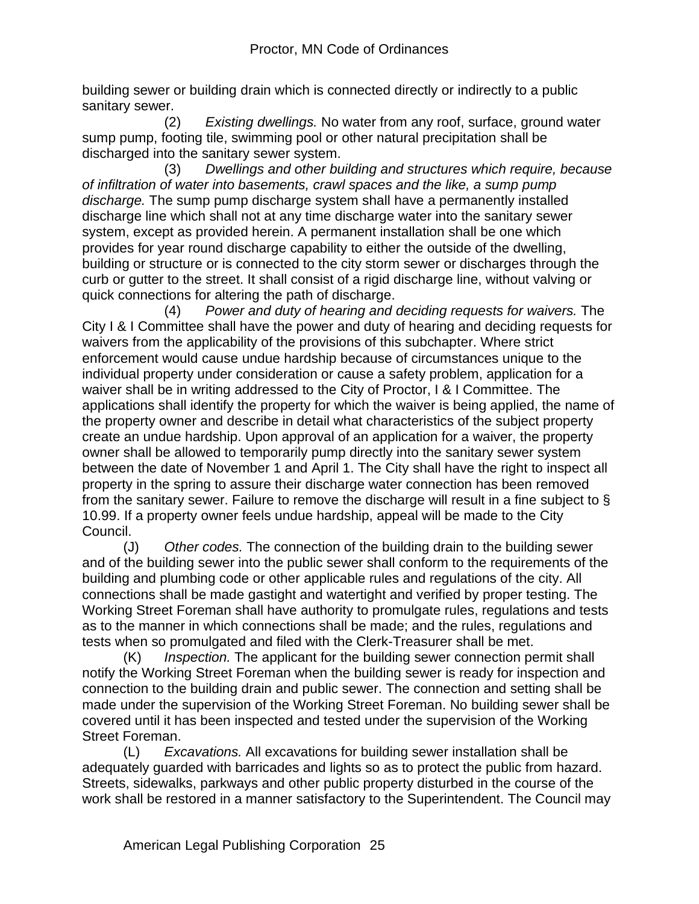building sewer or building drain which is connected directly or indirectly to a public sanitary sewer.

 (2) *Existing dwellings.* No water from any roof, surface, ground water sump pump, footing tile, swimming pool or other natural precipitation shall be discharged into the sanitary sewer system.

 (3) *Dwellings and other building and structures which require, because of infiltration of water into basements, crawl spaces and the like, a sump pump discharge.* The sump pump discharge system shall have a permanently installed discharge line which shall not at any time discharge water into the sanitary sewer system, except as provided herein. A permanent installation shall be one which provides for year round discharge capability to either the outside of the dwelling, building or structure or is connected to the city storm sewer or discharges through the curb or gutter to the street. It shall consist of a rigid discharge line, without valving or quick connections for altering the path of discharge.

 (4) *Power and duty of hearing and deciding requests for waivers.* The City I & I Committee shall have the power and duty of hearing and deciding requests for waivers from the applicability of the provisions of this subchapter. Where strict enforcement would cause undue hardship because of circumstances unique to the individual property under consideration or cause a safety problem, application for a waiver shall be in writing addressed to the City of Proctor, I & I Committee. The applications shall identify the property for which the waiver is being applied, the name of the property owner and describe in detail what characteristics of the subject property create an undue hardship. Upon approval of an application for a waiver, the property owner shall be allowed to temporarily pump directly into the sanitary sewer system between the date of November 1 and April 1. The City shall have the right to inspect all property in the spring to assure their discharge water connection has been removed from the sanitary sewer. Failure to remove the discharge will result in a fine subject to § 10.99. If a property owner feels undue hardship, appeal will be made to the City Council.

(J) *Other codes.* The connection of the building drain to the building sewer and of the building sewer into the public sewer shall conform to the requirements of the building and plumbing code or other applicable rules and regulations of the city. All connections shall be made gastight and watertight and verified by proper testing. The Working Street Foreman shall have authority to promulgate rules, regulations and tests as to the manner in which connections shall be made; and the rules, regulations and tests when so promulgated and filed with the Clerk-Treasurer shall be met.

(K) *Inspection.* The applicant for the building sewer connection permit shall notify the Working Street Foreman when the building sewer is ready for inspection and connection to the building drain and public sewer. The connection and setting shall be made under the supervision of the Working Street Foreman. No building sewer shall be covered until it has been inspected and tested under the supervision of the Working Street Foreman.

(L) *Excavations.* All excavations for building sewer installation shall be adequately guarded with barricades and lights so as to protect the public from hazard. Streets, sidewalks, parkways and other public property disturbed in the course of the work shall be restored in a manner satisfactory to the Superintendent. The Council may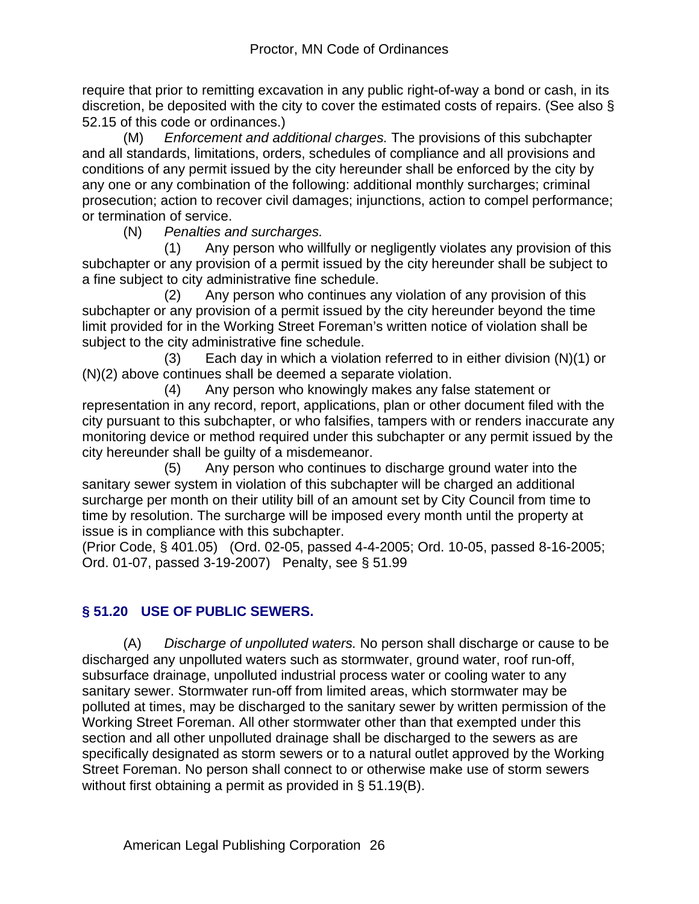require that prior to remitting excavation in any public right-of-way a bond or cash, in its discretion, be deposited with the city to cover the estimated costs of repairs. (See also § 52.15 of this code or ordinances.)

(M) *Enforcement and additional charges.* The provisions of this subchapter and all standards, limitations, orders, schedules of compliance and all provisions and conditions of any permit issued by the city hereunder shall be enforced by the city by any one or any combination of the following: additional monthly surcharges; criminal prosecution; action to recover civil damages; injunctions, action to compel performance; or termination of service.

(N) *Penalties and surcharges.*

 (1) Any person who willfully or negligently violates any provision of this subchapter or any provision of a permit issued by the city hereunder shall be subject to a fine subject to city administrative fine schedule.

 (2) Any person who continues any violation of any provision of this subchapter or any provision of a permit issued by the city hereunder beyond the time limit provided for in the Working Street Foreman's written notice of violation shall be subject to the city administrative fine schedule.

(3) Each day in which a violation referred to in either division  $(N)(1)$  or (N)(2) above continues shall be deemed a separate violation.

 (4) Any person who knowingly makes any false statement or representation in any record, report, applications, plan or other document filed with the city pursuant to this subchapter, or who falsifies, tampers with or renders inaccurate any monitoring device or method required under this subchapter or any permit issued by the city hereunder shall be guilty of a misdemeanor.

 (5) Any person who continues to discharge ground water into the sanitary sewer system in violation of this subchapter will be charged an additional surcharge per month on their utility bill of an amount set by City Council from time to time by resolution. The surcharge will be imposed every month until the property at issue is in compliance with this subchapter.

(Prior Code, § 401.05) (Ord. 02-05, passed 4-4-2005; Ord. 10-05, passed 8-16-2005; Ord. 01-07, passed 3-19-2007) Penalty, see § 51.99

## **§ 51.20 USE OF PUBLIC SEWERS.**

(A) *Discharge of unpolluted waters.* No person shall discharge or cause to be discharged any unpolluted waters such as stormwater, ground water, roof run-off, subsurface drainage, unpolluted industrial process water or cooling water to any sanitary sewer. Stormwater run-off from limited areas, which stormwater may be polluted at times, may be discharged to the sanitary sewer by written permission of the Working Street Foreman. All other stormwater other than that exempted under this section and all other unpolluted drainage shall be discharged to the sewers as are specifically designated as storm sewers or to a natural outlet approved by the Working Street Foreman. No person shall connect to or otherwise make use of storm sewers without first obtaining a permit as provided in § 51.19(B).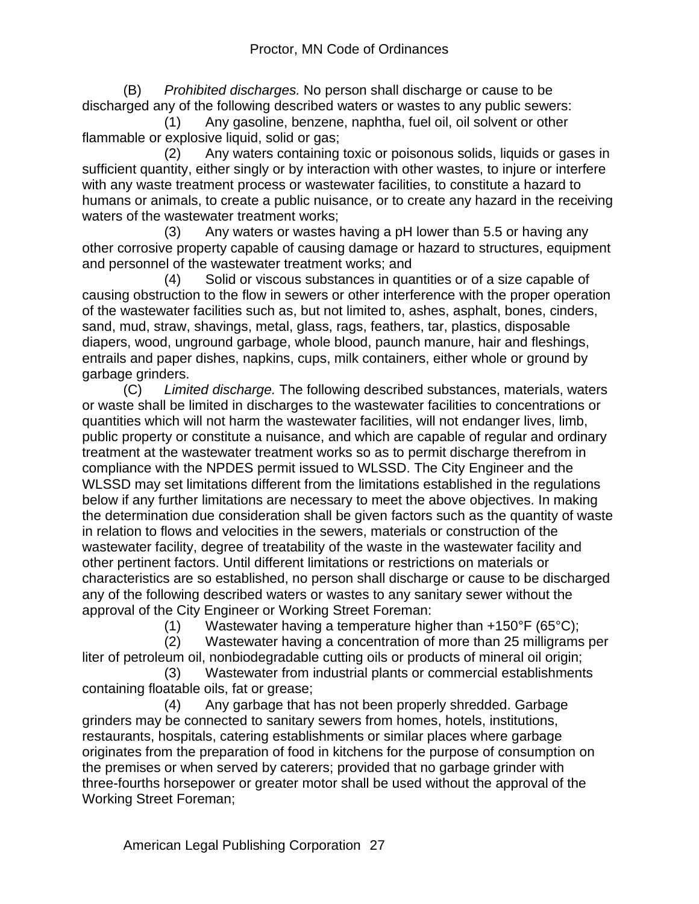(B) *Prohibited discharges.* No person shall discharge or cause to be discharged any of the following described waters or wastes to any public sewers:

 (1) Any gasoline, benzene, naphtha, fuel oil, oil solvent or other flammable or explosive liquid, solid or gas;

 (2) Any waters containing toxic or poisonous solids, liquids or gases in sufficient quantity, either singly or by interaction with other wastes, to injure or interfere with any waste treatment process or wastewater facilities, to constitute a hazard to humans or animals, to create a public nuisance, or to create any hazard in the receiving waters of the wastewater treatment works;

 (3) Any waters or wastes having a pH lower than 5.5 or having any other corrosive property capable of causing damage or hazard to structures, equipment and personnel of the wastewater treatment works; and

 (4) Solid or viscous substances in quantities or of a size capable of causing obstruction to the flow in sewers or other interference with the proper operation of the wastewater facilities such as, but not limited to, ashes, asphalt, bones, cinders, sand, mud, straw, shavings, metal, glass, rags, feathers, tar, plastics, disposable diapers, wood, unground garbage, whole blood, paunch manure, hair and fleshings, entrails and paper dishes, napkins, cups, milk containers, either whole or ground by garbage grinders.

(C) *Limited discharge.* The following described substances, materials, waters or waste shall be limited in discharges to the wastewater facilities to concentrations or quantities which will not harm the wastewater facilities, will not endanger lives, limb, public property or constitute a nuisance, and which are capable of regular and ordinary treatment at the wastewater treatment works so as to permit discharge therefrom in compliance with the NPDES permit issued to WLSSD. The City Engineer and the WLSSD may set limitations different from the limitations established in the regulations below if any further limitations are necessary to meet the above objectives. In making the determination due consideration shall be given factors such as the quantity of waste in relation to flows and velocities in the sewers, materials or construction of the wastewater facility, degree of treatability of the waste in the wastewater facility and other pertinent factors. Until different limitations or restrictions on materials or characteristics are so established, no person shall discharge or cause to be discharged any of the following described waters or wastes to any sanitary sewer without the approval of the City Engineer or Working Street Foreman:

(1) Wastewater having a temperature higher than  $+150^{\circ}F$  (65 $^{\circ}C$ );

 (2) Wastewater having a concentration of more than 25 milligrams per liter of petroleum oil, nonbiodegradable cutting oils or products of mineral oil origin;

 (3) Wastewater from industrial plants or commercial establishments containing floatable oils, fat or grease;

 (4) Any garbage that has not been properly shredded. Garbage grinders may be connected to sanitary sewers from homes, hotels, institutions, restaurants, hospitals, catering establishments or similar places where garbage originates from the preparation of food in kitchens for the purpose of consumption on the premises or when served by caterers; provided that no garbage grinder with three-fourths horsepower or greater motor shall be used without the approval of the Working Street Foreman;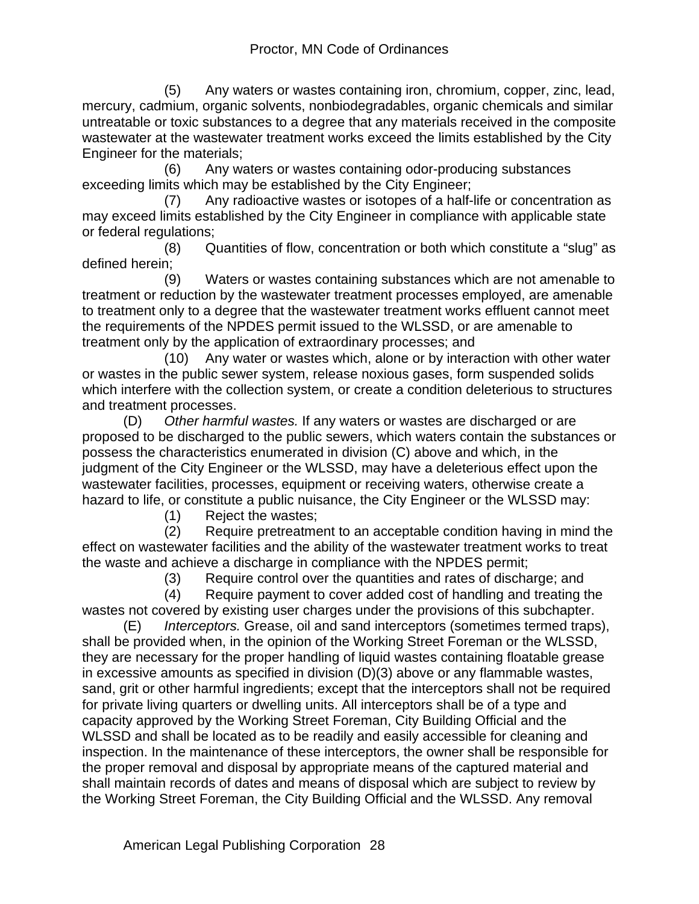(5) Any waters or wastes containing iron, chromium, copper, zinc, lead, mercury, cadmium, organic solvents, nonbiodegradables, organic chemicals and similar untreatable or toxic substances to a degree that any materials received in the composite wastewater at the wastewater treatment works exceed the limits established by the City Engineer for the materials;

 (6) Any waters or wastes containing odor-producing substances exceeding limits which may be established by the City Engineer;

 (7) Any radioactive wastes or isotopes of a half-life or concentration as may exceed limits established by the City Engineer in compliance with applicable state or federal regulations;

 (8) Quantities of flow, concentration or both which constitute a "slug" as defined herein;

 (9) Waters or wastes containing substances which are not amenable to treatment or reduction by the wastewater treatment processes employed, are amenable to treatment only to a degree that the wastewater treatment works effluent cannot meet the requirements of the NPDES permit issued to the WLSSD, or are amenable to treatment only by the application of extraordinary processes; and

 (10) Any water or wastes which, alone or by interaction with other water or wastes in the public sewer system, release noxious gases, form suspended solids which interfere with the collection system, or create a condition deleterious to structures and treatment processes.

(D) *Other harmful wastes.* If any waters or wastes are discharged or are proposed to be discharged to the public sewers, which waters contain the substances or possess the characteristics enumerated in division (C) above and which, in the judgment of the City Engineer or the WLSSD, may have a deleterious effect upon the wastewater facilities, processes, equipment or receiving waters, otherwise create a hazard to life, or constitute a public nuisance, the City Engineer or the WLSSD may:

(1) Reject the wastes;

 (2) Require pretreatment to an acceptable condition having in mind the effect on wastewater facilities and the ability of the wastewater treatment works to treat the waste and achieve a discharge in compliance with the NPDES permit;

(3) Require control over the quantities and rates of discharge; and

 (4) Require payment to cover added cost of handling and treating the wastes not covered by existing user charges under the provisions of this subchapter.

(E) *Interceptors.* Grease, oil and sand interceptors (sometimes termed traps), shall be provided when, in the opinion of the Working Street Foreman or the WLSSD, they are necessary for the proper handling of liquid wastes containing floatable grease in excessive amounts as specified in division (D)(3) above or any flammable wastes, sand, grit or other harmful ingredients; except that the interceptors shall not be required for private living quarters or dwelling units. All interceptors shall be of a type and capacity approved by the Working Street Foreman, City Building Official and the WLSSD and shall be located as to be readily and easily accessible for cleaning and inspection. In the maintenance of these interceptors, the owner shall be responsible for the proper removal and disposal by appropriate means of the captured material and shall maintain records of dates and means of disposal which are subject to review by the Working Street Foreman, the City Building Official and the WLSSD. Any removal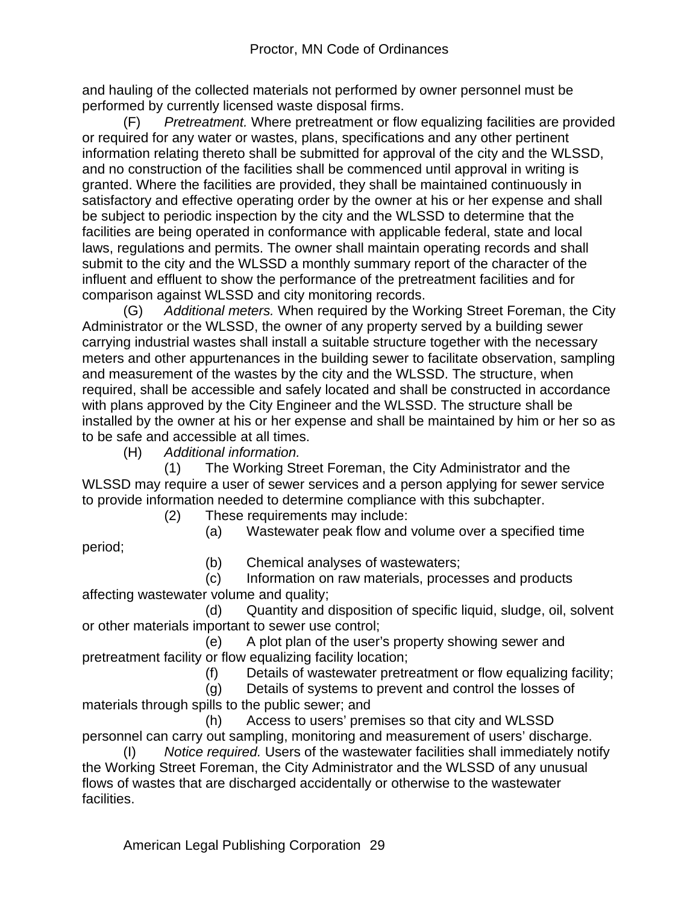and hauling of the collected materials not performed by owner personnel must be performed by currently licensed waste disposal firms.

(F) *Pretreatment.* Where pretreatment or flow equalizing facilities are provided or required for any water or wastes, plans, specifications and any other pertinent information relating thereto shall be submitted for approval of the city and the WLSSD, and no construction of the facilities shall be commenced until approval in writing is granted. Where the facilities are provided, they shall be maintained continuously in satisfactory and effective operating order by the owner at his or her expense and shall be subject to periodic inspection by the city and the WLSSD to determine that the facilities are being operated in conformance with applicable federal, state and local laws, regulations and permits. The owner shall maintain operating records and shall submit to the city and the WLSSD a monthly summary report of the character of the influent and effluent to show the performance of the pretreatment facilities and for comparison against WLSSD and city monitoring records.

(G) *Additional meters.* When required by the Working Street Foreman, the City Administrator or the WLSSD, the owner of any property served by a building sewer carrying industrial wastes shall install a suitable structure together with the necessary meters and other appurtenances in the building sewer to facilitate observation, sampling and measurement of the wastes by the city and the WLSSD. The structure, when required, shall be accessible and safely located and shall be constructed in accordance with plans approved by the City Engineer and the WLSSD. The structure shall be installed by the owner at his or her expense and shall be maintained by him or her so as to be safe and accessible at all times.

(H) *Additional information.*

 (1) The Working Street Foreman, the City Administrator and the WLSSD may require a user of sewer services and a person applying for sewer service to provide information needed to determine compliance with this subchapter.

(2) These requirements may include:

(a) Wastewater peak flow and volume over a specified time

period;

(b) Chemical analyses of wastewaters;

 (c) Information on raw materials, processes and products affecting wastewater volume and quality;

 (d) Quantity and disposition of specific liquid, sludge, oil, solvent or other materials important to sewer use control;

 (e) A plot plan of the user's property showing sewer and pretreatment facility or flow equalizing facility location;

(f) Details of wastewater pretreatment or flow equalizing facility;

 (g) Details of systems to prevent and control the losses of materials through spills to the public sewer; and

 (h) Access to users' premises so that city and WLSSD personnel can carry out sampling, monitoring and measurement of users' discharge.

(I) *Notice required.* Users of the wastewater facilities shall immediately notify the Working Street Foreman, the City Administrator and the WLSSD of any unusual flows of wastes that are discharged accidentally or otherwise to the wastewater facilities.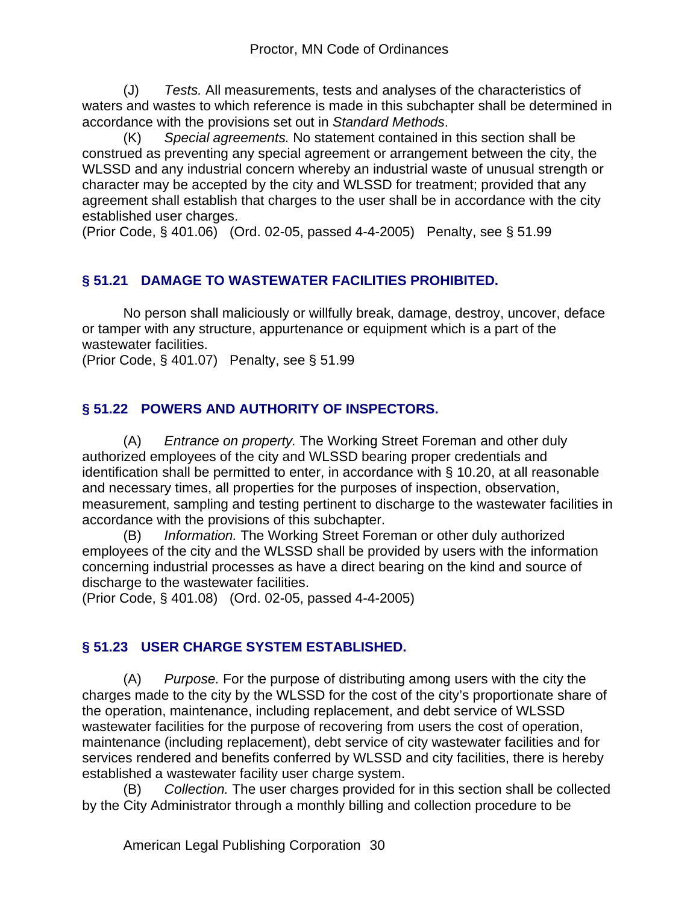(J) *Tests.* All measurements, tests and analyses of the characteristics of waters and wastes to which reference is made in this subchapter shall be determined in accordance with the provisions set out in *Standard Methods*.

(K) *Special agreements.* No statement contained in this section shall be construed as preventing any special agreement or arrangement between the city, the WLSSD and any industrial concern whereby an industrial waste of unusual strength or character may be accepted by the city and WLSSD for treatment; provided that any agreement shall establish that charges to the user shall be in accordance with the city established user charges.

(Prior Code, § 401.06) (Ord. 02-05, passed 4-4-2005) Penalty, see § 51.99

#### **§ 51.21 DAMAGE TO WASTEWATER FACILITIES PROHIBITED.**

No person shall maliciously or willfully break, damage, destroy, uncover, deface or tamper with any structure, appurtenance or equipment which is a part of the wastewater facilities.

(Prior Code, § 401.07) Penalty, see § 51.99

## **§ 51.22 POWERS AND AUTHORITY OF INSPECTORS.**

(A) *Entrance on property.* The Working Street Foreman and other duly authorized employees of the city and WLSSD bearing proper credentials and identification shall be permitted to enter, in accordance with § 10.20, at all reasonable and necessary times, all properties for the purposes of inspection, observation, measurement, sampling and testing pertinent to discharge to the wastewater facilities in accordance with the provisions of this subchapter.

(B) *Information.* The Working Street Foreman or other duly authorized employees of the city and the WLSSD shall be provided by users with the information concerning industrial processes as have a direct bearing on the kind and source of discharge to the wastewater facilities.

(Prior Code, § 401.08) (Ord. 02-05, passed 4-4-2005)

## **§ 51.23 USER CHARGE SYSTEM ESTABLISHED.**

(A) *Purpose.* For the purpose of distributing among users with the city the charges made to the city by the WLSSD for the cost of the city's proportionate share of the operation, maintenance, including replacement, and debt service of WLSSD wastewater facilities for the purpose of recovering from users the cost of operation, maintenance (including replacement), debt service of city wastewater facilities and for services rendered and benefits conferred by WLSSD and city facilities, there is hereby established a wastewater facility user charge system.

(B) *Collection.* The user charges provided for in this section shall be collected by the City Administrator through a monthly billing and collection procedure to be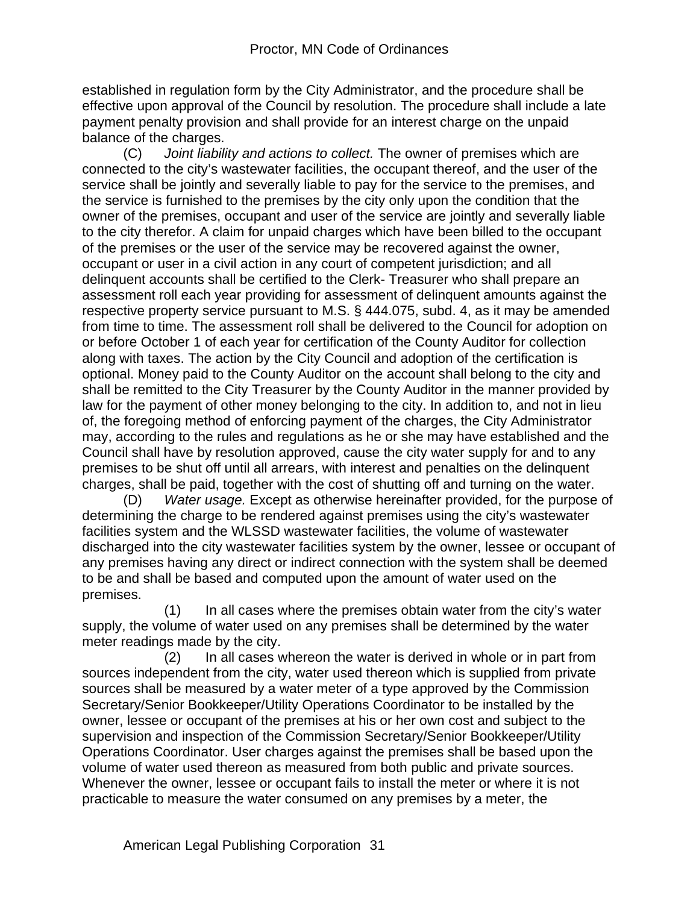established in regulation form by the City Administrator, and the procedure shall be effective upon approval of the Council by resolution. The procedure shall include a late payment penalty provision and shall provide for an interest charge on the unpaid balance of the charges.

(C) *Joint liability and actions to collect.* The owner of premises which are connected to the city's wastewater facilities, the occupant thereof, and the user of the service shall be jointly and severally liable to pay for the service to the premises, and the service is furnished to the premises by the city only upon the condition that the owner of the premises, occupant and user of the service are jointly and severally liable to the city therefor. A claim for unpaid charges which have been billed to the occupant of the premises or the user of the service may be recovered against the owner, occupant or user in a civil action in any court of competent jurisdiction; and all delinquent accounts shall be certified to the Clerk- Treasurer who shall prepare an assessment roll each year providing for assessment of delinquent amounts against the respective property service pursuant to M.S. § 444.075, subd. 4, as it may be amended from time to time. The assessment roll shall be delivered to the Council for adoption on or before October 1 of each year for certification of the County Auditor for collection along with taxes. The action by the City Council and adoption of the certification is optional. Money paid to the County Auditor on the account shall belong to the city and shall be remitted to the City Treasurer by the County Auditor in the manner provided by law for the payment of other money belonging to the city. In addition to, and not in lieu of, the foregoing method of enforcing payment of the charges, the City Administrator may, according to the rules and regulations as he or she may have established and the Council shall have by resolution approved, cause the city water supply for and to any premises to be shut off until all arrears, with interest and penalties on the delinquent charges, shall be paid, together with the cost of shutting off and turning on the water.

(D) *Water usage.* Except as otherwise hereinafter provided, for the purpose of determining the charge to be rendered against premises using the city's wastewater facilities system and the WLSSD wastewater facilities, the volume of wastewater discharged into the city wastewater facilities system by the owner, lessee or occupant of any premises having any direct or indirect connection with the system shall be deemed to be and shall be based and computed upon the amount of water used on the premises.

 (1) In all cases where the premises obtain water from the city's water supply, the volume of water used on any premises shall be determined by the water meter readings made by the city.

 (2) In all cases whereon the water is derived in whole or in part from sources independent from the city, water used thereon which is supplied from private sources shall be measured by a water meter of a type approved by the Commission Secretary/Senior Bookkeeper/Utility Operations Coordinator to be installed by the owner, lessee or occupant of the premises at his or her own cost and subject to the supervision and inspection of the Commission Secretary/Senior Bookkeeper/Utility Operations Coordinator. User charges against the premises shall be based upon the volume of water used thereon as measured from both public and private sources. Whenever the owner, lessee or occupant fails to install the meter or where it is not practicable to measure the water consumed on any premises by a meter, the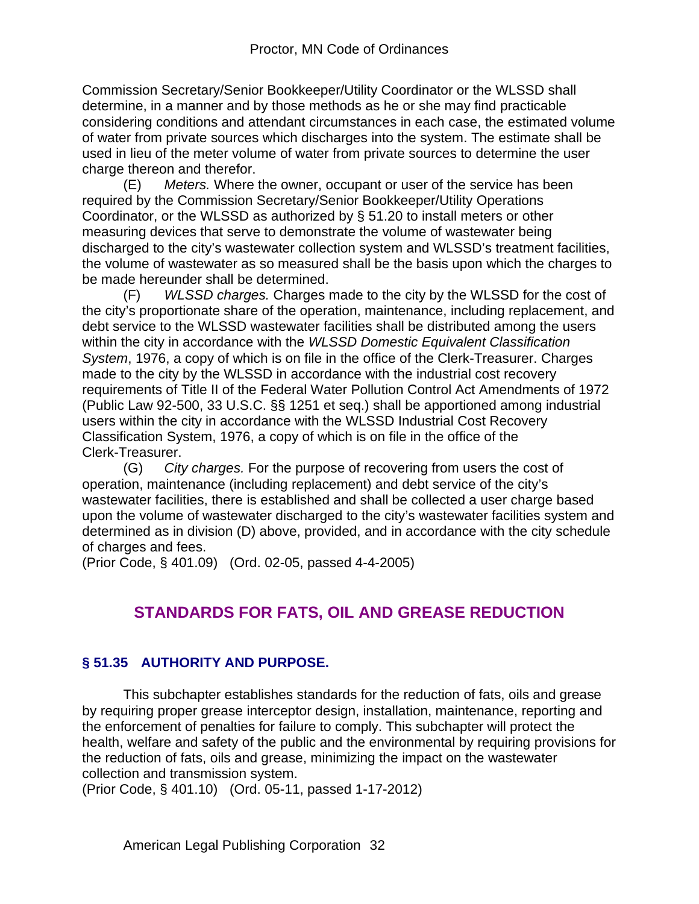Commission Secretary/Senior Bookkeeper/Utility Coordinator or the WLSSD shall determine, in a manner and by those methods as he or she may find practicable considering conditions and attendant circumstances in each case, the estimated volume of water from private sources which discharges into the system. The estimate shall be used in lieu of the meter volume of water from private sources to determine the user charge thereon and therefor.

(E) *Meters.* Where the owner, occupant or user of the service has been required by the Commission Secretary/Senior Bookkeeper/Utility Operations Coordinator, or the WLSSD as authorized by § 51.20 to install meters or other measuring devices that serve to demonstrate the volume of wastewater being discharged to the city's wastewater collection system and WLSSD's treatment facilities, the volume of wastewater as so measured shall be the basis upon which the charges to be made hereunder shall be determined.

(F) *WLSSD charges.* Charges made to the city by the WLSSD for the cost of the city's proportionate share of the operation, maintenance, including replacement, and debt service to the WLSSD wastewater facilities shall be distributed among the users within the city in accordance with the *WLSSD Domestic Equivalent Classification System*, 1976, a copy of which is on file in the office of the Clerk-Treasurer. Charges made to the city by the WLSSD in accordance with the industrial cost recovery requirements of Title II of the Federal Water Pollution Control Act Amendments of 1972 (Public Law 92-500, 33 U.S.C. §§ 1251 et seq.) shall be apportioned among industrial users within the city in accordance with the WLSSD Industrial Cost Recovery Classification System, 1976, a copy of which is on file in the office of the Clerk-Treasurer.

(G) *City charges.* For the purpose of recovering from users the cost of operation, maintenance (including replacement) and debt service of the city's wastewater facilities, there is established and shall be collected a user charge based upon the volume of wastewater discharged to the city's wastewater facilities system and determined as in division (D) above, provided, and in accordance with the city schedule of charges and fees.

(Prior Code, § 401.09) (Ord. 02-05, passed 4-4-2005)

# **STANDARDS FOR FATS, OIL AND GREASE REDUCTION**

## **§ 51.35 AUTHORITY AND PURPOSE.**

This subchapter establishes standards for the reduction of fats, oils and grease by requiring proper grease interceptor design, installation, maintenance, reporting and the enforcement of penalties for failure to comply. This subchapter will protect the health, welfare and safety of the public and the environmental by requiring provisions for the reduction of fats, oils and grease, minimizing the impact on the wastewater collection and transmission system.

(Prior Code, § 401.10) (Ord. 05-11, passed 1-17-2012)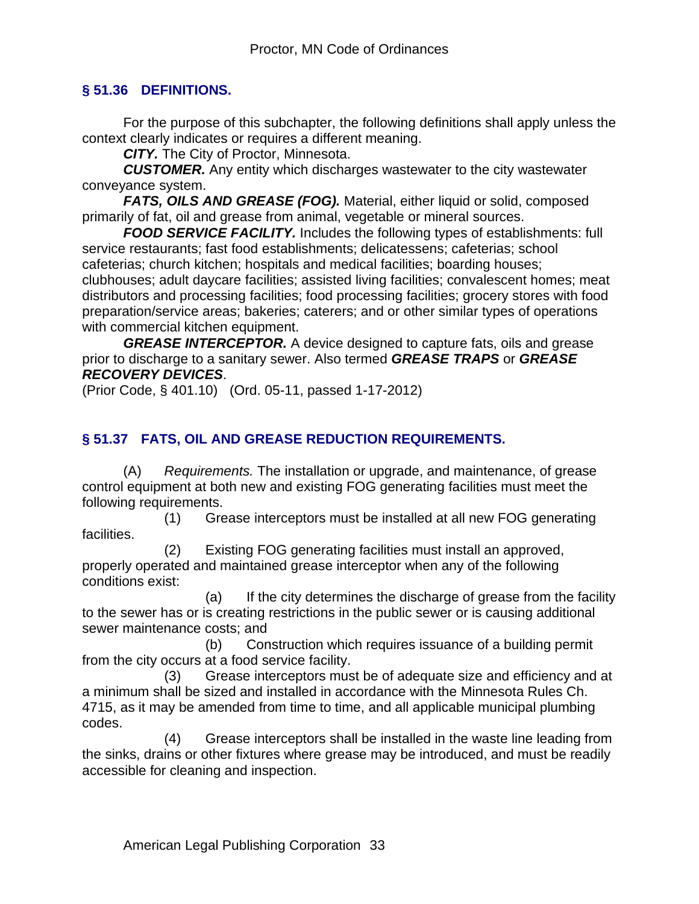#### **§ 51.36 DEFINITIONS.**

For the purpose of this subchapter, the following definitions shall apply unless the context clearly indicates or requires a different meaning.

*CITY.* The City of Proctor, Minnesota.

*CUSTOMER.* Any entity which discharges wastewater to the city wastewater conveyance system.

*FATS, OILS AND GREASE (FOG).* Material, either liquid or solid, composed primarily of fat, oil and grease from animal, vegetable or mineral sources.

**FOOD SERVICE FACILITY.** Includes the following types of establishments: full service restaurants; fast food establishments; delicatessens; cafeterias; school cafeterias; church kitchen; hospitals and medical facilities; boarding houses; clubhouses; adult daycare facilities; assisted living facilities; convalescent homes; meat distributors and processing facilities; food processing facilities; grocery stores with food preparation/service areas; bakeries; caterers; and or other similar types of operations with commercial kitchen equipment.

*GREASE INTERCEPTOR.* A device designed to capture fats, oils and grease prior to discharge to a sanitary sewer. Also termed *GREASE TRAPS* or *GREASE RECOVERY DEVICES*.

(Prior Code, § 401.10) (Ord. 05-11, passed 1-17-2012)

#### **§ 51.37 FATS, OIL AND GREASE REDUCTION REQUIREMENTS.**

(A) *Requirements.* The installation or upgrade, and maintenance, of grease control equipment at both new and existing FOG generating facilities must meet the following requirements.

 (1) Grease interceptors must be installed at all new FOG generating facilities.

 (2) Existing FOG generating facilities must install an approved, properly operated and maintained grease interceptor when any of the following conditions exist:

 (a) If the city determines the discharge of grease from the facility to the sewer has or is creating restrictions in the public sewer or is causing additional sewer maintenance costs; and

 (b) Construction which requires issuance of a building permit from the city occurs at a food service facility.

 (3) Grease interceptors must be of adequate size and efficiency and at a minimum shall be sized and installed in accordance with the Minnesota Rules Ch. 4715, as it may be amended from time to time, and all applicable municipal plumbing codes.

 (4) Grease interceptors shall be installed in the waste line leading from the sinks, drains or other fixtures where grease may be introduced, and must be readily accessible for cleaning and inspection.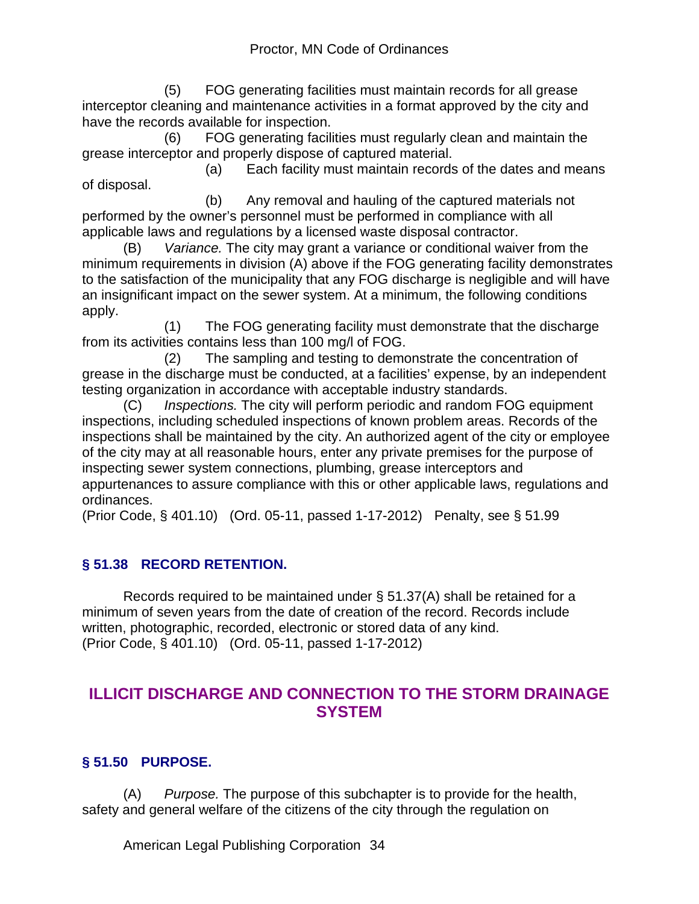(5) FOG generating facilities must maintain records for all grease interceptor cleaning and maintenance activities in a format approved by the city and have the records available for inspection.

 (6) FOG generating facilities must regularly clean and maintain the grease interceptor and properly dispose of captured material.

 (a) Each facility must maintain records of the dates and means of disposal.

 (b) Any removal and hauling of the captured materials not performed by the owner's personnel must be performed in compliance with all applicable laws and regulations by a licensed waste disposal contractor.

(B) *Variance.* The city may grant a variance or conditional waiver from the minimum requirements in division (A) above if the FOG generating facility demonstrates to the satisfaction of the municipality that any FOG discharge is negligible and will have an insignificant impact on the sewer system. At a minimum, the following conditions apply.

 (1) The FOG generating facility must demonstrate that the discharge from its activities contains less than 100 mg/l of FOG.

 (2) The sampling and testing to demonstrate the concentration of grease in the discharge must be conducted, at a facilities' expense, by an independent testing organization in accordance with acceptable industry standards.

(C) *Inspections.* The city will perform periodic and random FOG equipment inspections, including scheduled inspections of known problem areas. Records of the inspections shall be maintained by the city. An authorized agent of the city or employee of the city may at all reasonable hours, enter any private premises for the purpose of inspecting sewer system connections, plumbing, grease interceptors and appurtenances to assure compliance with this or other applicable laws, regulations and ordinances.

(Prior Code, § 401.10) (Ord. 05-11, passed 1-17-2012) Penalty, see § 51.99

# **§ 51.38 RECORD RETENTION.**

Records required to be maintained under § 51.37(A) shall be retained for a minimum of seven years from the date of creation of the record. Records include written, photographic, recorded, electronic or stored data of any kind. (Prior Code, § 401.10) (Ord. 05-11, passed 1-17-2012)

# **ILLICIT DISCHARGE AND CONNECTION TO THE STORM DRAINAGE SYSTEM**

## **§ 51.50 PURPOSE.**

(A) *Purpose.* The purpose of this subchapter is to provide for the health, safety and general welfare of the citizens of the city through the regulation on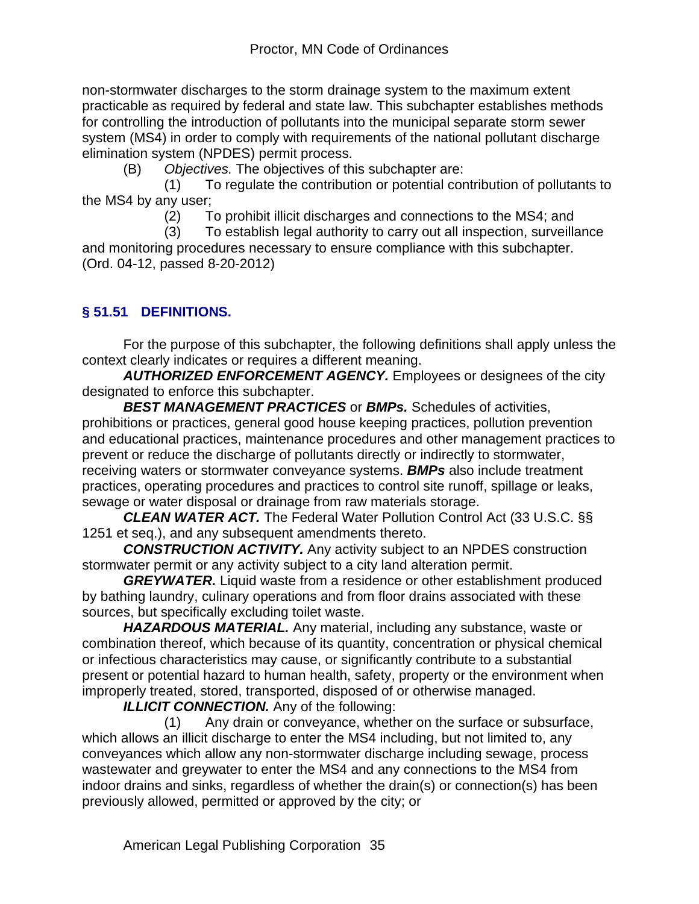non-stormwater discharges to the storm drainage system to the maximum extent practicable as required by federal and state law. This subchapter establishes methods for controlling the introduction of pollutants into the municipal separate storm sewer system (MS4) in order to comply with requirements of the national pollutant discharge elimination system (NPDES) permit process.

(B) *Objectives.* The objectives of this subchapter are:

 (1) To regulate the contribution or potential contribution of pollutants to the MS4 by any user;

(2) To prohibit illicit discharges and connections to the MS4; and

 (3) To establish legal authority to carry out all inspection, surveillance and monitoring procedures necessary to ensure compliance with this subchapter. (Ord. 04-12, passed 8-20-2012)

## **§ 51.51 DEFINITIONS.**

For the purpose of this subchapter, the following definitions shall apply unless the context clearly indicates or requires a different meaning.

*AUTHORIZED ENFORCEMENT AGENCY.* Employees or designees of the city designated to enforce this subchapter.

*BEST MANAGEMENT PRACTICES* or *BMPs.* Schedules of activities, prohibitions or practices, general good house keeping practices, pollution prevention and educational practices, maintenance procedures and other management practices to prevent or reduce the discharge of pollutants directly or indirectly to stormwater, receiving waters or stormwater conveyance systems. *BMPs* also include treatment practices, operating procedures and practices to control site runoff, spillage or leaks, sewage or water disposal or drainage from raw materials storage.

*CLEAN WATER ACT.* The Federal Water Pollution Control Act (33 U.S.C. §§ 1251 et seq.), and any subsequent amendments thereto.

*CONSTRUCTION ACTIVITY.* Any activity subject to an NPDES construction stormwater permit or any activity subject to a city land alteration permit.

*GREYWATER.* Liquid waste from a residence or other establishment produced by bathing laundry, culinary operations and from floor drains associated with these sources, but specifically excluding toilet waste.

*HAZARDOUS MATERIAL.* Any material, including any substance, waste or combination thereof, which because of its quantity, concentration or physical chemical or infectious characteristics may cause, or significantly contribute to a substantial present or potential hazard to human health, safety, property or the environment when improperly treated, stored, transported, disposed of or otherwise managed.

**ILLICIT CONNECTION.** Any of the following:

 (1) Any drain or conveyance, whether on the surface or subsurface, which allows an illicit discharge to enter the MS4 including, but not limited to, any conveyances which allow any non-stormwater discharge including sewage, process wastewater and greywater to enter the MS4 and any connections to the MS4 from indoor drains and sinks, regardless of whether the drain(s) or connection(s) has been previously allowed, permitted or approved by the city; or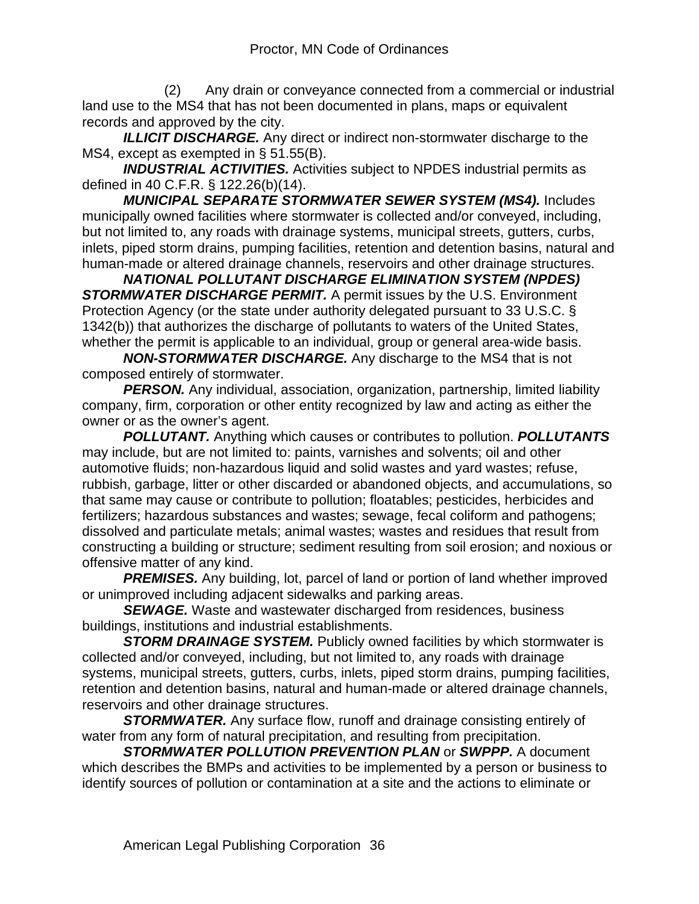(2) Any drain or conveyance connected from a commercial or industrial land use to the MS4 that has not been documented in plans, maps or equivalent records and approved by the city.

**ILLICIT DISCHARGE.** Any direct or indirect non-stormwater discharge to the MS4, except as exempted in § 51.55(B).

*INDUSTRIAL ACTIVITIES.* Activities subject to NPDES industrial permits as defined in 40 C.F.R. § 122.26(b)(14).

*MUNICIPAL SEPARATE STORMWATER SEWER SYSTEM (MS4).* Includes municipally owned facilities where stormwater is collected and/or conveyed, including, but not limited to, any roads with drainage systems, municipal streets, gutters, curbs, inlets, piped storm drains, pumping facilities, retention and detention basins, natural and human-made or altered drainage channels, reservoirs and other drainage structures.

*NATIONAL POLLUTANT DISCHARGE ELIMINATION SYSTEM (NPDES) STORMWATER DISCHARGE PERMIT.* A permit issues by the U.S. Environment Protection Agency (or the state under authority delegated pursuant to 33 U.S.C. § 1342(b)) that authorizes the discharge of pollutants to waters of the United States, whether the permit is applicable to an individual, group or general area-wide basis.

*NON-STORMWATER DISCHARGE.* Any discharge to the MS4 that is not composed entirely of stormwater.

**PERSON.** Any individual, association, organization, partnership, limited liability company, firm, corporation or other entity recognized by law and acting as either the owner or as the owner's agent.

*POLLUTANT.* Anything which causes or contributes to pollution. *POLLUTANTS* may include, but are not limited to: paints, varnishes and solvents; oil and other automotive fluids; non-hazardous liquid and solid wastes and yard wastes; refuse, rubbish, garbage, litter or other discarded or abandoned objects, and accumulations, so that same may cause or contribute to pollution; floatables; pesticides, herbicides and fertilizers; hazardous substances and wastes; sewage, fecal coliform and pathogens; dissolved and particulate metals; animal wastes; wastes and residues that result from constructing a building or structure; sediment resulting from soil erosion; and noxious or offensive matter of any kind.

**PREMISES.** Any building, lot, parcel of land or portion of land whether improved or unimproved including adjacent sidewalks and parking areas.

*SEWAGE.* Waste and wastewater discharged from residences, business buildings, institutions and industrial establishments.

**STORM DRAINAGE SYSTEM.** Publicly owned facilities by which stormwater is collected and/or conveyed, including, but not limited to, any roads with drainage systems, municipal streets, gutters, curbs, inlets, piped storm drains, pumping facilities, retention and detention basins, natural and human-made or altered drainage channels, reservoirs and other drainage structures.

*STORMWATER.* Any surface flow, runoff and drainage consisting entirely of water from any form of natural precipitation, and resulting from precipitation.

*STORMWATER POLLUTION PREVENTION PLAN* or *SWPPP.* A document which describes the BMPs and activities to be implemented by a person or business to identify sources of pollution or contamination at a site and the actions to eliminate or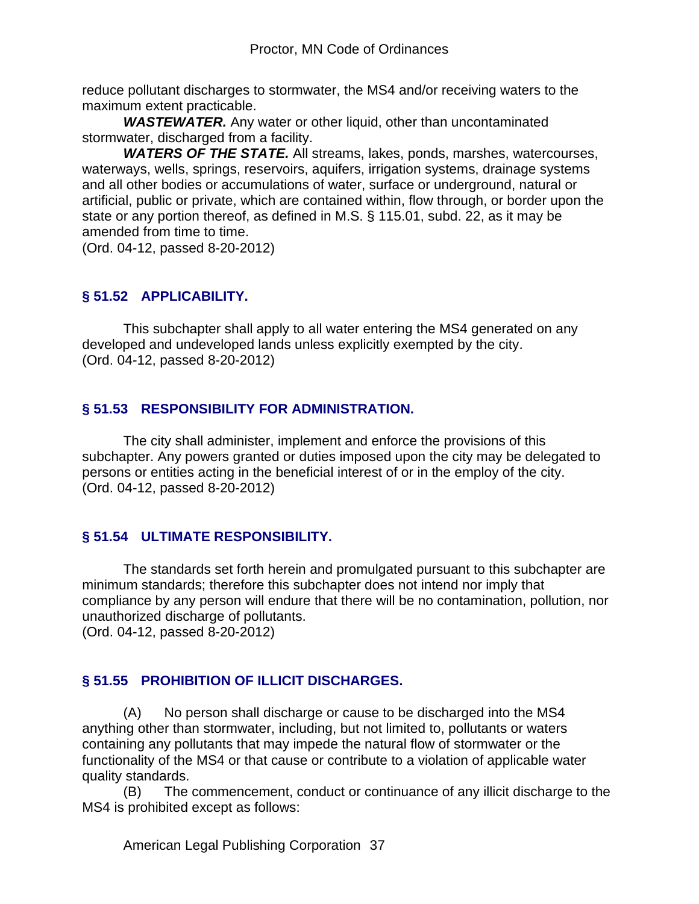reduce pollutant discharges to stormwater, the MS4 and/or receiving waters to the maximum extent practicable.

*WASTEWATER.* Any water or other liquid, other than uncontaminated stormwater, discharged from a facility.

*WATERS OF THE STATE.* All streams, lakes, ponds, marshes, watercourses, waterways, wells, springs, reservoirs, aquifers, irrigation systems, drainage systems and all other bodies or accumulations of water, surface or underground, natural or artificial, public or private, which are contained within, flow through, or border upon the state or any portion thereof, as defined in M.S. § 115.01, subd. 22, as it may be amended from time to time.

(Ord. 04-12, passed 8-20-2012)

## **§ 51.52 APPLICABILITY.**

This subchapter shall apply to all water entering the MS4 generated on any developed and undeveloped lands unless explicitly exempted by the city. (Ord. 04-12, passed 8-20-2012)

#### **§ 51.53 RESPONSIBILITY FOR ADMINISTRATION.**

The city shall administer, implement and enforce the provisions of this subchapter. Any powers granted or duties imposed upon the city may be delegated to persons or entities acting in the beneficial interest of or in the employ of the city. (Ord. 04-12, passed 8-20-2012)

#### **§ 51.54 ULTIMATE RESPONSIBILITY.**

The standards set forth herein and promulgated pursuant to this subchapter are minimum standards; therefore this subchapter does not intend nor imply that compliance by any person will endure that there will be no contamination, pollution, nor unauthorized discharge of pollutants.

(Ord. 04-12, passed 8-20-2012)

## **§ 51.55 PROHIBITION OF ILLICIT DISCHARGES.**

(A) No person shall discharge or cause to be discharged into the MS4 anything other than stormwater, including, but not limited to, pollutants or waters containing any pollutants that may impede the natural flow of stormwater or the functionality of the MS4 or that cause or contribute to a violation of applicable water quality standards.

(B) The commencement, conduct or continuance of any illicit discharge to the MS4 is prohibited except as follows: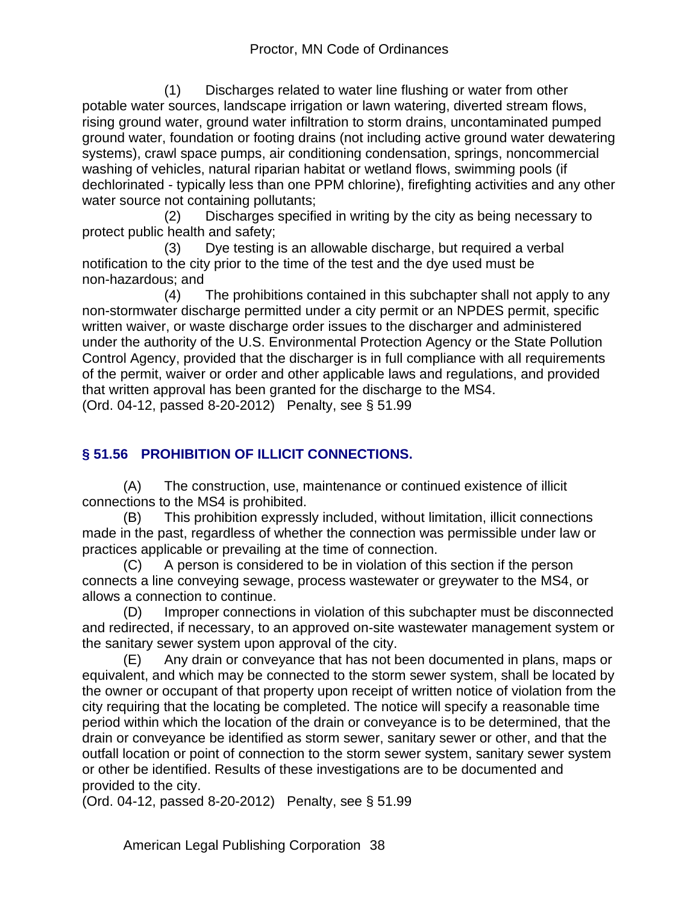(1) Discharges related to water line flushing or water from other potable water sources, landscape irrigation or lawn watering, diverted stream flows, rising ground water, ground water infiltration to storm drains, uncontaminated pumped ground water, foundation or footing drains (not including active ground water dewatering systems), crawl space pumps, air conditioning condensation, springs, noncommercial washing of vehicles, natural riparian habitat or wetland flows, swimming pools (if dechlorinated - typically less than one PPM chlorine), firefighting activities and any other water source not containing pollutants;

 (2) Discharges specified in writing by the city as being necessary to protect public health and safety;

 (3) Dye testing is an allowable discharge, but required a verbal notification to the city prior to the time of the test and the dye used must be non-hazardous; and

 (4) The prohibitions contained in this subchapter shall not apply to any non-stormwater discharge permitted under a city permit or an NPDES permit, specific written waiver, or waste discharge order issues to the discharger and administered under the authority of the U.S. Environmental Protection Agency or the State Pollution Control Agency, provided that the discharger is in full compliance with all requirements of the permit, waiver or order and other applicable laws and regulations, and provided that written approval has been granted for the discharge to the MS4. (Ord. 04-12, passed 8-20-2012) Penalty, see § 51.99

# **§ 51.56 PROHIBITION OF ILLICIT CONNECTIONS.**

(A) The construction, use, maintenance or continued existence of illicit connections to the MS4 is prohibited.

(B) This prohibition expressly included, without limitation, illicit connections made in the past, regardless of whether the connection was permissible under law or practices applicable or prevailing at the time of connection.

(C) A person is considered to be in violation of this section if the person connects a line conveying sewage, process wastewater or greywater to the MS4, or allows a connection to continue.

(D) Improper connections in violation of this subchapter must be disconnected and redirected, if necessary, to an approved on-site wastewater management system or the sanitary sewer system upon approval of the city.

(E) Any drain or conveyance that has not been documented in plans, maps or equivalent, and which may be connected to the storm sewer system, shall be located by the owner or occupant of that property upon receipt of written notice of violation from the city requiring that the locating be completed. The notice will specify a reasonable time period within which the location of the drain or conveyance is to be determined, that the drain or conveyance be identified as storm sewer, sanitary sewer or other, and that the outfall location or point of connection to the storm sewer system, sanitary sewer system or other be identified. Results of these investigations are to be documented and provided to the city.

(Ord. 04-12, passed 8-20-2012) Penalty, see § 51.99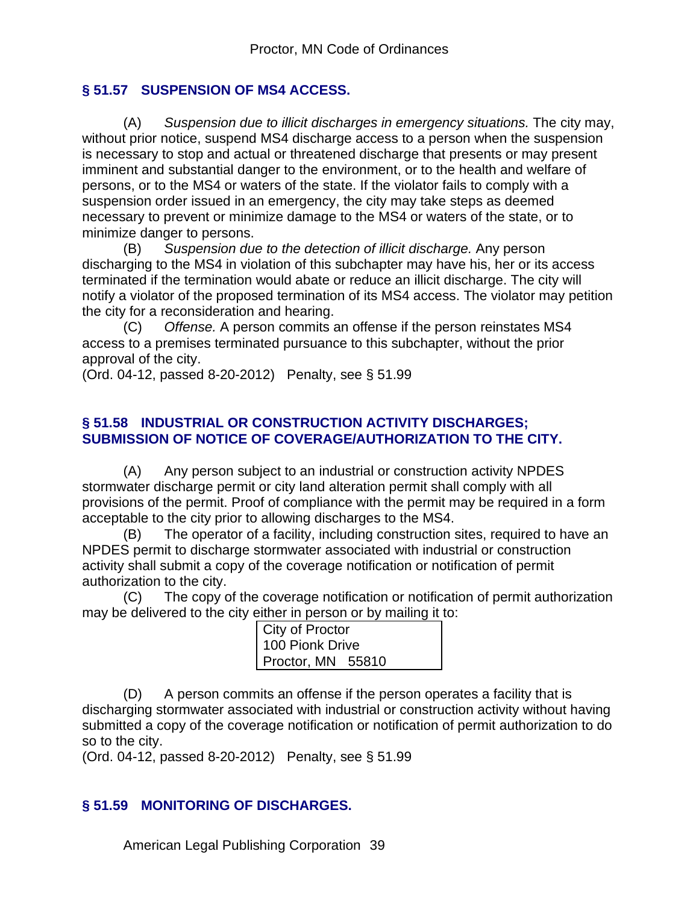#### **§ 51.57 SUSPENSION OF MS4 ACCESS.**

(A) *Suspension due to illicit discharges in emergency situations.* The city may, without prior notice, suspend MS4 discharge access to a person when the suspension is necessary to stop and actual or threatened discharge that presents or may present imminent and substantial danger to the environment, or to the health and welfare of persons, or to the MS4 or waters of the state. If the violator fails to comply with a suspension order issued in an emergency, the city may take steps as deemed necessary to prevent or minimize damage to the MS4 or waters of the state, or to minimize danger to persons.

(B) *Suspension due to the detection of illicit discharge.* Any person discharging to the MS4 in violation of this subchapter may have his, her or its access terminated if the termination would abate or reduce an illicit discharge. The city will notify a violator of the proposed termination of its MS4 access. The violator may petition the city for a reconsideration and hearing.

(C) *Offense.* A person commits an offense if the person reinstates MS4 access to a premises terminated pursuance to this subchapter, without the prior approval of the city.

(Ord. 04-12, passed 8-20-2012) Penalty, see § 51.99

#### **§ 51.58 INDUSTRIAL OR CONSTRUCTION ACTIVITY DISCHARGES; SUBMISSION OF NOTICE OF COVERAGE/AUTHORIZATION TO THE CITY.**

(A) Any person subject to an industrial or construction activity NPDES stormwater discharge permit or city land alteration permit shall comply with all provisions of the permit. Proof of compliance with the permit may be required in a form acceptable to the city prior to allowing discharges to the MS4.

(B) The operator of a facility, including construction sites, required to have an NPDES permit to discharge stormwater associated with industrial or construction activity shall submit a copy of the coverage notification or notification of permit authorization to the city.

(C) The copy of the coverage notification or notification of permit authorization may be delivered to the city either in person or by mailing it to:

| City of Proctor   |  |  |  |
|-------------------|--|--|--|
| 100 Pionk Drive   |  |  |  |
| Proctor, MN 55810 |  |  |  |
|                   |  |  |  |

(D) A person commits an offense if the person operates a facility that is discharging stormwater associated with industrial or construction activity without having submitted a copy of the coverage notification or notification of permit authorization to do so to the city.

(Ord. 04-12, passed 8-20-2012) Penalty, see § 51.99

## **§ 51.59 MONITORING OF DISCHARGES.**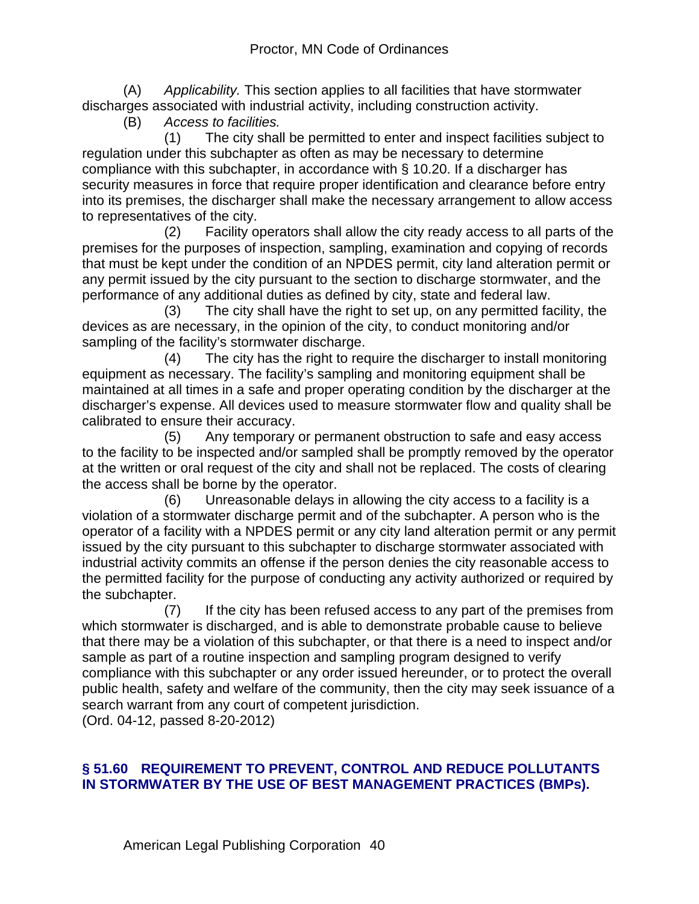(A) *Applicability.* This section applies to all facilities that have stormwater discharges associated with industrial activity, including construction activity.

(B) *Access to facilities.*

 (1) The city shall be permitted to enter and inspect facilities subject to regulation under this subchapter as often as may be necessary to determine compliance with this subchapter, in accordance with § 10.20. If a discharger has security measures in force that require proper identification and clearance before entry into its premises, the discharger shall make the necessary arrangement to allow access to representatives of the city.

 (2) Facility operators shall allow the city ready access to all parts of the premises for the purposes of inspection, sampling, examination and copying of records that must be kept under the condition of an NPDES permit, city land alteration permit or any permit issued by the city pursuant to the section to discharge stormwater, and the performance of any additional duties as defined by city, state and federal law.

 (3) The city shall have the right to set up, on any permitted facility, the devices as are necessary, in the opinion of the city, to conduct monitoring and/or sampling of the facility's stormwater discharge.

 (4) The city has the right to require the discharger to install monitoring equipment as necessary. The facility's sampling and monitoring equipment shall be maintained at all times in a safe and proper operating condition by the discharger at the discharger's expense. All devices used to measure stormwater flow and quality shall be calibrated to ensure their accuracy.

 (5) Any temporary or permanent obstruction to safe and easy access to the facility to be inspected and/or sampled shall be promptly removed by the operator at the written or oral request of the city and shall not be replaced. The costs of clearing the access shall be borne by the operator.

 (6) Unreasonable delays in allowing the city access to a facility is a violation of a stormwater discharge permit and of the subchapter. A person who is the operator of a facility with a NPDES permit or any city land alteration permit or any permit issued by the city pursuant to this subchapter to discharge stormwater associated with industrial activity commits an offense if the person denies the city reasonable access to the permitted facility for the purpose of conducting any activity authorized or required by the subchapter.

 (7) If the city has been refused access to any part of the premises from which stormwater is discharged, and is able to demonstrate probable cause to believe that there may be a violation of this subchapter, or that there is a need to inspect and/or sample as part of a routine inspection and sampling program designed to verify compliance with this subchapter or any order issued hereunder, or to protect the overall public health, safety and welfare of the community, then the city may seek issuance of a search warrant from any court of competent jurisdiction.

(Ord. 04-12, passed 8-20-2012)

#### **§ 51.60 REQUIREMENT TO PREVENT, CONTROL AND REDUCE POLLUTANTS IN STORMWATER BY THE USE OF BEST MANAGEMENT PRACTICES (BMPs).**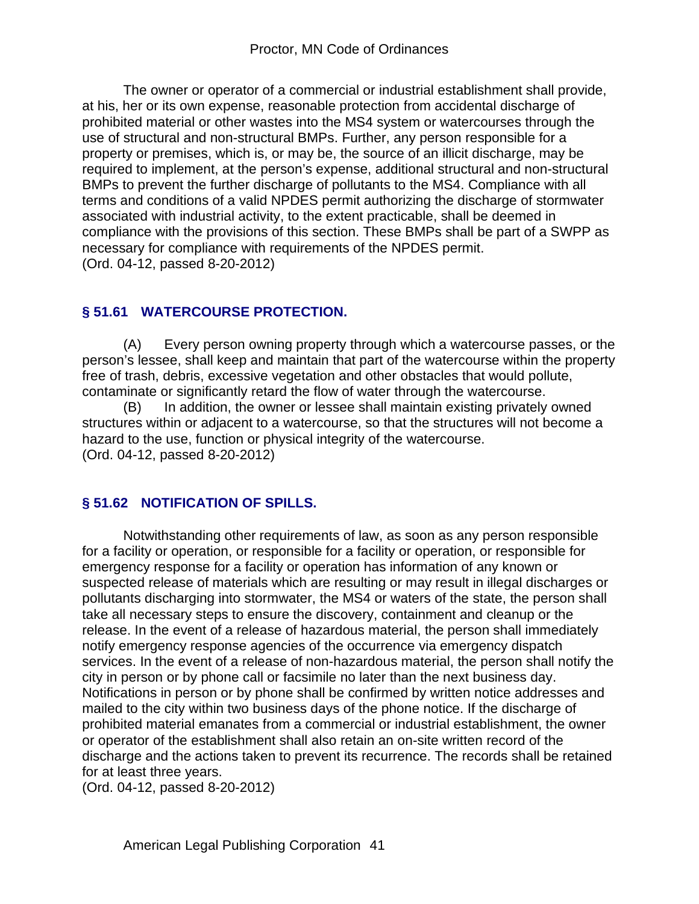The owner or operator of a commercial or industrial establishment shall provide, at his, her or its own expense, reasonable protection from accidental discharge of prohibited material or other wastes into the MS4 system or watercourses through the use of structural and non-structural BMPs. Further, any person responsible for a property or premises, which is, or may be, the source of an illicit discharge, may be required to implement, at the person's expense, additional structural and non-structural BMPs to prevent the further discharge of pollutants to the MS4. Compliance with all terms and conditions of a valid NPDES permit authorizing the discharge of stormwater associated with industrial activity, to the extent practicable, shall be deemed in compliance with the provisions of this section. These BMPs shall be part of a SWPP as necessary for compliance with requirements of the NPDES permit. (Ord. 04-12, passed 8-20-2012)

## **§ 51.61 WATERCOURSE PROTECTION.**

(A) Every person owning property through which a watercourse passes, or the person's lessee, shall keep and maintain that part of the watercourse within the property free of trash, debris, excessive vegetation and other obstacles that would pollute, contaminate or significantly retard the flow of water through the watercourse.

(B) In addition, the owner or lessee shall maintain existing privately owned structures within or adjacent to a watercourse, so that the structures will not become a hazard to the use, function or physical integrity of the watercourse. (Ord. 04-12, passed 8-20-2012)

## **§ 51.62 NOTIFICATION OF SPILLS.**

Notwithstanding other requirements of law, as soon as any person responsible for a facility or operation, or responsible for a facility or operation, or responsible for emergency response for a facility or operation has information of any known or suspected release of materials which are resulting or may result in illegal discharges or pollutants discharging into stormwater, the MS4 or waters of the state, the person shall take all necessary steps to ensure the discovery, containment and cleanup or the release. In the event of a release of hazardous material, the person shall immediately notify emergency response agencies of the occurrence via emergency dispatch services. In the event of a release of non-hazardous material, the person shall notify the city in person or by phone call or facsimile no later than the next business day. Notifications in person or by phone shall be confirmed by written notice addresses and mailed to the city within two business days of the phone notice. If the discharge of prohibited material emanates from a commercial or industrial establishment, the owner or operator of the establishment shall also retain an on-site written record of the discharge and the actions taken to prevent its recurrence. The records shall be retained for at least three years.

(Ord. 04-12, passed 8-20-2012)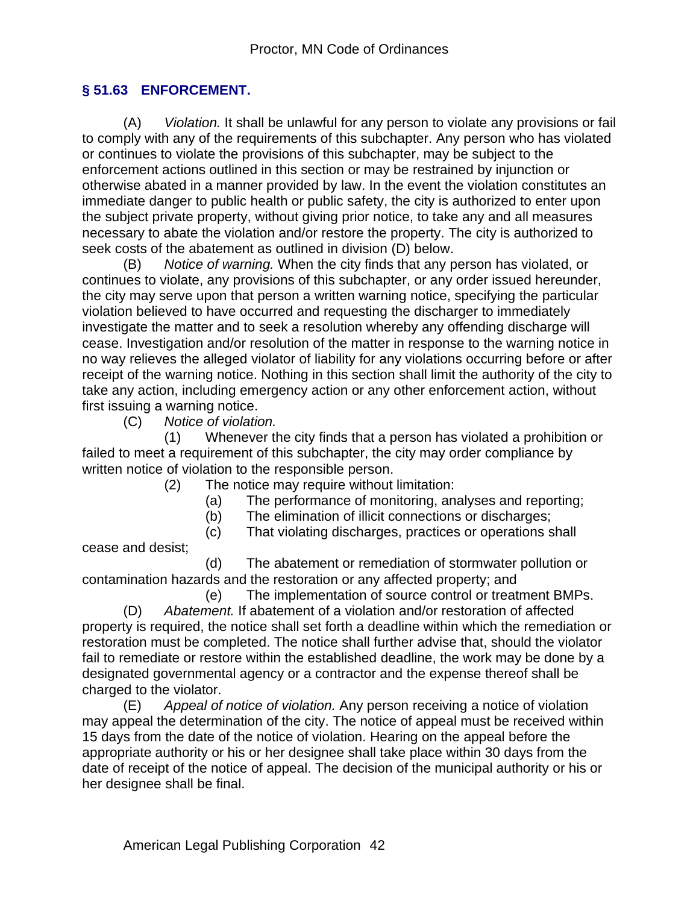#### **§ 51.63 ENFORCEMENT.**

(A) *Violation.* It shall be unlawful for any person to violate any provisions or fail to comply with any of the requirements of this subchapter. Any person who has violated or continues to violate the provisions of this subchapter, may be subject to the enforcement actions outlined in this section or may be restrained by injunction or otherwise abated in a manner provided by law. In the event the violation constitutes an immediate danger to public health or public safety, the city is authorized to enter upon the subject private property, without giving prior notice, to take any and all measures necessary to abate the violation and/or restore the property. The city is authorized to seek costs of the abatement as outlined in division (D) below.

(B) *Notice of warning.* When the city finds that any person has violated, or continues to violate, any provisions of this subchapter, or any order issued hereunder, the city may serve upon that person a written warning notice, specifying the particular violation believed to have occurred and requesting the discharger to immediately investigate the matter and to seek a resolution whereby any offending discharge will cease. Investigation and/or resolution of the matter in response to the warning notice in no way relieves the alleged violator of liability for any violations occurring before or after receipt of the warning notice. Nothing in this section shall limit the authority of the city to take any action, including emergency action or any other enforcement action, without first issuing a warning notice.

(C) *Notice of violation.*

 (1) Whenever the city finds that a person has violated a prohibition or failed to meet a requirement of this subchapter, the city may order compliance by written notice of violation to the responsible person.

- (2) The notice may require without limitation:
	- (a) The performance of monitoring, analyses and reporting;
	- (b) The elimination of illicit connections or discharges;
	- (c) That violating discharges, practices or operations shall

cease and desist;

 (d) The abatement or remediation of stormwater pollution or contamination hazards and the restoration or any affected property; and

 (e) The implementation of source control or treatment BMPs. (D) *Abatement.* If abatement of a violation and/or restoration of affected property is required, the notice shall set forth a deadline within which the remediation or restoration must be completed. The notice shall further advise that, should the violator

fail to remediate or restore within the established deadline, the work may be done by a designated governmental agency or a contractor and the expense thereof shall be charged to the violator.

(E) *Appeal of notice of violation.* Any person receiving a notice of violation may appeal the determination of the city. The notice of appeal must be received within 15 days from the date of the notice of violation. Hearing on the appeal before the appropriate authority or his or her designee shall take place within 30 days from the date of receipt of the notice of appeal. The decision of the municipal authority or his or her designee shall be final.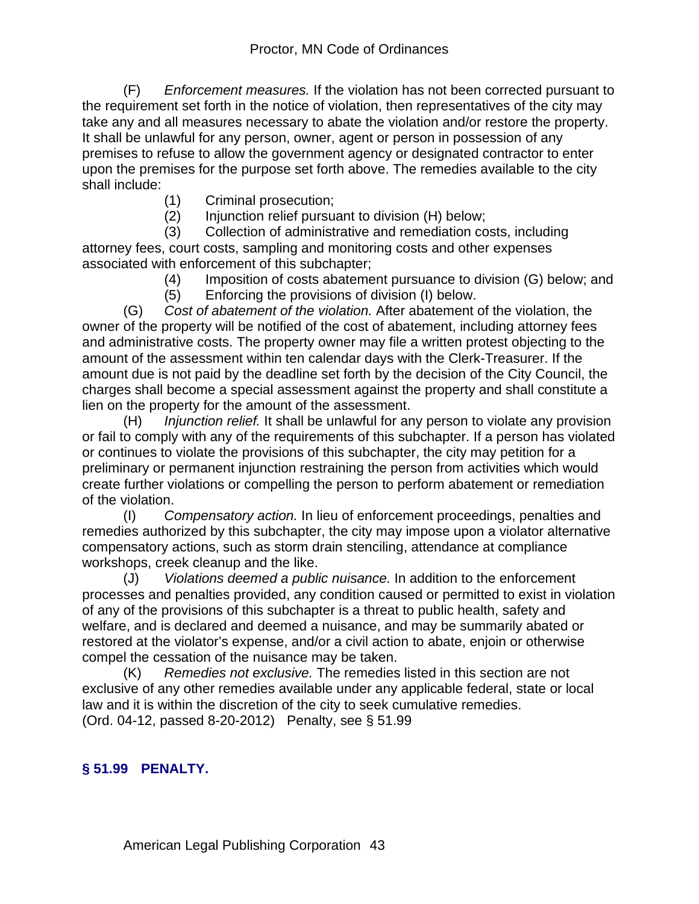(F) *Enforcement measures.* If the violation has not been corrected pursuant to the requirement set forth in the notice of violation, then representatives of the city may take any and all measures necessary to abate the violation and/or restore the property. It shall be unlawful for any person, owner, agent or person in possession of any premises to refuse to allow the government agency or designated contractor to enter upon the premises for the purpose set forth above. The remedies available to the city shall include:

(1) Criminal prosecution;

(2) Injunction relief pursuant to division (H) below;

 (3) Collection of administrative and remediation costs, including attorney fees, court costs, sampling and monitoring costs and other expenses associated with enforcement of this subchapter;

- (4) Imposition of costs abatement pursuance to division (G) below; and
- (5) Enforcing the provisions of division (I) below.

(G) *Cost of abatement of the violation.* After abatement of the violation, the owner of the property will be notified of the cost of abatement, including attorney fees and administrative costs. The property owner may file a written protest objecting to the amount of the assessment within ten calendar days with the Clerk-Treasurer. If the amount due is not paid by the deadline set forth by the decision of the City Council, the charges shall become a special assessment against the property and shall constitute a lien on the property for the amount of the assessment.

(H) *Injunction relief.* It shall be unlawful for any person to violate any provision or fail to comply with any of the requirements of this subchapter. If a person has violated or continues to violate the provisions of this subchapter, the city may petition for a preliminary or permanent injunction restraining the person from activities which would create further violations or compelling the person to perform abatement or remediation of the violation.

(I) *Compensatory action.* In lieu of enforcement proceedings, penalties and remedies authorized by this subchapter, the city may impose upon a violator alternative compensatory actions, such as storm drain stenciling, attendance at compliance workshops, creek cleanup and the like.

(J) *Violations deemed a public nuisance.* In addition to the enforcement processes and penalties provided, any condition caused or permitted to exist in violation of any of the provisions of this subchapter is a threat to public health, safety and welfare, and is declared and deemed a nuisance, and may be summarily abated or restored at the violator's expense, and/or a civil action to abate, enjoin or otherwise compel the cessation of the nuisance may be taken.

(K) *Remedies not exclusive.* The remedies listed in this section are not exclusive of any other remedies available under any applicable federal, state or local law and it is within the discretion of the city to seek cumulative remedies. (Ord. 04-12, passed 8-20-2012) Penalty, see § 51.99

## **§ 51.99 PENALTY.**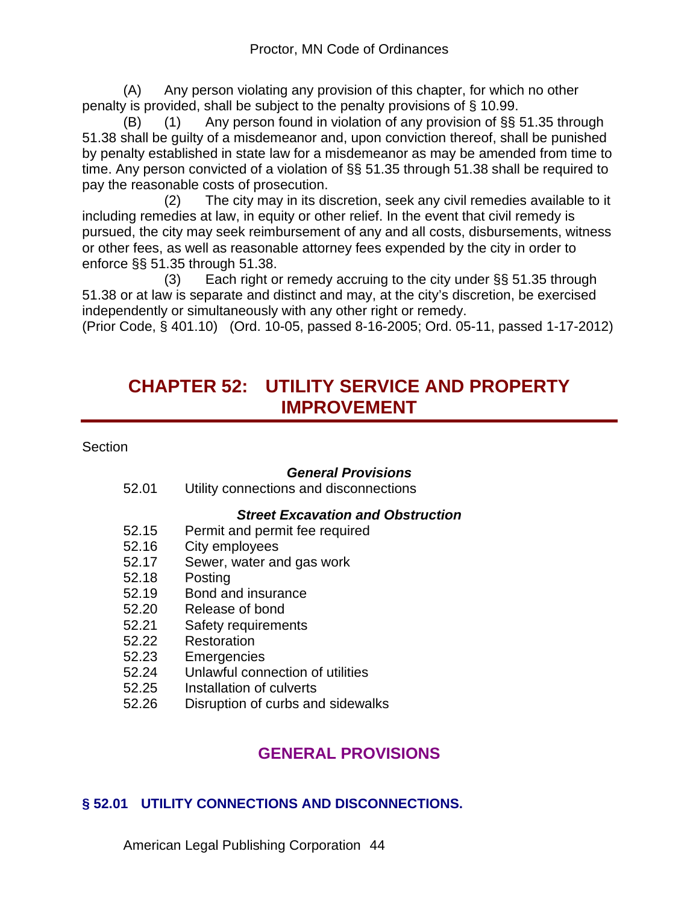(A) Any person violating any provision of this chapter, for which no other penalty is provided, shall be subject to the penalty provisions of § 10.99.

(B) (1) Any person found in violation of any provision of  $\S$ § 51.35 through 51.38 shall be guilty of a misdemeanor and, upon conviction thereof, shall be punished by penalty established in state law for a misdemeanor as may be amended from time to time. Any person convicted of a violation of §§ 51.35 through 51.38 shall be required to pay the reasonable costs of prosecution.

 (2) The city may in its discretion, seek any civil remedies available to it including remedies at law, in equity or other relief. In the event that civil remedy is pursued, the city may seek reimbursement of any and all costs, disbursements, witness or other fees, as well as reasonable attorney fees expended by the city in order to enforce §§ 51.35 through 51.38.

 (3) Each right or remedy accruing to the city under §§ 51.35 through 51.38 or at law is separate and distinct and may, at the city's discretion, be exercised independently or simultaneously with any other right or remedy.

(Prior Code, § 401.10) (Ord. 10-05, passed 8-16-2005; Ord. 05-11, passed 1-17-2012)

# **CHAPTER 52: UTILITY SERVICE AND PROPERTY IMPROVEMENT**

**Section** 

#### *General Provisions*

52.01 Utility connections and disconnections

#### *Street Excavation and Obstruction*

- 52.15 Permit and permit fee required
- 52.16 City employees
- 52.17 Sewer, water and gas work
- 52.18 Posting
- 52.19 Bond and insurance
- 52.20 Release of bond
- 52.21 Safety requirements
- 52.22 Restoration
- 52.23 Emergencies<br>52.24 Unlawful conr
- Unlawful connection of utilities
- 52.25 Installation of culverts
- 52.26 Disruption of curbs and sidewalks

# **GENERAL PROVISIONS**

#### **§ 52.01 UTILITY CONNECTIONS AND DISCONNECTIONS.**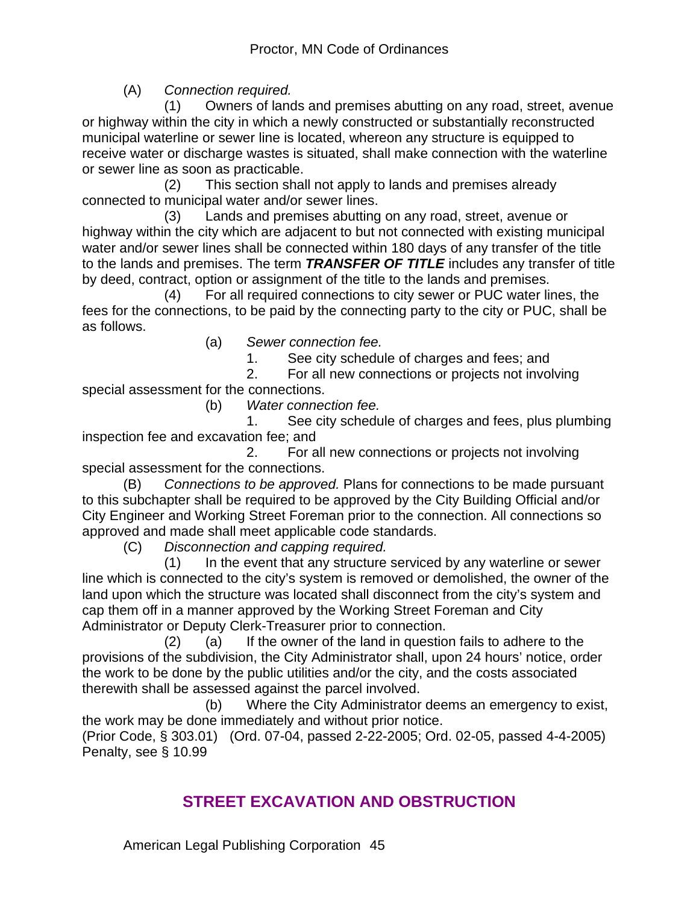(A) *Connection required.*

 (1) Owners of lands and premises abutting on any road, street, avenue or highway within the city in which a newly constructed or substantially reconstructed municipal waterline or sewer line is located, whereon any structure is equipped to receive water or discharge wastes is situated, shall make connection with the waterline or sewer line as soon as practicable.

 (2) This section shall not apply to lands and premises already connected to municipal water and/or sewer lines.

 (3) Lands and premises abutting on any road, street, avenue or highway within the city which are adjacent to but not connected with existing municipal water and/or sewer lines shall be connected within 180 days of any transfer of the title to the lands and premises. The term *TRANSFER OF TITLE* includes any transfer of title by deed, contract, option or assignment of the title to the lands and premises.

 (4) For all required connections to city sewer or PUC water lines, the fees for the connections, to be paid by the connecting party to the city or PUC, shall be as follows.

(a) *Sewer connection fee.*

1. See city schedule of charges and fees; and

2. For all new connections or projects not involving

special assessment for the connections.

(b) *Water connection fee.*

 1. See city schedule of charges and fees, plus plumbing inspection fee and excavation fee; and

 2. For all new connections or projects not involving special assessment for the connections.

(B) *Connections to be approved.* Plans for connections to be made pursuant to this subchapter shall be required to be approved by the City Building Official and/or City Engineer and Working Street Foreman prior to the connection. All connections so approved and made shall meet applicable code standards.

(C) *Disconnection and capping required.*

 (1) In the event that any structure serviced by any waterline or sewer line which is connected to the city's system is removed or demolished, the owner of the land upon which the structure was located shall disconnect from the city's system and cap them off in a manner approved by the Working Street Foreman and City Administrator or Deputy Clerk-Treasurer prior to connection.

 (2) (a) If the owner of the land in question fails to adhere to the provisions of the subdivision, the City Administrator shall, upon 24 hours' notice, order the work to be done by the public utilities and/or the city, and the costs associated therewith shall be assessed against the parcel involved.

 (b) Where the City Administrator deems an emergency to exist, the work may be done immediately and without prior notice.

(Prior Code, § 303.01) (Ord. 07-04, passed 2-22-2005; Ord. 02-05, passed 4-4-2005) Penalty, see § 10.99

# **STREET EXCAVATION AND OBSTRUCTION**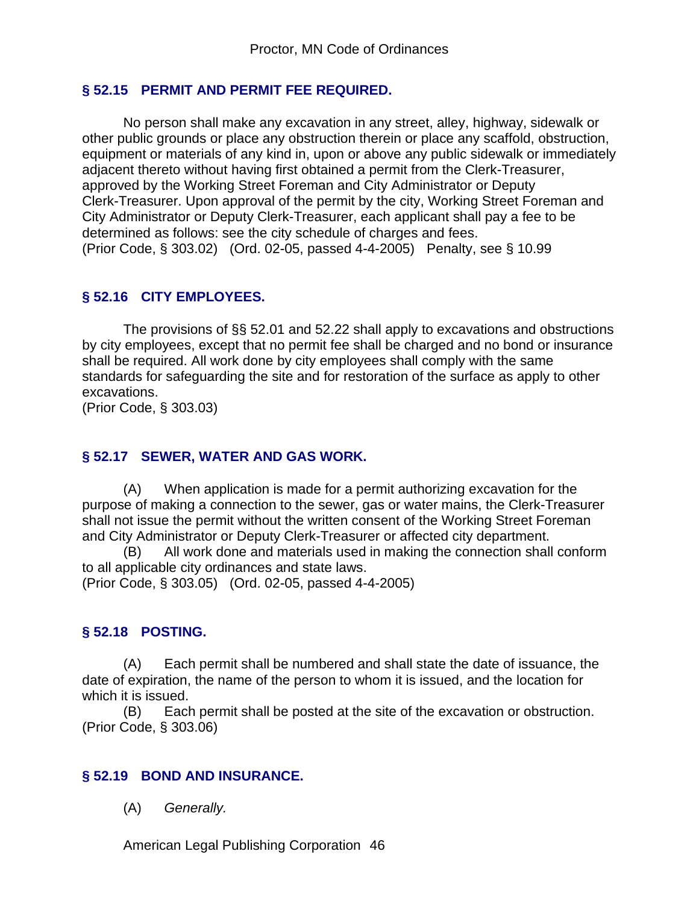#### **§ 52.15 PERMIT AND PERMIT FEE REQUIRED.**

No person shall make any excavation in any street, alley, highway, sidewalk or other public grounds or place any obstruction therein or place any scaffold, obstruction, equipment or materials of any kind in, upon or above any public sidewalk or immediately adjacent thereto without having first obtained a permit from the Clerk-Treasurer, approved by the Working Street Foreman and City Administrator or Deputy Clerk-Treasurer. Upon approval of the permit by the city, Working Street Foreman and City Administrator or Deputy Clerk-Treasurer, each applicant shall pay a fee to be determined as follows: see the city schedule of charges and fees. (Prior Code, § 303.02) (Ord. 02-05, passed 4-4-2005) Penalty, see § 10.99

#### **§ 52.16 CITY EMPLOYEES.**

The provisions of §§ 52.01 and 52.22 shall apply to excavations and obstructions by city employees, except that no permit fee shall be charged and no bond or insurance shall be required. All work done by city employees shall comply with the same standards for safeguarding the site and for restoration of the surface as apply to other excavations.

(Prior Code, § 303.03)

#### **§ 52.17 SEWER, WATER AND GAS WORK.**

(A) When application is made for a permit authorizing excavation for the purpose of making a connection to the sewer, gas or water mains, the Clerk-Treasurer shall not issue the permit without the written consent of the Working Street Foreman and City Administrator or Deputy Clerk-Treasurer or affected city department.

(B) All work done and materials used in making the connection shall conform to all applicable city ordinances and state laws.

(Prior Code, § 303.05) (Ord. 02-05, passed 4-4-2005)

#### **§ 52.18 POSTING.**

(A) Each permit shall be numbered and shall state the date of issuance, the date of expiration, the name of the person to whom it is issued, and the location for which it is issued.

(B) Each permit shall be posted at the site of the excavation or obstruction. (Prior Code, § 303.06)

#### **§ 52.19 BOND AND INSURANCE.**

(A) *Generally.*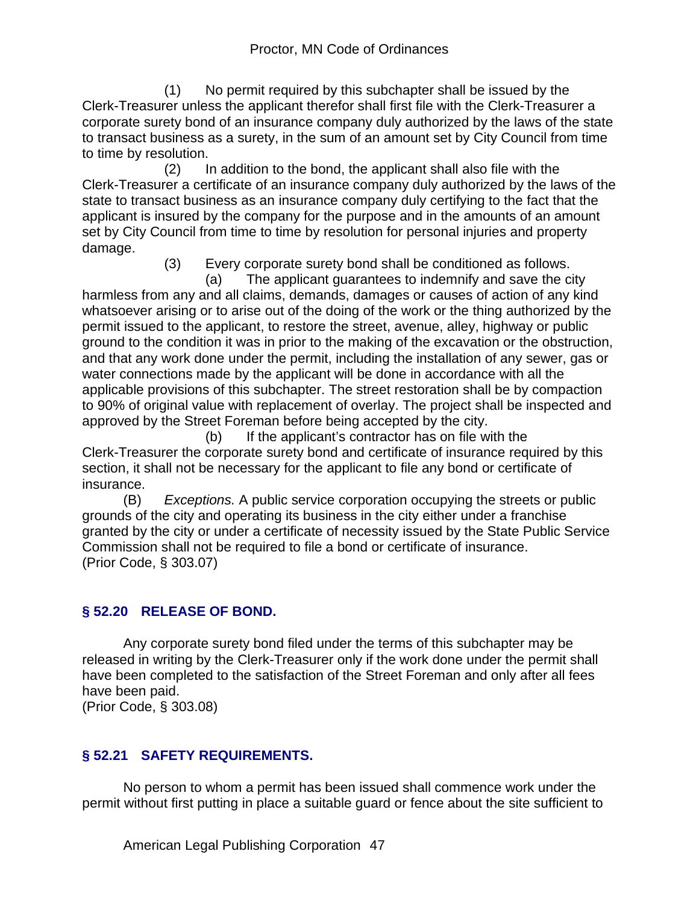(1) No permit required by this subchapter shall be issued by the Clerk-Treasurer unless the applicant therefor shall first file with the Clerk-Treasurer a corporate surety bond of an insurance company duly authorized by the laws of the state to transact business as a surety, in the sum of an amount set by City Council from time to time by resolution.

 (2) In addition to the bond, the applicant shall also file with the Clerk-Treasurer a certificate of an insurance company duly authorized by the laws of the state to transact business as an insurance company duly certifying to the fact that the applicant is insured by the company for the purpose and in the amounts of an amount set by City Council from time to time by resolution for personal injuries and property damage.

(3) Every corporate surety bond shall be conditioned as follows.

 (a) The applicant guarantees to indemnify and save the city harmless from any and all claims, demands, damages or causes of action of any kind whatsoever arising or to arise out of the doing of the work or the thing authorized by the permit issued to the applicant, to restore the street, avenue, alley, highway or public ground to the condition it was in prior to the making of the excavation or the obstruction, and that any work done under the permit, including the installation of any sewer, gas or water connections made by the applicant will be done in accordance with all the applicable provisions of this subchapter. The street restoration shall be by compaction to 90% of original value with replacement of overlay. The project shall be inspected and approved by the Street Foreman before being accepted by the city.

 (b) If the applicant's contractor has on file with the Clerk-Treasurer the corporate surety bond and certificate of insurance required by this section, it shall not be necessary for the applicant to file any bond or certificate of insurance.

(B) *Exceptions.* A public service corporation occupying the streets or public grounds of the city and operating its business in the city either under a franchise granted by the city or under a certificate of necessity issued by the State Public Service Commission shall not be required to file a bond or certificate of insurance. (Prior Code, § 303.07)

## **§ 52.20 RELEASE OF BOND.**

Any corporate surety bond filed under the terms of this subchapter may be released in writing by the Clerk-Treasurer only if the work done under the permit shall have been completed to the satisfaction of the Street Foreman and only after all fees have been paid.

(Prior Code, § 303.08)

## **§ 52.21 SAFETY REQUIREMENTS.**

No person to whom a permit has been issued shall commence work under the permit without first putting in place a suitable guard or fence about the site sufficient to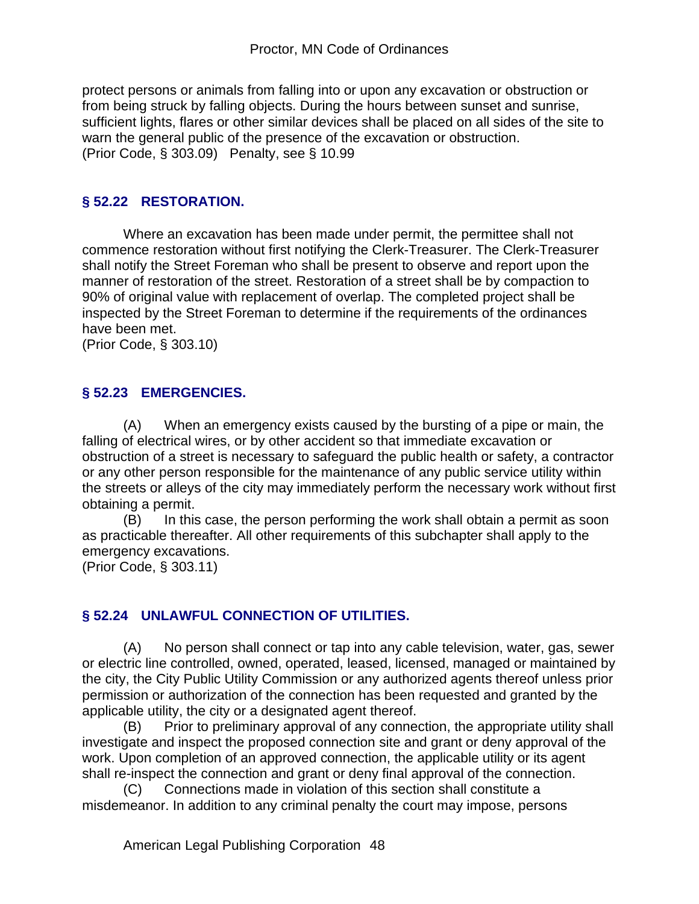protect persons or animals from falling into or upon any excavation or obstruction or from being struck by falling objects. During the hours between sunset and sunrise, sufficient lights, flares or other similar devices shall be placed on all sides of the site to warn the general public of the presence of the excavation or obstruction. (Prior Code, § 303.09) Penalty, see § 10.99

## **§ 52.22 RESTORATION.**

Where an excavation has been made under permit, the permittee shall not commence restoration without first notifying the Clerk-Treasurer. The Clerk-Treasurer shall notify the Street Foreman who shall be present to observe and report upon the manner of restoration of the street. Restoration of a street shall be by compaction to 90% of original value with replacement of overlap. The completed project shall be inspected by the Street Foreman to determine if the requirements of the ordinances have been met.

(Prior Code, § 303.10)

## **§ 52.23 EMERGENCIES.**

 (A) When an emergency exists caused by the bursting of a pipe or main, the falling of electrical wires, or by other accident so that immediate excavation or obstruction of a street is necessary to safeguard the public health or safety, a contractor or any other person responsible for the maintenance of any public service utility within the streets or alleys of the city may immediately perform the necessary work without first obtaining a permit.

(B) In this case, the person performing the work shall obtain a permit as soon as practicable thereafter. All other requirements of this subchapter shall apply to the emergency excavations.

(Prior Code, § 303.11)

## **§ 52.24 UNLAWFUL CONNECTION OF UTILITIES.**

(A) No person shall connect or tap into any cable television, water, gas, sewer or electric line controlled, owned, operated, leased, licensed, managed or maintained by the city, the City Public Utility Commission or any authorized agents thereof unless prior permission or authorization of the connection has been requested and granted by the applicable utility, the city or a designated agent thereof.

(B) Prior to preliminary approval of any connection, the appropriate utility shall investigate and inspect the proposed connection site and grant or deny approval of the work. Upon completion of an approved connection, the applicable utility or its agent shall re-inspect the connection and grant or deny final approval of the connection.

(C) Connections made in violation of this section shall constitute a misdemeanor. In addition to any criminal penalty the court may impose, persons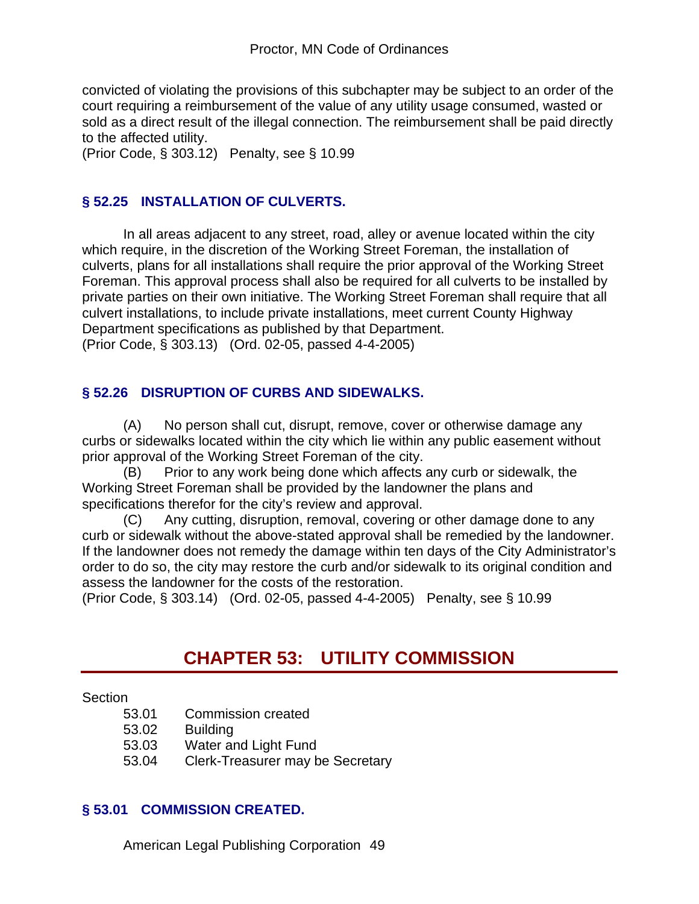convicted of violating the provisions of this subchapter may be subject to an order of the court requiring a reimbursement of the value of any utility usage consumed, wasted or sold as a direct result of the illegal connection. The reimbursement shall be paid directly to the affected utility.

(Prior Code, § 303.12) Penalty, see § 10.99

#### **§ 52.25 INSTALLATION OF CULVERTS.**

In all areas adjacent to any street, road, alley or avenue located within the city which require, in the discretion of the Working Street Foreman, the installation of culverts, plans for all installations shall require the prior approval of the Working Street Foreman. This approval process shall also be required for all culverts to be installed by private parties on their own initiative. The Working Street Foreman shall require that all culvert installations, to include private installations, meet current County Highway Department specifications as published by that Department. (Prior Code, § 303.13) (Ord. 02-05, passed 4-4-2005)

#### **§ 52.26 DISRUPTION OF CURBS AND SIDEWALKS.**

(A) No person shall cut, disrupt, remove, cover or otherwise damage any curbs or sidewalks located within the city which lie within any public easement without prior approval of the Working Street Foreman of the city.

(B) Prior to any work being done which affects any curb or sidewalk, the Working Street Foreman shall be provided by the landowner the plans and specifications therefor for the city's review and approval.

(C) Any cutting, disruption, removal, covering or other damage done to any curb or sidewalk without the above-stated approval shall be remedied by the landowner. If the landowner does not remedy the damage within ten days of the City Administrator's order to do so, the city may restore the curb and/or sidewalk to its original condition and assess the landowner for the costs of the restoration.

(Prior Code, § 303.14) (Ord. 02-05, passed 4-4-2005) Penalty, see § 10.99

# **CHAPTER 53: UTILITY COMMISSION**

#### Section

- 53.01 Commission created
- 53.02 Building
- 53.03 Water and Light Fund
- 53.04 Clerk-Treasurer may be Secretary

#### **§ 53.01 COMMISSION CREATED.**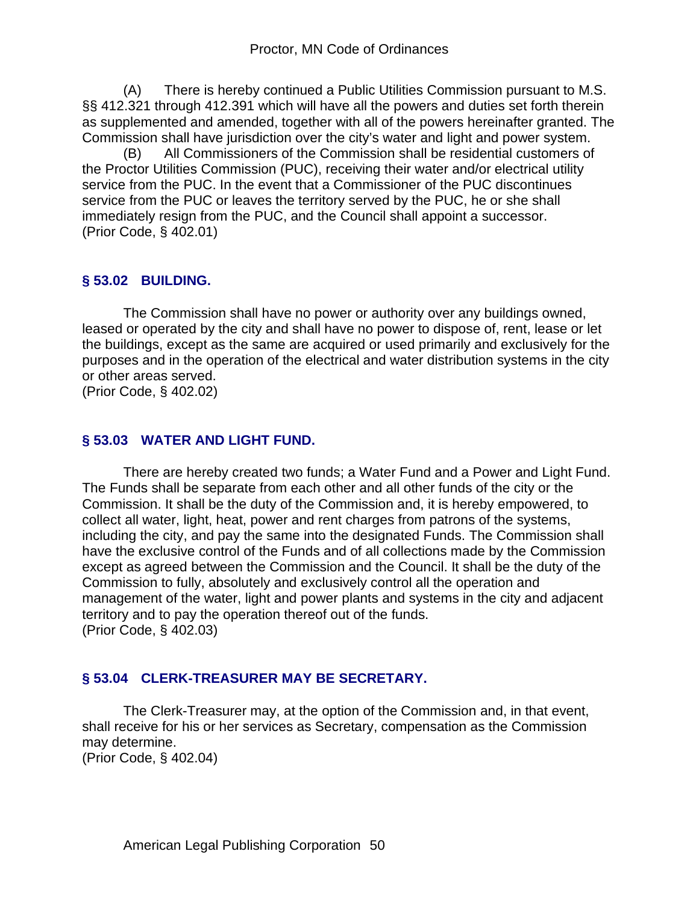(A) There is hereby continued a Public Utilities Commission pursuant to M.S. §§ 412.321 through 412.391 which will have all the powers and duties set forth therein as supplemented and amended, together with all of the powers hereinafter granted. The Commission shall have jurisdiction over the city's water and light and power system.

(B) All Commissioners of the Commission shall be residential customers of the Proctor Utilities Commission (PUC), receiving their water and/or electrical utility service from the PUC. In the event that a Commissioner of the PUC discontinues service from the PUC or leaves the territory served by the PUC, he or she shall immediately resign from the PUC, and the Council shall appoint a successor. (Prior Code, § 402.01)

#### **§ 53.02 BUILDING.**

The Commission shall have no power or authority over any buildings owned, leased or operated by the city and shall have no power to dispose of, rent, lease or let the buildings, except as the same are acquired or used primarily and exclusively for the purposes and in the operation of the electrical and water distribution systems in the city or other areas served.

(Prior Code, § 402.02)

#### **§ 53.03 WATER AND LIGHT FUND.**

There are hereby created two funds; a Water Fund and a Power and Light Fund. The Funds shall be separate from each other and all other funds of the city or the Commission. It shall be the duty of the Commission and, it is hereby empowered, to collect all water, light, heat, power and rent charges from patrons of the systems, including the city, and pay the same into the designated Funds. The Commission shall have the exclusive control of the Funds and of all collections made by the Commission except as agreed between the Commission and the Council. It shall be the duty of the Commission to fully, absolutely and exclusively control all the operation and management of the water, light and power plants and systems in the city and adjacent territory and to pay the operation thereof out of the funds. (Prior Code, § 402.03)

#### **§ 53.04 CLERK-TREASURER MAY BE SECRETARY.**

The Clerk-Treasurer may, at the option of the Commission and, in that event, shall receive for his or her services as Secretary, compensation as the Commission may determine.

(Prior Code, § 402.04)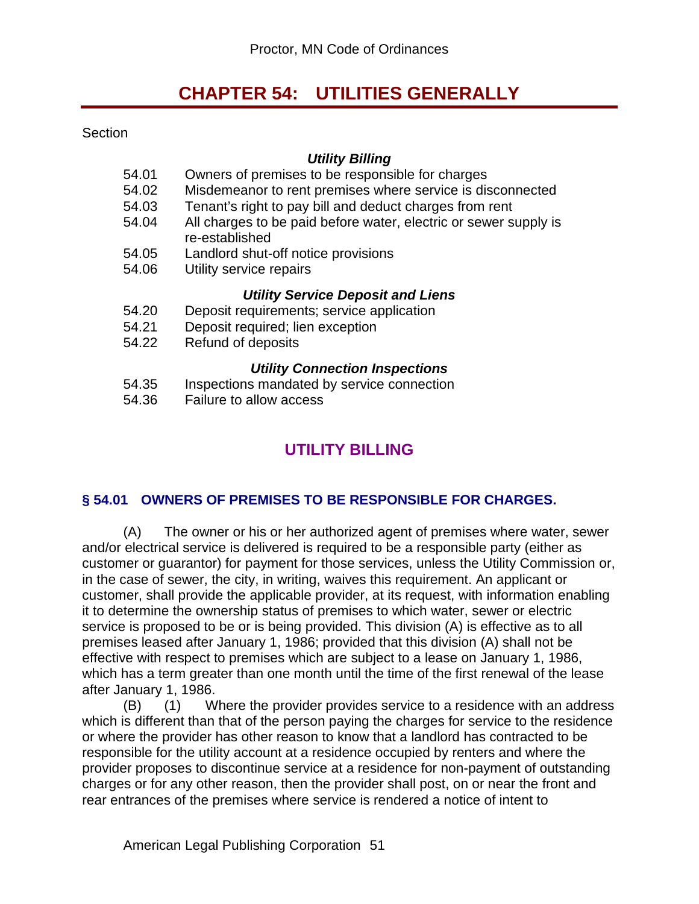# **CHAPTER 54: UTILITIES GENERALLY**

Section

#### *Utility Billing*

- 54.01 Owners of premises to be responsible for charges
- 54.02 Misdemeanor to rent premises where service is disconnected
- 54.03 Tenant's right to pay bill and deduct charges from rent
- 54.04 All charges to be paid before water, electric or sewer supply is re-established
- 54.05 Landlord shut-off notice provisions
- 54.06 Utility service repairs

#### *Utility Service Deposit and Liens*

- 54.20 Deposit requirements; service application
- 54.21 Deposit required; lien exception
- 54.22 Refund of deposits

#### *Utility Connection Inspections*

- 54.35 Inspections mandated by service connection
- 54.36 Failure to allow access

# **UTILITY BILLING**

#### **§ 54.01 OWNERS OF PREMISES TO BE RESPONSIBLE FOR CHARGES.**

(A) The owner or his or her authorized agent of premises where water, sewer and/or electrical service is delivered is required to be a responsible party (either as customer or guarantor) for payment for those services, unless the Utility Commission or, in the case of sewer, the city, in writing, waives this requirement. An applicant or customer, shall provide the applicable provider, at its request, with information enabling it to determine the ownership status of premises to which water, sewer or electric service is proposed to be or is being provided. This division (A) is effective as to all premises leased after January 1, 1986; provided that this division (A) shall not be effective with respect to premises which are subject to a lease on January 1, 1986, which has a term greater than one month until the time of the first renewal of the lease after January 1, 1986.

(B) (1) Where the provider provides service to a residence with an address which is different than that of the person paying the charges for service to the residence or where the provider has other reason to know that a landlord has contracted to be responsible for the utility account at a residence occupied by renters and where the provider proposes to discontinue service at a residence for non-payment of outstanding charges or for any other reason, then the provider shall post, on or near the front and rear entrances of the premises where service is rendered a notice of intent to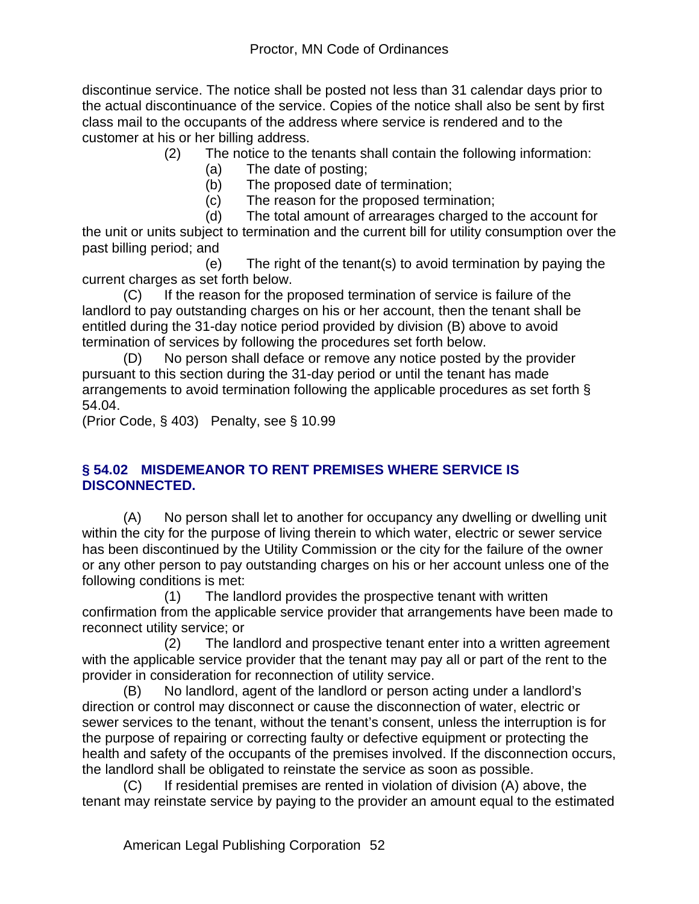discontinue service. The notice shall be posted not less than 31 calendar days prior to the actual discontinuance of the service. Copies of the notice shall also be sent by first class mail to the occupants of the address where service is rendered and to the customer at his or her billing address.

- (2) The notice to the tenants shall contain the following information:
	- (a) The date of posting;
	- (b) The proposed date of termination;
	- (c) The reason for the proposed termination;
	- (d) The total amount of arrearages charged to the account for

the unit or units subject to termination and the current bill for utility consumption over the past billing period; and

 (e) The right of the tenant(s) to avoid termination by paying the current charges as set forth below.

(C) If the reason for the proposed termination of service is failure of the landlord to pay outstanding charges on his or her account, then the tenant shall be entitled during the 31-day notice period provided by division (B) above to avoid termination of services by following the procedures set forth below.

(D) No person shall deface or remove any notice posted by the provider pursuant to this section during the 31-day period or until the tenant has made arrangements to avoid termination following the applicable procedures as set forth § 54.04.

(Prior Code, § 403) Penalty, see § 10.99

#### **§ 54.02 MISDEMEANOR TO RENT PREMISES WHERE SERVICE IS DISCONNECTED.**

(A) No person shall let to another for occupancy any dwelling or dwelling unit within the city for the purpose of living therein to which water, electric or sewer service has been discontinued by the Utility Commission or the city for the failure of the owner or any other person to pay outstanding charges on his or her account unless one of the following conditions is met:

 (1) The landlord provides the prospective tenant with written confirmation from the applicable service provider that arrangements have been made to reconnect utility service; or

 (2) The landlord and prospective tenant enter into a written agreement with the applicable service provider that the tenant may pay all or part of the rent to the provider in consideration for reconnection of utility service.

(B) No landlord, agent of the landlord or person acting under a landlord's direction or control may disconnect or cause the disconnection of water, electric or sewer services to the tenant, without the tenant's consent, unless the interruption is for the purpose of repairing or correcting faulty or defective equipment or protecting the health and safety of the occupants of the premises involved. If the disconnection occurs, the landlord shall be obligated to reinstate the service as soon as possible.

(C) If residential premises are rented in violation of division (A) above, the tenant may reinstate service by paying to the provider an amount equal to the estimated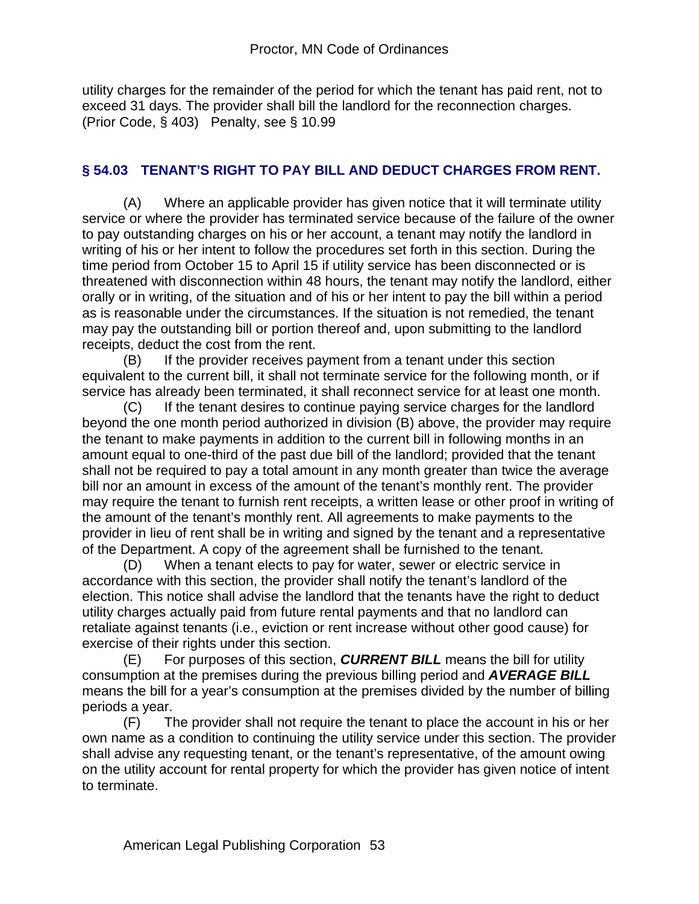utility charges for the remainder of the period for which the tenant has paid rent, not to exceed 31 days. The provider shall bill the landlord for the reconnection charges. (Prior Code, § 403) Penalty, see § 10.99

#### **§ 54.03 TENANT'S RIGHT TO PAY BILL AND DEDUCT CHARGES FROM RENT.**

(A) Where an applicable provider has given notice that it will terminate utility service or where the provider has terminated service because of the failure of the owner to pay outstanding charges on his or her account, a tenant may notify the landlord in writing of his or her intent to follow the procedures set forth in this section. During the time period from October 15 to April 15 if utility service has been disconnected or is threatened with disconnection within 48 hours, the tenant may notify the landlord, either orally or in writing, of the situation and of his or her intent to pay the bill within a period as is reasonable under the circumstances. If the situation is not remedied, the tenant may pay the outstanding bill or portion thereof and, upon submitting to the landlord receipts, deduct the cost from the rent.

(B) If the provider receives payment from a tenant under this section equivalent to the current bill, it shall not terminate service for the following month, or if service has already been terminated, it shall reconnect service for at least one month.

(C) If the tenant desires to continue paying service charges for the landlord beyond the one month period authorized in division (B) above, the provider may require the tenant to make payments in addition to the current bill in following months in an amount equal to one-third of the past due bill of the landlord; provided that the tenant shall not be required to pay a total amount in any month greater than twice the average bill nor an amount in excess of the amount of the tenant's monthly rent. The provider may require the tenant to furnish rent receipts, a written lease or other proof in writing of the amount of the tenant's monthly rent. All agreements to make payments to the provider in lieu of rent shall be in writing and signed by the tenant and a representative of the Department. A copy of the agreement shall be furnished to the tenant.

(D) When a tenant elects to pay for water, sewer or electric service in accordance with this section, the provider shall notify the tenant's landlord of the election. This notice shall advise the landlord that the tenants have the right to deduct utility charges actually paid from future rental payments and that no landlord can retaliate against tenants (i.e., eviction or rent increase without other good cause) for exercise of their rights under this section.

(E) For purposes of this section, *CURRENT BILL* means the bill for utility consumption at the premises during the previous billing period and *AVERAGE BILL* means the bill for a year's consumption at the premises divided by the number of billing periods a year.

(F) The provider shall not require the tenant to place the account in his or her own name as a condition to continuing the utility service under this section. The provider shall advise any requesting tenant, or the tenant's representative, of the amount owing on the utility account for rental property for which the provider has given notice of intent to terminate.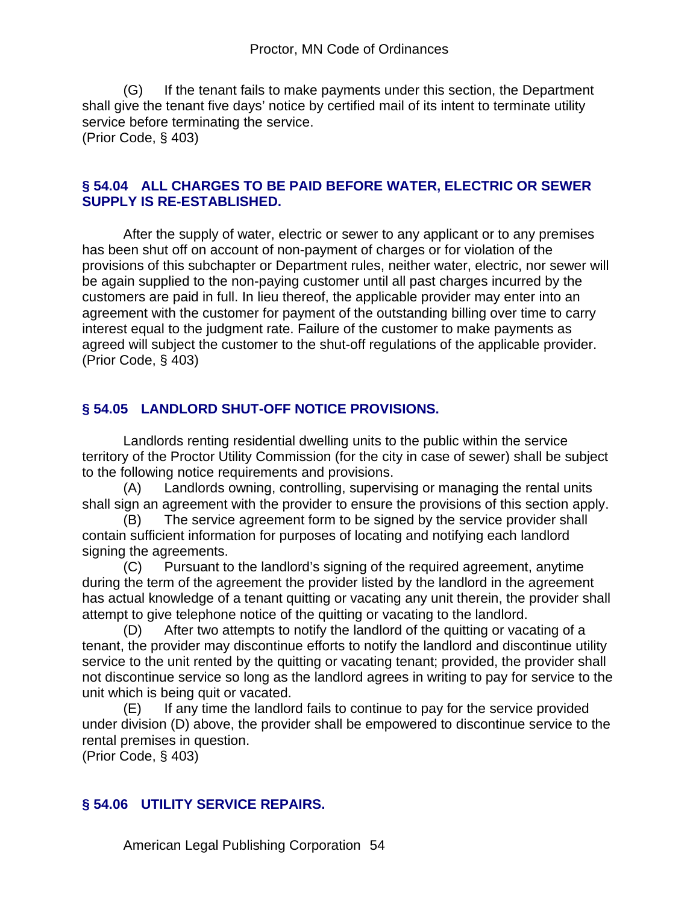(G) If the tenant fails to make payments under this section, the Department shall give the tenant five days' notice by certified mail of its intent to terminate utility service before terminating the service. (Prior Code, § 403)

#### **§ 54.04 ALL CHARGES TO BE PAID BEFORE WATER, ELECTRIC OR SEWER SUPPLY IS RE-ESTABLISHED.**

After the supply of water, electric or sewer to any applicant or to any premises has been shut off on account of non-payment of charges or for violation of the provisions of this subchapter or Department rules, neither water, electric, nor sewer will be again supplied to the non-paying customer until all past charges incurred by the customers are paid in full. In lieu thereof, the applicable provider may enter into an agreement with the customer for payment of the outstanding billing over time to carry interest equal to the judgment rate. Failure of the customer to make payments as agreed will subject the customer to the shut-off regulations of the applicable provider. (Prior Code, § 403)

## **§ 54.05 LANDLORD SHUT-OFF NOTICE PROVISIONS.**

Landlords renting residential dwelling units to the public within the service territory of the Proctor Utility Commission (for the city in case of sewer) shall be subject to the following notice requirements and provisions.

(A) Landlords owning, controlling, supervising or managing the rental units shall sign an agreement with the provider to ensure the provisions of this section apply.

(B) The service agreement form to be signed by the service provider shall contain sufficient information for purposes of locating and notifying each landlord signing the agreements.

(C) Pursuant to the landlord's signing of the required agreement, anytime during the term of the agreement the provider listed by the landlord in the agreement has actual knowledge of a tenant quitting or vacating any unit therein, the provider shall attempt to give telephone notice of the quitting or vacating to the landlord.

(D) After two attempts to notify the landlord of the quitting or vacating of a tenant, the provider may discontinue efforts to notify the landlord and discontinue utility service to the unit rented by the quitting or vacating tenant; provided, the provider shall not discontinue service so long as the landlord agrees in writing to pay for service to the unit which is being quit or vacated.

(E) If any time the landlord fails to continue to pay for the service provided under division (D) above, the provider shall be empowered to discontinue service to the rental premises in question.

(Prior Code, § 403)

## **§ 54.06 UTILITY SERVICE REPAIRS.**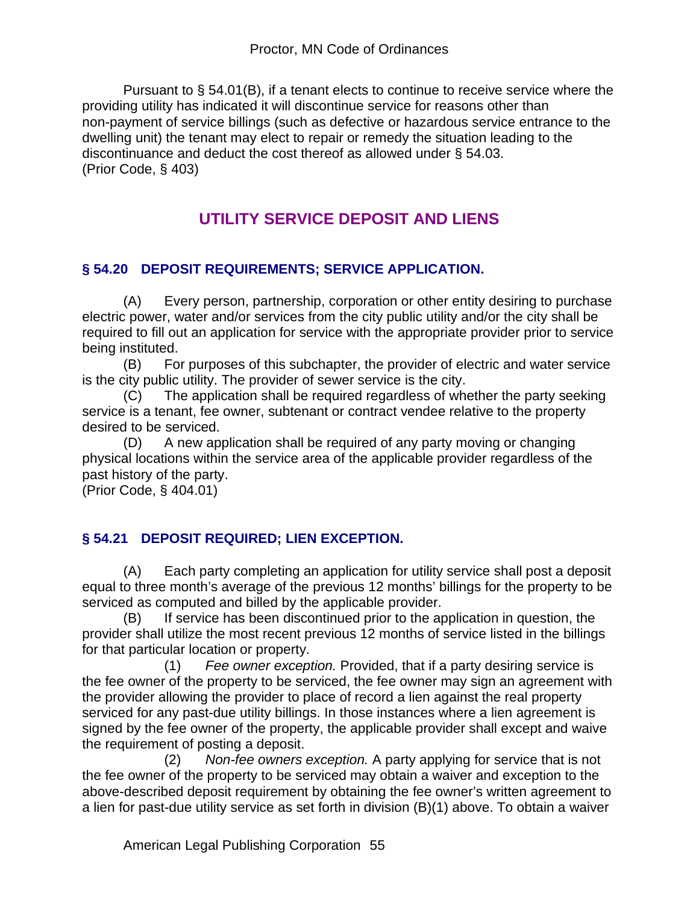Pursuant to § 54.01(B), if a tenant elects to continue to receive service where the providing utility has indicated it will discontinue service for reasons other than non-payment of service billings (such as defective or hazardous service entrance to the dwelling unit) the tenant may elect to repair or remedy the situation leading to the discontinuance and deduct the cost thereof as allowed under § 54.03. (Prior Code, § 403)

# **UTILITY SERVICE DEPOSIT AND LIENS**

## **§ 54.20 DEPOSIT REQUIREMENTS; SERVICE APPLICATION.**

(A) Every person, partnership, corporation or other entity desiring to purchase electric power, water and/or services from the city public utility and/or the city shall be required to fill out an application for service with the appropriate provider prior to service being instituted.

(B) For purposes of this subchapter, the provider of electric and water service is the city public utility. The provider of sewer service is the city.

(C) The application shall be required regardless of whether the party seeking service is a tenant, fee owner, subtenant or contract vendee relative to the property desired to be serviced.

(D) A new application shall be required of any party moving or changing physical locations within the service area of the applicable provider regardless of the past history of the party.

(Prior Code, § 404.01)

## **§ 54.21 DEPOSIT REQUIRED; LIEN EXCEPTION.**

(A) Each party completing an application for utility service shall post a deposit equal to three month's average of the previous 12 months' billings for the property to be serviced as computed and billed by the applicable provider.

(B) If service has been discontinued prior to the application in question, the provider shall utilize the most recent previous 12 months of service listed in the billings for that particular location or property.

 (1) *Fee owner exception.* Provided, that if a party desiring service is the fee owner of the property to be serviced, the fee owner may sign an agreement with the provider allowing the provider to place of record a lien against the real property serviced for any past-due utility billings. In those instances where a lien agreement is signed by the fee owner of the property, the applicable provider shall except and waive the requirement of posting a deposit.

 (2) *Non-fee owners exception.* A party applying for service that is not the fee owner of the property to be serviced may obtain a waiver and exception to the above-described deposit requirement by obtaining the fee owner's written agreement to a lien for past-due utility service as set forth in division (B)(1) above. To obtain a waiver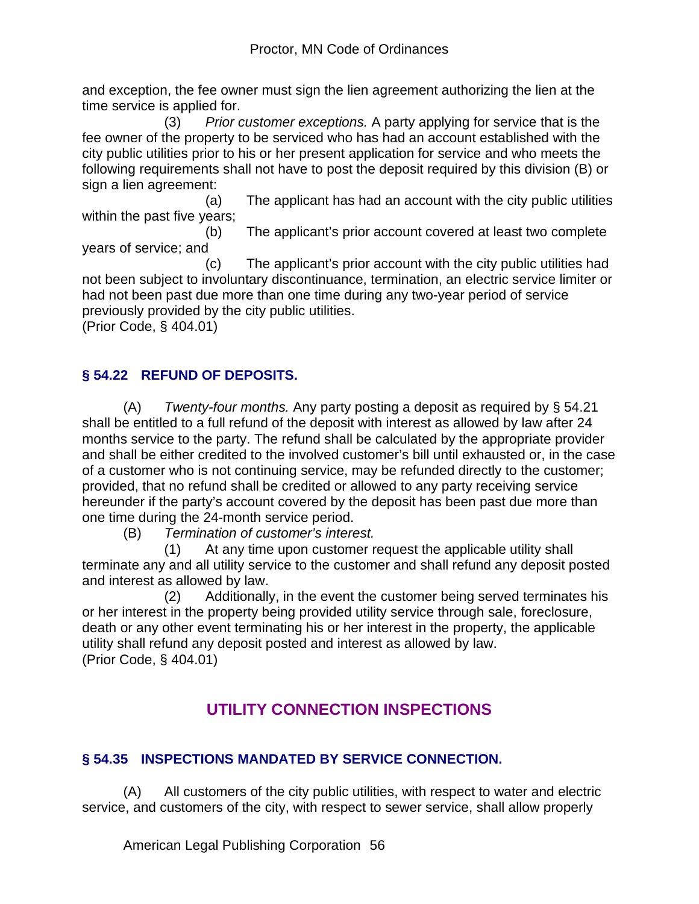and exception, the fee owner must sign the lien agreement authorizing the lien at the time service is applied for.

 (3) *Prior customer exceptions.* A party applying for service that is the fee owner of the property to be serviced who has had an account established with the city public utilities prior to his or her present application for service and who meets the following requirements shall not have to post the deposit required by this division (B) or sign a lien agreement:

 (a) The applicant has had an account with the city public utilities within the past five years;

 (b) The applicant's prior account covered at least two complete years of service; and

 (c) The applicant's prior account with the city public utilities had not been subject to involuntary discontinuance, termination, an electric service limiter or had not been past due more than one time during any two-year period of service previously provided by the city public utilities.

(Prior Code, § 404.01)

## **§ 54.22 REFUND OF DEPOSITS.**

(A) *Twenty-four months.* Any party posting a deposit as required by § 54.21 shall be entitled to a full refund of the deposit with interest as allowed by law after 24 months service to the party. The refund shall be calculated by the appropriate provider and shall be either credited to the involved customer's bill until exhausted or, in the case of a customer who is not continuing service, may be refunded directly to the customer; provided, that no refund shall be credited or allowed to any party receiving service hereunder if the party's account covered by the deposit has been past due more than one time during the 24-month service period.

(B) *Termination of customer's interest.*

 (1) At any time upon customer request the applicable utility shall terminate any and all utility service to the customer and shall refund any deposit posted and interest as allowed by law.

 (2) Additionally, in the event the customer being served terminates his or her interest in the property being provided utility service through sale, foreclosure, death or any other event terminating his or her interest in the property, the applicable utility shall refund any deposit posted and interest as allowed by law. (Prior Code, § 404.01)

# **UTILITY CONNECTION INSPECTIONS**

## **§ 54.35 INSPECTIONS MANDATED BY SERVICE CONNECTION.**

(A) All customers of the city public utilities, with respect to water and electric service, and customers of the city, with respect to sewer service, shall allow properly